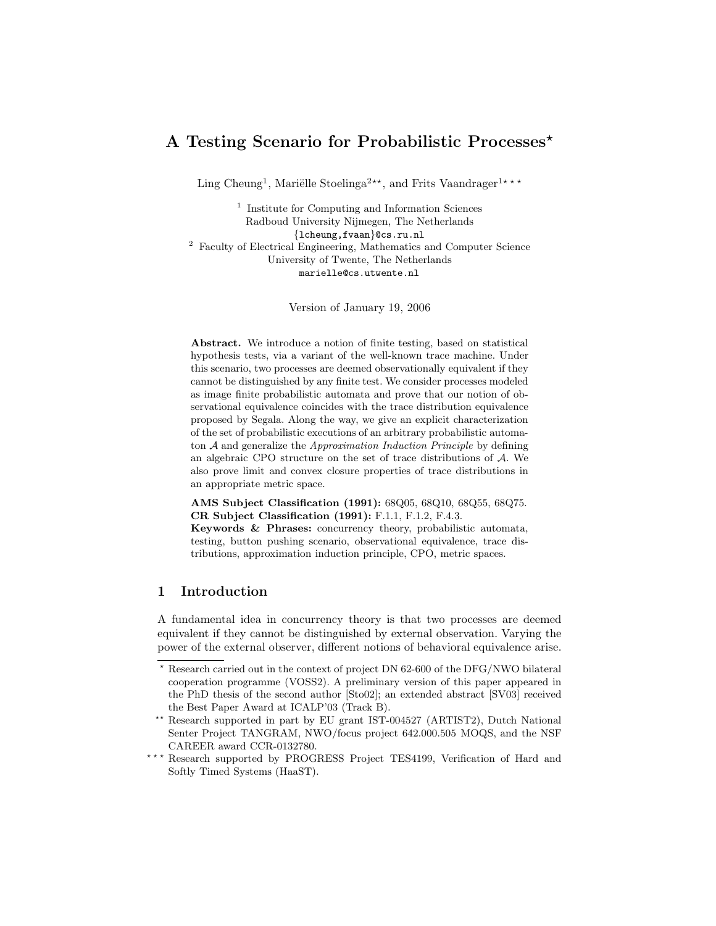# A Testing Scenario for Probabilistic Processes<sup>\*</sup>

Ling Cheung<sup>1</sup>, Mariëlle Stoelinga<sup>2\*\*</sup>, and Frits Vaandrager<sup>1\*\*\*</sup>

<sup>1</sup> Institute for Computing and Information Sciences Radboud University Nijmegen, The Netherlands {lcheung,fvaan}@cs.ru.nl <sup>2</sup> Faculty of Electrical Engineering, Mathematics and Computer Science University of Twente, The Netherlands marielle@cs.utwente.nl

Version of January 19, 2006

Abstract. We introduce a notion of finite testing, based on statistical hypothesis tests, via a variant of the well-known trace machine. Under this scenario, two processes are deemed observationally equivalent if they cannot be distinguished by any finite test. We consider processes modeled as image finite probabilistic automata and prove that our notion of observational equivalence coincides with the trace distribution equivalence proposed by Segala. Along the way, we give an explicit characterization of the set of probabilistic executions of an arbitrary probabilistic automaton A and generalize the Approximation Induction Principle by defining an algebraic CPO structure on the set of trace distributions of A. We also prove limit and convex closure properties of trace distributions in an appropriate metric space.

AMS Subject Classification (1991): 68Q05, 68Q10, 68Q55, 68Q75. CR Subject Classification (1991): F.1.1, F.1.2, F.4.3.

Keywords & Phrases: concurrency theory, probabilistic automata, testing, button pushing scenario, observational equivalence, trace distributions, approximation induction principle, CPO, metric spaces.

## 1 Introduction

A fundamental idea in concurrency theory is that two processes are deemed equivalent if they cannot be distinguished by external observation. Varying the power of the external observer, different notions of behavioral equivalence arise.

<sup>?</sup> Research carried out in the context of project DN 62-600 of the DFG/NWO bilateral cooperation programme (VOSS2). A preliminary version of this paper appeared in the PhD thesis of the second author [Sto02]; an extended abstract [SV03] received the Best Paper Award at ICALP'03 (Track B).

<sup>\*\*</sup> Research supported in part by EU grant IST-004527 (ARTIST2), Dutch National Senter Project TANGRAM, NWO/focus project 642.000.505 MOQS, and the NSF CAREER award CCR-0132780.

Research supported by PROGRESS Project TES4199, Verification of Hard and Softly Timed Systems (HaaST).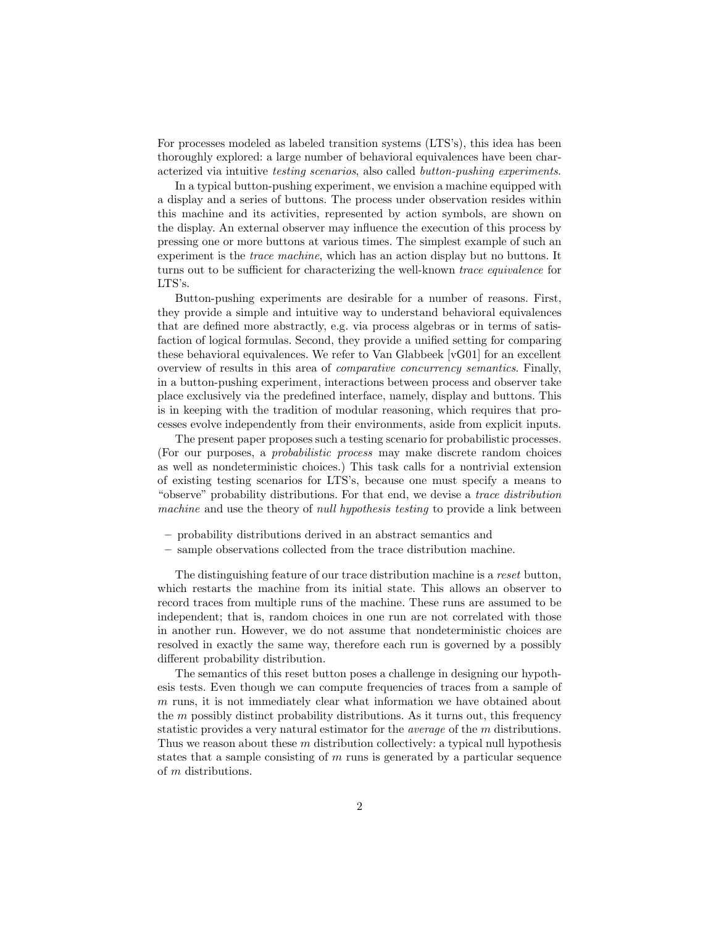For processes modeled as labeled transition systems (LTS's), this idea has been thoroughly explored: a large number of behavioral equivalences have been characterized via intuitive testing scenarios, also called button-pushing experiments.

In a typical button-pushing experiment, we envision a machine equipped with a display and a series of buttons. The process under observation resides within this machine and its activities, represented by action symbols, are shown on the display. An external observer may influence the execution of this process by pressing one or more buttons at various times. The simplest example of such an experiment is the trace machine, which has an action display but no buttons. It turns out to be sufficient for characterizing the well-known trace equivalence for LTS's.

Button-pushing experiments are desirable for a number of reasons. First, they provide a simple and intuitive way to understand behavioral equivalences that are defined more abstractly, e.g. via process algebras or in terms of satisfaction of logical formulas. Second, they provide a unified setting for comparing these behavioral equivalences. We refer to Van Glabbeek [vG01] for an excellent overview of results in this area of comparative concurrency semantics. Finally, in a button-pushing experiment, interactions between process and observer take place exclusively via the predefined interface, namely, display and buttons. This is in keeping with the tradition of modular reasoning, which requires that processes evolve independently from their environments, aside from explicit inputs.

The present paper proposes such a testing scenario for probabilistic processes. (For our purposes, a probabilistic process may make discrete random choices as well as nondeterministic choices.) This task calls for a nontrivial extension of existing testing scenarios for LTS's, because one must specify a means to "observe" probability distributions. For that end, we devise a trace distribution machine and use the theory of *null hypothesis testing* to provide a link between

- probability distributions derived in an abstract semantics and
- sample observations collected from the trace distribution machine.

The distinguishing feature of our trace distribution machine is a reset button, which restarts the machine from its initial state. This allows an observer to record traces from multiple runs of the machine. These runs are assumed to be independent; that is, random choices in one run are not correlated with those in another run. However, we do not assume that nondeterministic choices are resolved in exactly the same way, therefore each run is governed by a possibly different probability distribution.

The semantics of this reset button poses a challenge in designing our hypothesis tests. Even though we can compute frequencies of traces from a sample of  $m$  runs, it is not immediately clear what information we have obtained about the  $m$  possibly distinct probability distributions. As it turns out, this frequency statistic provides a very natural estimator for the average of the m distributions. Thus we reason about these  $m$  distribution collectively: a typical null hypothesis states that a sample consisting of  $m$  runs is generated by a particular sequence of m distributions.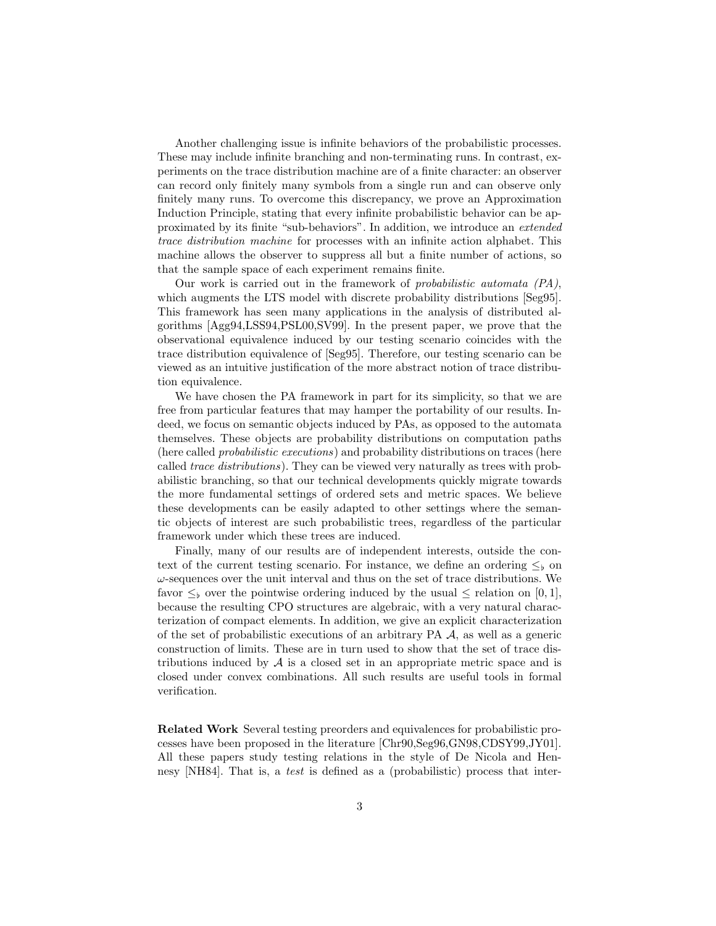Another challenging issue is infinite behaviors of the probabilistic processes. These may include infinite branching and non-terminating runs. In contrast, experiments on the trace distribution machine are of a finite character: an observer can record only finitely many symbols from a single run and can observe only finitely many runs. To overcome this discrepancy, we prove an Approximation Induction Principle, stating that every infinite probabilistic behavior can be approximated by its finite "sub-behaviors". In addition, we introduce an extended trace distribution machine for processes with an infinite action alphabet. This machine allows the observer to suppress all but a finite number of actions, so that the sample space of each experiment remains finite.

Our work is carried out in the framework of probabilistic automata (PA), which augments the LTS model with discrete probability distributions [Seg95]. This framework has seen many applications in the analysis of distributed algorithms [Agg94,LSS94,PSL00,SV99]. In the present paper, we prove that the observational equivalence induced by our testing scenario coincides with the trace distribution equivalence of [Seg95]. Therefore, our testing scenario can be viewed as an intuitive justification of the more abstract notion of trace distribution equivalence.

We have chosen the PA framework in part for its simplicity, so that we are free from particular features that may hamper the portability of our results. Indeed, we focus on semantic objects induced by PAs, as opposed to the automata themselves. These objects are probability distributions on computation paths (here called probabilistic executions) and probability distributions on traces (here called trace distributions). They can be viewed very naturally as trees with probabilistic branching, so that our technical developments quickly migrate towards the more fundamental settings of ordered sets and metric spaces. We believe these developments can be easily adapted to other settings where the semantic objects of interest are such probabilistic trees, regardless of the particular framework under which these trees are induced.

Finally, many of our results are of independent interests, outside the context of the current testing scenario. For instance, we define an ordering  $\leq_{\mathfrak{b}}$  on  $\omega$ -sequences over the unit interval and thus on the set of trace distributions. We favor  $\leq_b$  over the pointwise ordering induced by the usual  $\leq$  relation on [0, 1], because the resulting CPO structures are algebraic, with a very natural characterization of compact elements. In addition, we give an explicit characterization of the set of probabilistic executions of an arbitrary  $PA$ ,  $A$ , as well as a generic construction of limits. These are in turn used to show that the set of trace distributions induced by  $A$  is a closed set in an appropriate metric space and is closed under convex combinations. All such results are useful tools in formal verification.

Related Work Several testing preorders and equivalences for probabilistic processes have been proposed in the literature [Chr90,Seg96,GN98,CDSY99,JY01]. All these papers study testing relations in the style of De Nicola and Hennesy [NH84]. That is, a test is defined as a (probabilistic) process that inter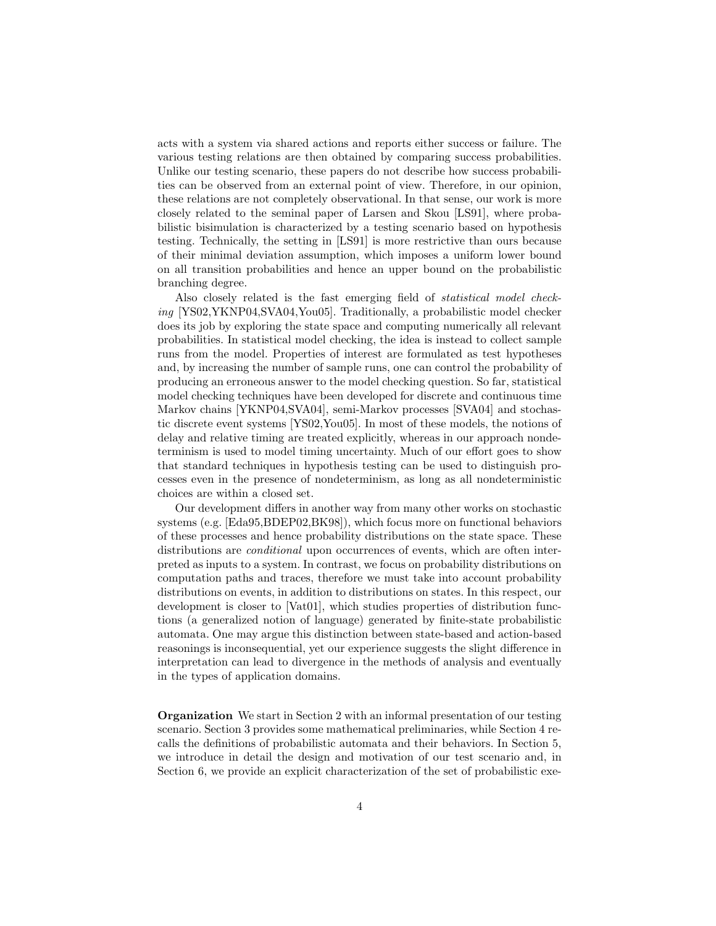acts with a system via shared actions and reports either success or failure. The various testing relations are then obtained by comparing success probabilities. Unlike our testing scenario, these papers do not describe how success probabilities can be observed from an external point of view. Therefore, in our opinion, these relations are not completely observational. In that sense, our work is more closely related to the seminal paper of Larsen and Skou [LS91], where probabilistic bisimulation is characterized by a testing scenario based on hypothesis testing. Technically, the setting in [LS91] is more restrictive than ours because of their minimal deviation assumption, which imposes a uniform lower bound on all transition probabilities and hence an upper bound on the probabilistic branching degree.

Also closely related is the fast emerging field of statistical model checking [YS02,YKNP04,SVA04,You05]. Traditionally, a probabilistic model checker does its job by exploring the state space and computing numerically all relevant probabilities. In statistical model checking, the idea is instead to collect sample runs from the model. Properties of interest are formulated as test hypotheses and, by increasing the number of sample runs, one can control the probability of producing an erroneous answer to the model checking question. So far, statistical model checking techniques have been developed for discrete and continuous time Markov chains [YKNP04,SVA04], semi-Markov processes [SVA04] and stochastic discrete event systems [YS02,You05]. In most of these models, the notions of delay and relative timing are treated explicitly, whereas in our approach nondeterminism is used to model timing uncertainty. Much of our effort goes to show that standard techniques in hypothesis testing can be used to distinguish processes even in the presence of nondeterminism, as long as all nondeterministic choices are within a closed set.

Our development differs in another way from many other works on stochastic systems (e.g. [Eda95,BDEP02,BK98]), which focus more on functional behaviors of these processes and hence probability distributions on the state space. These distributions are *conditional* upon occurrences of events, which are often interpreted as inputs to a system. In contrast, we focus on probability distributions on computation paths and traces, therefore we must take into account probability distributions on events, in addition to distributions on states. In this respect, our development is closer to [Vat01], which studies properties of distribution functions (a generalized notion of language) generated by finite-state probabilistic automata. One may argue this distinction between state-based and action-based reasonings is inconsequential, yet our experience suggests the slight difference in interpretation can lead to divergence in the methods of analysis and eventually in the types of application domains.

Organization We start in Section 2 with an informal presentation of our testing scenario. Section 3 provides some mathematical preliminaries, while Section 4 recalls the definitions of probabilistic automata and their behaviors. In Section 5, we introduce in detail the design and motivation of our test scenario and, in Section 6, we provide an explicit characterization of the set of probabilistic exe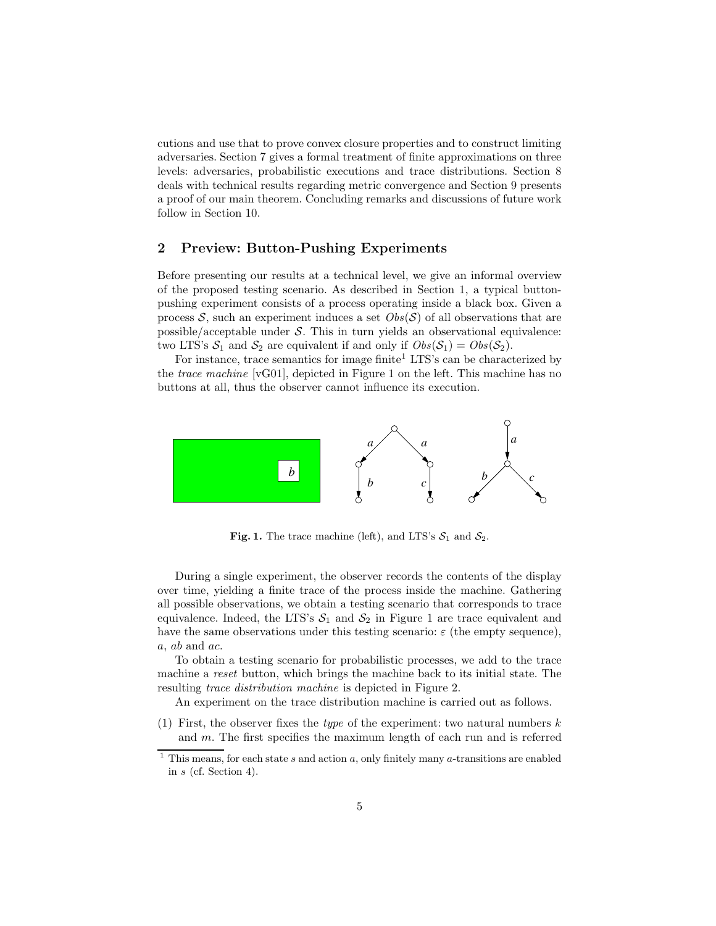cutions and use that to prove convex closure properties and to construct limiting adversaries. Section 7 gives a formal treatment of finite approximations on three levels: adversaries, probabilistic executions and trace distributions. Section 8 deals with technical results regarding metric convergence and Section 9 presents a proof of our main theorem. Concluding remarks and discussions of future work follow in Section 10.

## 2 Preview: Button-Pushing Experiments

Before presenting our results at a technical level, we give an informal overview of the proposed testing scenario. As described in Section 1, a typical buttonpushing experiment consists of a process operating inside a black box. Given a process S, such an experiment induces a set  $Obs(S)$  of all observations that are possible/acceptable under  $S$ . This in turn yields an observational equivalence: two LTS's  $S_1$  and  $S_2$  are equivalent if and only if  $Obs(S_1) = Obs(S_2)$ .

For instance, trace semantics for image finite<sup>1</sup> LTS's can be characterized by the trace machine [vG01], depicted in Figure 1 on the left. This machine has no buttons at all, thus the observer cannot influence its execution.



**Fig. 1.** The trace machine (left), and LTS's  $S_1$  and  $S_2$ .

During a single experiment, the observer records the contents of the display over time, yielding a finite trace of the process inside the machine. Gathering all possible observations, we obtain a testing scenario that corresponds to trace equivalence. Indeed, the LTS's  $S_1$  and  $S_2$  in Figure 1 are trace equivalent and have the same observations under this testing scenario:  $\varepsilon$  (the empty sequence), a, ab and ac.

To obtain a testing scenario for probabilistic processes, we add to the trace machine a reset button, which brings the machine back to its initial state. The resulting trace distribution machine is depicted in Figure 2.

An experiment on the trace distribution machine is carried out as follows.

(1) First, the observer fixes the type of the experiment: two natural numbers  $k$ and m. The first specifies the maximum length of each run and is referred

<sup>&</sup>lt;sup>1</sup> This means, for each state s and action a, only finitely many a-transitions are enabled in s (cf. Section 4).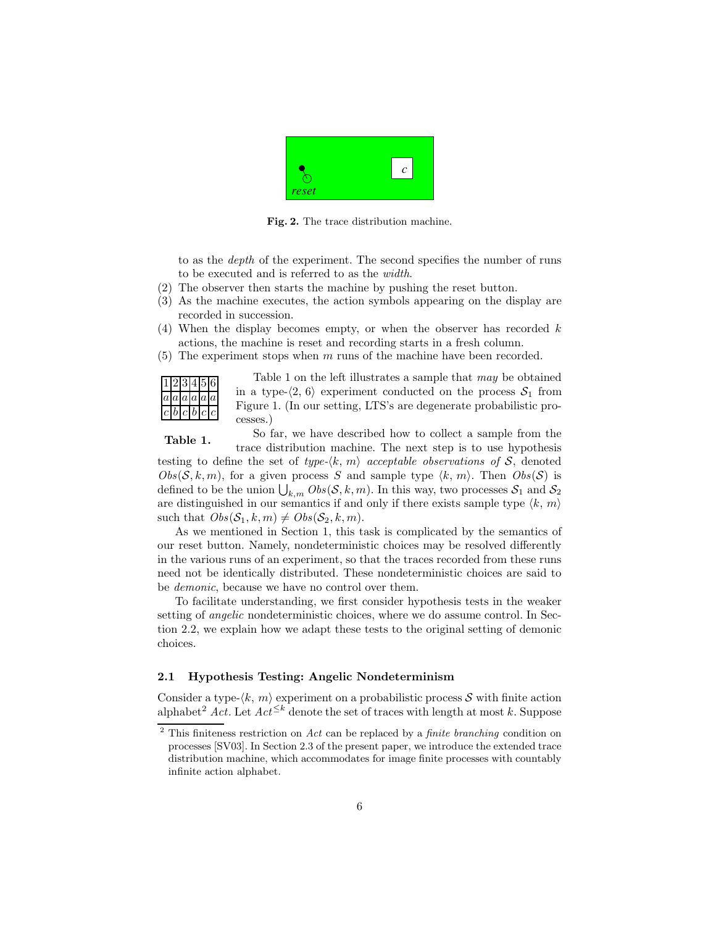

Fig. 2. The trace distribution machine.

to as the depth of the experiment. The second specifies the number of runs to be executed and is referred to as the width.

- (2) The observer then starts the machine by pushing the reset button.
- (3) As the machine executes, the action symbols appearing on the display are recorded in succession.
- (4) When the display becomes empty, or when the observer has recorded  $k$ actions, the machine is reset and recording starts in a fresh column.
- (5) The experiment stops when  $m$  runs of the machine have been recorded.



Table 1 on the left illustrates a sample that  $may$  be obtained in a type- $\langle 2, 6 \rangle$  experiment conducted on the process  $S_1$  from Figure 1. (In our setting, LTS's are degenerate probabilistic processes.)

Table 1.

So far, we have described how to collect a sample from the

trace distribution machine. The next step is to use hypothesis testing to define the set of type- $\langle k, m \rangle$  acceptable observations of S, denoted  $Obs(S, k, m)$ , for a given process S and sample type  $\langle k, m \rangle$ . Then  $Obs(\mathcal{S})$  is defined to be the union  $\bigcup_{k,m} Obs(S, k, m)$ . In this way, two processes  $S_1$  and  $S_2$ are distinguished in our semantics if and only if there exists sample type  $\langle k, m \rangle$ such that  $Obs(\mathcal{S}_1, k, m) \neq Obs(\mathcal{S}_2, k, m)$ .

As we mentioned in Section 1, this task is complicated by the semantics of our reset button. Namely, nondeterministic choices may be resolved differently in the various runs of an experiment, so that the traces recorded from these runs need not be identically distributed. These nondeterministic choices are said to be demonic, because we have no control over them.

To facilitate understanding, we first consider hypothesis tests in the weaker setting of *angelic* nondeterministic choices, where we do assume control. In Section 2.2, we explain how we adapt these tests to the original setting of demonic choices.

## 2.1 Hypothesis Testing: Angelic Nondeterminism

Consider a type- $\langle k, m \rangle$  experiment on a probabilistic process S with finite action alphabet<sup>2</sup> Act. Let  $Act^{\leq k}$  denote the set of traces with length at most k. Suppose

 $2$  This finiteness restriction on Act can be replaced by a *finite branching* condition on processes [SV03]. In Section 2.3 of the present paper, we introduce the extended trace distribution machine, which accommodates for image finite processes with countably infinite action alphabet.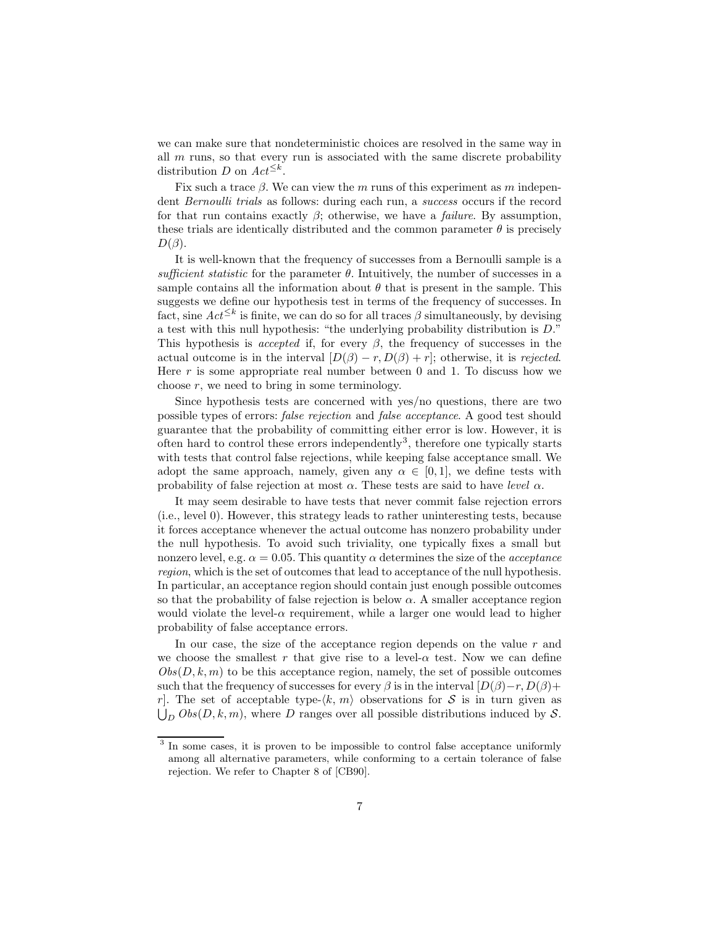we can make sure that nondeterministic choices are resolved in the same way in all  $m$  runs, so that every run is associated with the same discrete probability distribution D on  $Act^{\leq k}$ .

Fix such a trace  $\beta$ . We can view the m runs of this experiment as m independent Bernoulli trials as follows: during each run, a success occurs if the record for that run contains exactly  $\beta$ ; otherwise, we have a *failure*. By assumption, these trials are identically distributed and the common parameter  $\theta$  is precisely  $D(\beta)$ .

It is well-known that the frequency of successes from a Bernoulli sample is a sufficient statistic for the parameter  $\theta$ . Intuitively, the number of successes in a sample contains all the information about  $\theta$  that is present in the sample. This suggests we define our hypothesis test in terms of the frequency of successes. In fact, sine  $Act^{\leq k}$  is finite, we can do so for all traces  $\beta$  simultaneously, by devising a test with this null hypothesis: "the underlying probability distribution is D." This hypothesis is *accepted* if, for every  $\beta$ , the frequency of successes in the actual outcome is in the interval  $[D(\beta) - r, D(\beta) + r]$ ; otherwise, it is rejected. Here  $r$  is some appropriate real number between 0 and 1. To discuss how we choose  $r$ , we need to bring in some terminology.

Since hypothesis tests are concerned with yes/no questions, there are two possible types of errors: false rejection and false acceptance. A good test should guarantee that the probability of committing either error is low. However, it is often hard to control these errors independently<sup>3</sup>, therefore one typically starts with tests that control false rejections, while keeping false acceptance small. We adopt the same approach, namely, given any  $\alpha \in [0,1]$ , we define tests with probability of false rejection at most  $\alpha$ . These tests are said to have *level*  $\alpha$ .

It may seem desirable to have tests that never commit false rejection errors (i.e., level 0). However, this strategy leads to rather uninteresting tests, because it forces acceptance whenever the actual outcome has nonzero probability under the null hypothesis. To avoid such triviality, one typically fixes a small but nonzero level, e.g.  $\alpha = 0.05$ . This quantity  $\alpha$  determines the size of the *acceptance* region, which is the set of outcomes that lead to acceptance of the null hypothesis. In particular, an acceptance region should contain just enough possible outcomes so that the probability of false rejection is below  $\alpha$ . A smaller acceptance region would violate the level- $\alpha$  requirement, while a larger one would lead to higher probability of false acceptance errors.

In our case, the size of the acceptance region depends on the value  $r$  and we choose the smallest r that give rise to a level- $\alpha$  test. Now we can define  $Obs(D, k, m)$  to be this acceptance region, namely, the set of possible outcomes such that the frequency of successes for every  $\beta$  is in the interval  $[D(\beta)-r, D(\beta)+r]$ r. The set of acceptable type- $\langle k, m \rangle$  observations for S is in turn given as  $\bigcup_D \textit{Obs}(D, k, m)$ , where D ranges over all possible distributions induced by S.

<sup>&</sup>lt;sup>3</sup> In some cases, it is proven to be impossible to control false acceptance uniformly among all alternative parameters, while conforming to a certain tolerance of false rejection. We refer to Chapter 8 of [CB90].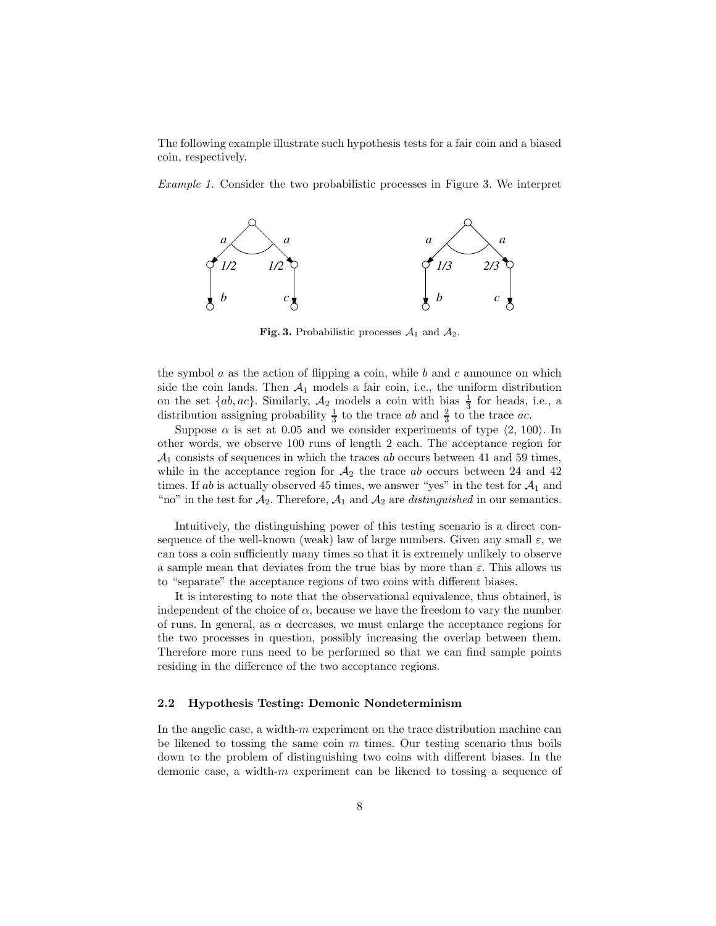The following example illustrate such hypothesis tests for a fair coin and a biased coin, respectively.

Example 1. Consider the two probabilistic processes in Figure 3. We interpret



**Fig. 3.** Probabilistic processes  $A_1$  and  $A_2$ .

the symbol  $a$  as the action of flipping a coin, while  $b$  and  $c$  announce on which side the coin lands. Then  $A_1$  models a fair coin, i.e., the uniform distribution on the set  $\{ab, ac\}$ . Similarly,  $\mathcal{A}_2$  models a coin with bias  $\frac{1}{3}$  for heads, i.e., a distribution assigning probability  $\frac{1}{3}$  to the trace ab and  $\frac{2}{3}$  to the trace ac.

Suppose  $\alpha$  is set at 0.05 and we consider experiments of type  $\langle 2, 100 \rangle$ . In other words, we observe 100 runs of length 2 each. The acceptance region for  $A_1$  consists of sequences in which the traces ab occurs between 41 and 59 times, while in the acceptance region for  $\mathcal{A}_2$  the trace ab occurs between 24 and 42 times. If ab is actually observed 45 times, we answer "yes" in the test for  $A_1$  and "no" in the test for  $A_2$ . Therefore,  $A_1$  and  $A_2$  are *distinguished* in our semantics.

Intuitively, the distinguishing power of this testing scenario is a direct consequence of the well-known (weak) law of large numbers. Given any small  $\varepsilon$ , we can toss a coin sufficiently many times so that it is extremely unlikely to observe a sample mean that deviates from the true bias by more than  $\varepsilon$ . This allows us to "separate" the acceptance regions of two coins with different biases.

It is interesting to note that the observational equivalence, thus obtained, is independent of the choice of  $\alpha$ , because we have the freedom to vary the number of runs. In general, as  $\alpha$  decreases, we must enlarge the acceptance regions for the two processes in question, possibly increasing the overlap between them. Therefore more runs need to be performed so that we can find sample points residing in the difference of the two acceptance regions.

### 2.2 Hypothesis Testing: Demonic Nondeterminism

In the angelic case, a width-m experiment on the trace distribution machine can be likened to tossing the same coin  $m$  times. Our testing scenario thus boils down to the problem of distinguishing two coins with different biases. In the demonic case, a width-m experiment can be likened to tossing a sequence of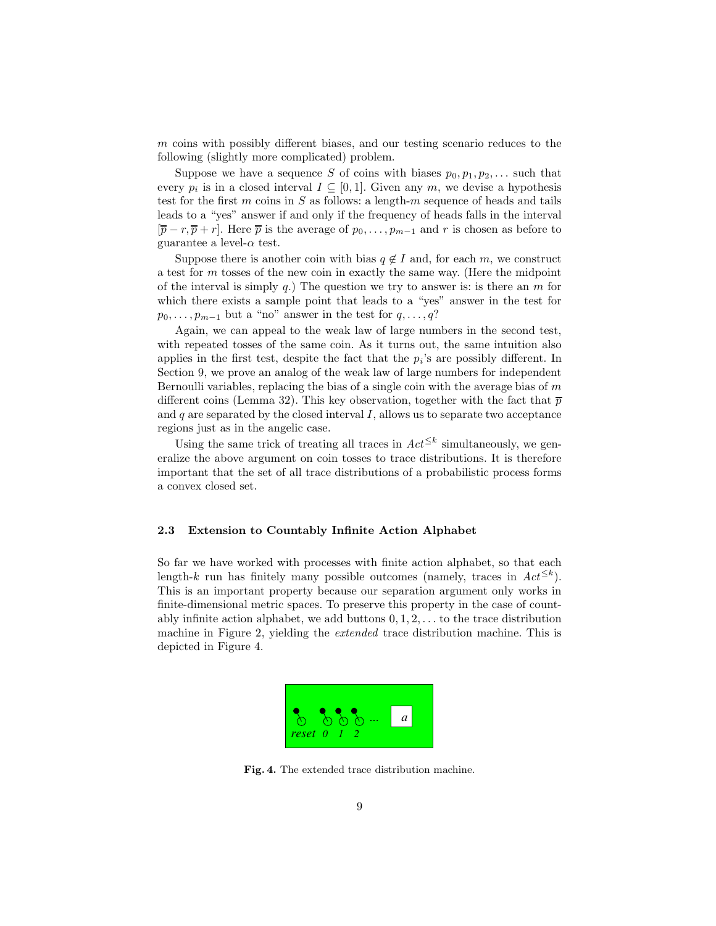m coins with possibly different biases, and our testing scenario reduces to the following (slightly more complicated) problem.

Suppose we have a sequence S of coins with biases  $p_0, p_1, p_2, \ldots$  such that every  $p_i$  is in a closed interval  $I \subseteq [0,1]$ . Given any  $m$ , we devise a hypothesis test for the first  $m$  coins in  $S$  as follows: a length- $m$  sequence of heads and tails leads to a "yes" answer if and only if the frequency of heads falls in the interval  $[\overline{p} - r, \overline{p} + r]$ . Here  $\overline{p}$  is the average of  $p_0, \ldots, p_{m-1}$  and r is chosen as before to guarantee a level- $\alpha$  test.

Suppose there is another coin with bias  $q \notin I$  and, for each m, we construct a test for m tosses of the new coin in exactly the same way. (Here the midpoint of the interval is simply q.) The question we try to answer is: is there an  $m$  for which there exists a sample point that leads to a "yes" answer in the test for  $p_0, \ldots, p_{m-1}$  but a "no" answer in the test for  $q, \ldots, q$ ?

Again, we can appeal to the weak law of large numbers in the second test, with repeated tosses of the same coin. As it turns out, the same intuition also applies in the first test, despite the fact that the  $p_i$ 's are possibly different. In Section 9, we prove an analog of the weak law of large numbers for independent Bernoulli variables, replacing the bias of a single coin with the average bias of  $m$ different coins (Lemma 32). This key observation, together with the fact that  $\bar{p}$ and  $q$  are separated by the closed interval  $I$ , allows us to separate two acceptance regions just as in the angelic case.

Using the same trick of treating all traces in  $Act^{\leq k}$  simultaneously, we generalize the above argument on coin tosses to trace distributions. It is therefore important that the set of all trace distributions of a probabilistic process forms a convex closed set.

#### 2.3 Extension to Countably Infinite Action Alphabet

So far we have worked with processes with finite action alphabet, so that each length-k run has finitely many possible outcomes (namely, traces in  $Act^{\leq k}$ ). This is an important property because our separation argument only works in finite-dimensional metric spaces. To preserve this property in the case of countably infinite action alphabet, we add buttons  $0, 1, 2, \ldots$  to the trace distribution machine in Figure 2, yielding the *extended* trace distribution machine. This is depicted in Figure 4.



Fig. 4. The extended trace distribution machine.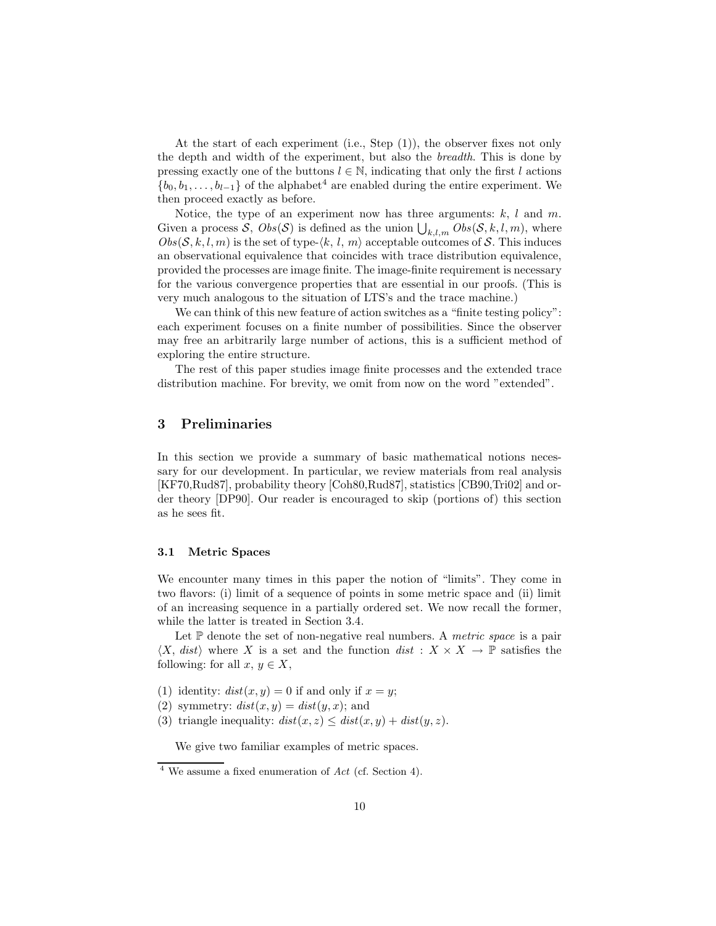At the start of each experiment (i.e., Step (1)), the observer fixes not only the depth and width of the experiment, but also the breadth. This is done by pressing exactly one of the buttons  $l \in \mathbb{N}$ , indicating that only the first l actions  ${b_0, b_1, \ldots, b_{l-1}}$  of the alphabet<sup>4</sup> are enabled during the entire experiment. We then proceed exactly as before.

Notice, the type of an experiment now has three arguments:  $k, l$  and  $m$ . Given a process S,  $Obs(S)$  is defined as the union  $\bigcup_{k,l,m} Obs(S, k, l, m)$ , where  $Obs(\mathcal{S}, k, l, m)$  is the set of type- $\langle k, l, m \rangle$  acceptable outcomes of S. This induces an observational equivalence that coincides with trace distribution equivalence, provided the processes are image finite. The image-finite requirement is necessary for the various convergence properties that are essential in our proofs. (This is very much analogous to the situation of LTS's and the trace machine.)

We can think of this new feature of action switches as a "finite testing policy": each experiment focuses on a finite number of possibilities. Since the observer may free an arbitrarily large number of actions, this is a sufficient method of exploring the entire structure.

The rest of this paper studies image finite processes and the extended trace distribution machine. For brevity, we omit from now on the word "extended".

## 3 Preliminaries

In this section we provide a summary of basic mathematical notions necessary for our development. In particular, we review materials from real analysis [KF70,Rud87], probability theory [Coh80,Rud87], statistics [CB90,Tri02] and order theory [DP90]. Our reader is encouraged to skip (portions of) this section as he sees fit.

## 3.1 Metric Spaces

We encounter many times in this paper the notion of "limits". They come in two flavors: (i) limit of a sequence of points in some metric space and (ii) limit of an increasing sequence in a partially ordered set. We now recall the former, while the latter is treated in Section 3.4.

Let  $\mathbb P$  denote the set of non-negative real numbers. A *metric space* is a pair  $\langle X, dist \rangle$  where X is a set and the function dist :  $X \times X \rightarrow \mathbb{P}$  satisfies the following: for all  $x, y \in X$ ,

- (1) identity:  $dist(x, y) = 0$  if and only if  $x = y$ ;
- (2) symmetry:  $dist(x, y) = dist(y, x)$ ; and
- (3) triangle inequality:  $dist(x, z) \leq dist(x, y) + dist(y, z)$ .

We give two familiar examples of metric spaces.

 $4$  We assume a fixed enumeration of Act (cf. Section 4).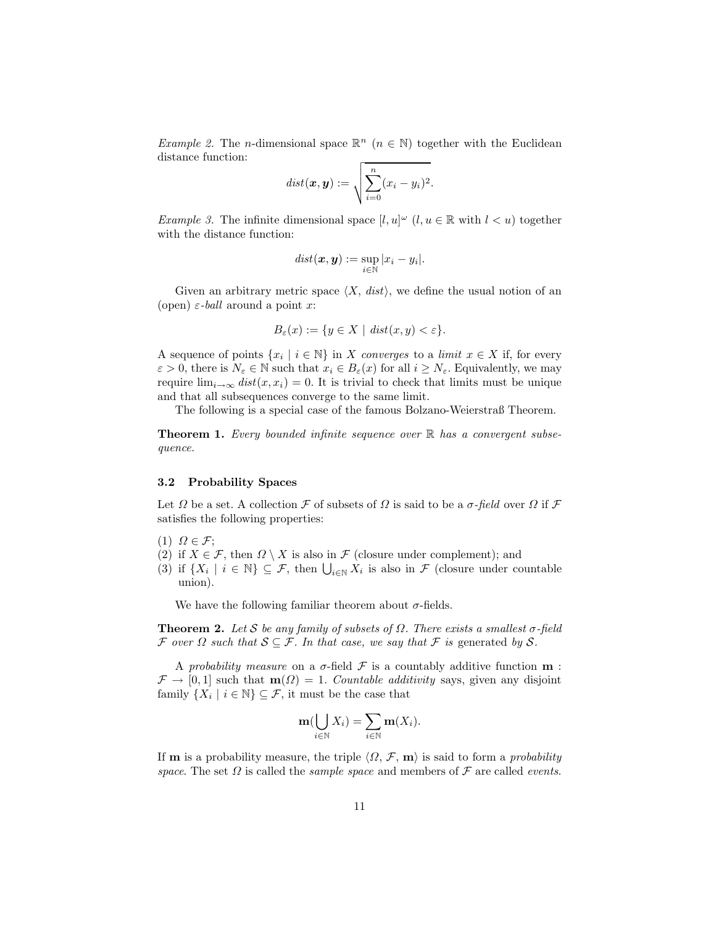*Example 2.* The *n*-dimensional space  $\mathbb{R}^n$  ( $n \in \mathbb{N}$ ) together with the Euclidean distance function:

$$
dist(\boldsymbol{x},\boldsymbol{y}):=\sqrt{\sum_{i=0}^n(x_i-y_i)^2}.
$$

*Example 3.* The infinite dimensional space  $[l, u]^{\omega}$   $(l, u \in \mathbb{R}$  with  $l < u$ ) together with the distance function:

$$
dist(\boldsymbol{x},\boldsymbol{y}):=\sup_{i\in\mathbb{N}}|x_i-y_i|.
$$

Given an arbitrary metric space  $\langle X, dist \rangle$ , we define the usual notion of an (open)  $\varepsilon$ -ball around a point x:

$$
B_{\varepsilon}(x) := \{ y \in X \mid \operatorname{dist}(x, y) < \varepsilon \}.
$$

A sequence of points  $\{x_i \mid i \in \mathbb{N}\}$  in X converges to a limit  $x \in X$  if, for every  $\varepsilon > 0$ , there is  $N_{\varepsilon} \in \mathbb{N}$  such that  $x_i \in B_{\varepsilon}(x)$  for all  $i \geq N_{\varepsilon}$ . Equivalently, we may require  $\lim_{i\to\infty} dist(x, x_i) = 0$ . It is trivial to check that limits must be unique and that all subsequences converge to the same limit.

The following is a special case of the famous Bolzano-Weierstraß Theorem.

**Theorem 1.** Every bounded infinite sequence over  $\mathbb{R}$  has a convergent subsequence.

## 3.2 Probability Spaces

Let  $\Omega$  be a set. A collection  $\mathcal F$  of subsets of  $\Omega$  is said to be a  $\sigma$ -field over  $\Omega$  if  $\mathcal F$ satisfies the following properties:

- (1)  $\Omega \in \mathcal{F}$ ;
- (2) if  $X \in \mathcal{F}$ , then  $\Omega \setminus X$  is also in  $\mathcal{F}$  (closure under complement); and
- (3) if  $\{X_i \mid i \in \mathbb{N}\} \subseteq \mathcal{F}$ , then  $\bigcup_{i \in \mathbb{N}} X_i$  is also in  $\mathcal{F}$  (closure under countable union).

We have the following familiar theorem about  $\sigma$ -fields.

**Theorem 2.** Let S be any family of subsets of  $\Omega$ . There exists a smallest  $\sigma$ -field F over  $\Omega$  such that  $S \subseteq \mathcal{F}$ . In that case, we say that  $\mathcal{F}$  is generated by S.

A probability measure on a  $\sigma$ -field  $\mathcal F$  is a countably additive function  $\mathbf m$ :  $\mathcal{F} \to [0, 1]$  such that  $\mathbf{m}(\Omega) = 1$ . Countable additivity says, given any disjoint family  $\{X_i \mid i \in \mathbb{N}\} \subseteq \mathcal{F}$ , it must be the case that

$$
\mathbf{m}(\bigcup_{i\in\mathbb{N}}X_i)=\sum_{i\in\mathbb{N}}\mathbf{m}(X_i).
$$

If **m** is a probability measure, the triple  $\langle \Omega, \mathcal{F}, \mathbf{m} \rangle$  is said to form a *probability* space. The set  $\Omega$  is called the *sample space* and members of  $\mathcal F$  are called *events*.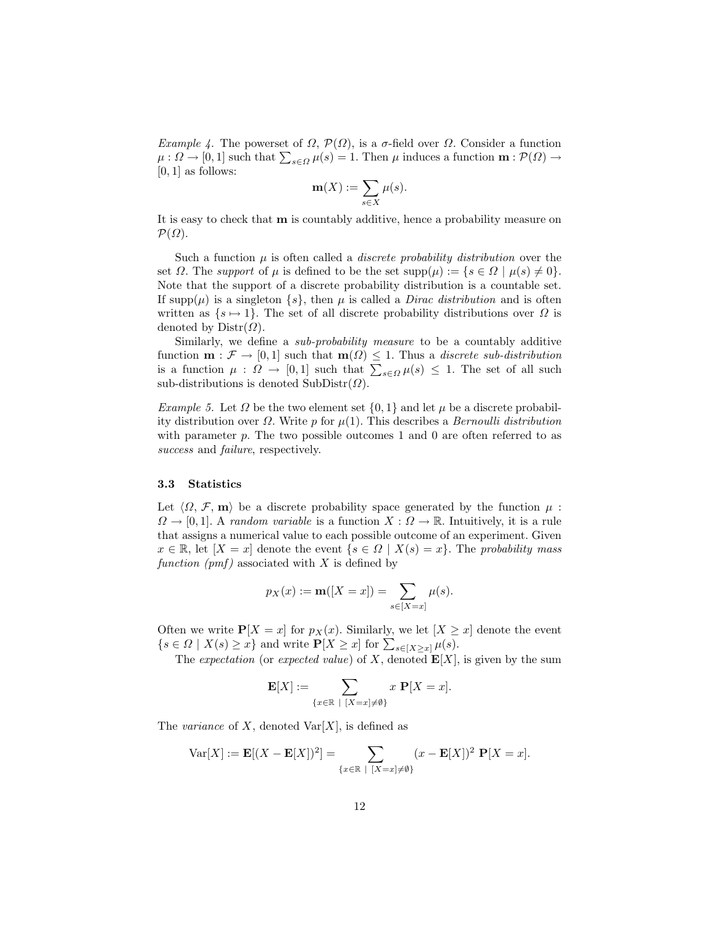Example 4. The powerset of  $\Omega$ ,  $\mathcal{P}(\Omega)$ , is a  $\sigma$ -field over  $\Omega$ . Consider a function  $\mu: \Omega \to [0,1]$  such that  $\sum_{s \in \Omega} \mu(s) = 1$ . Then  $\mu$  induces a function  $\mathbf{m}: \mathcal{P}(\Omega) \to$  $[0, 1]$  as follows:

$$
\mathbf{m}(X) := \sum_{s \in X} \mu(s).
$$

It is easy to check that m is countably additive, hence a probability measure on  $\mathcal{P}(\Omega)$ .

Such a function  $\mu$  is often called a *discrete probability distribution* over the set  $\Omega$ . The support of  $\mu$  is defined to be the set  $\text{supp}(\mu) := \{s \in \Omega \mid \mu(s) \neq 0\}.$ Note that the support of a discrete probability distribution is a countable set. If supp( $\mu$ ) is a singleton {s}, then  $\mu$  is called a *Dirac distribution* and is often written as  $\{s \mapsto 1\}$ . The set of all discrete probability distributions over  $\Omega$  is denoted by  $\text{Distr}(\Omega)$ .

Similarly, we define a sub-probability measure to be a countably additive function  $\mathbf{m}: \mathcal{F} \to [0,1]$  such that  $\mathbf{m}(\Omega) \leq 1$ . Thus a *discrete sub-distribution* is a function  $\mu : \Omega \to [0,1]$  such that  $\sum_{s \in \Omega} \mu(s) \leq 1$ . The set of all such sub-distributions is denoted  $\text{SubDistr}(\Omega)$ .

Example 5. Let  $\Omega$  be the two element set  $\{0, 1\}$  and let  $\mu$  be a discrete probability distribution over  $\Omega$ . Write p for  $\mu(1)$ . This describes a *Bernoulli distribution* with parameter  $p$ . The two possible outcomes 1 and 0 are often referred to as success and *failure*, respectively.

#### 3.3 Statistics

Let  $\langle \Omega, \mathcal{F}, \mathbf{m} \rangle$  be a discrete probability space generated by the function  $\mu$ :  $\Omega \to [0,1]$ . A random variable is a function  $X : \Omega \to \mathbb{R}$ . Intuitively, it is a rule that assigns a numerical value to each possible outcome of an experiment. Given  $x \in \mathbb{R}$ , let  $[X = x]$  denote the event  $\{s \in \Omega \mid X(s) = x\}$ . The probability mass function  $(pmf)$  associated with X is defined by

$$
p_X(x) := \mathbf{m}([X = x]) = \sum_{s \in [X = x]} \mu(s).
$$

Often we write  $P[X = x]$  for  $p_X(x)$ . Similarly, we let  $[X \geq x]$  denote the event  $\{s \in \Omega \mid X(s) \geq x\}$  and write  $\mathbf{P}[X \geq x]$  for  $\sum_{s \in [X \geq x]} \mu(s)$ .

The expectation (or expected value) of X, denoted  $E[X]$ , is given by the sum

$$
\mathbf{E}[X] := \sum_{\{x \in \mathbb{R} \mid [X=x] \neq \emptyset\}} x \mathbf{P}[X=x].
$$

The *variance* of X, denoted  $\text{Var}[X]$ , is defined as

$$
Var[X] := \mathbf{E}[(X - \mathbf{E}[X])^{2}] = \sum_{\{x \in \mathbb{R} \mid [X=x] \neq \emptyset\}} (x - \mathbf{E}[X])^{2} \mathbf{P}[X=x].
$$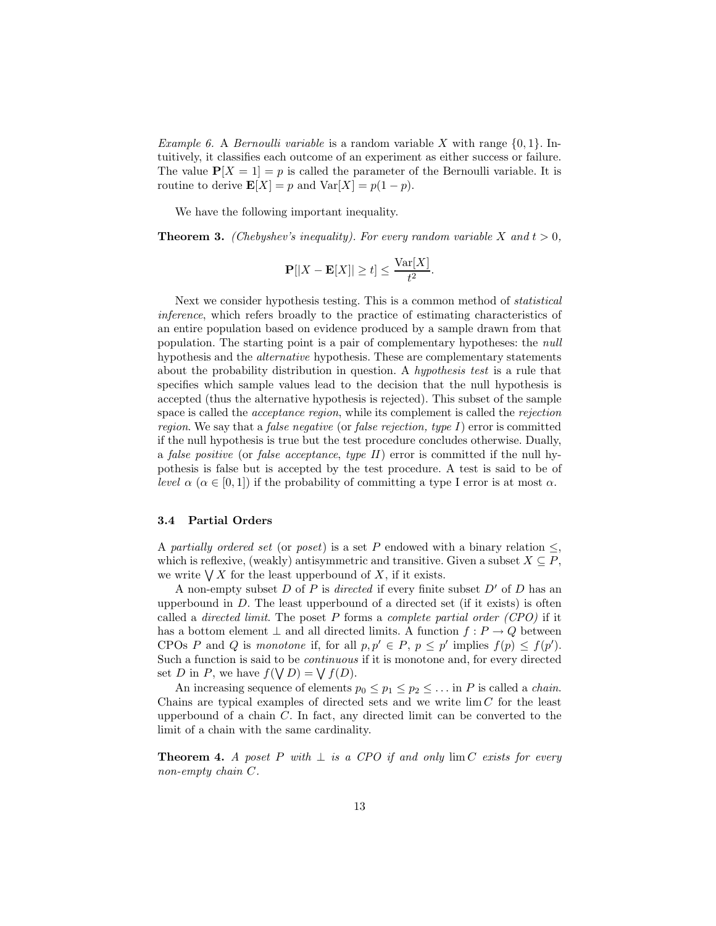*Example 6.* A *Bernoulli variable* is a random variable X with range  $\{0, 1\}$ . Intuitively, it classifies each outcome of an experiment as either success or failure. The value  $P[X = 1] = p$  is called the parameter of the Bernoulli variable. It is routine to derive  $\mathbf{E}[X] = p$  and  $\text{Var}[X] = p(1-p)$ .

We have the following important inequality.

**Theorem 3.** (Chebyshev's inequality). For every random variable X and  $t > 0$ ,

$$
\mathbf{P}[|X - \mathbf{E}[X]| \ge t] \le \frac{\text{Var}[X]}{t^2}.
$$

Next we consider hypothesis testing. This is a common method of statistical inference, which refers broadly to the practice of estimating characteristics of an entire population based on evidence produced by a sample drawn from that population. The starting point is a pair of complementary hypotheses: the null hypothesis and the *alternative* hypothesis. These are complementary statements about the probability distribution in question. A hypothesis test is a rule that specifies which sample values lead to the decision that the null hypothesis is accepted (thus the alternative hypothesis is rejected). This subset of the sample space is called the *acceptance region*, while its complement is called the *rejection* region. We say that a *false negative* (or *false rejection, type I*) error is committed if the null hypothesis is true but the test procedure concludes otherwise. Dually, a *false positive* (or *false acceptance*, *type II*) error is committed if the null hypothesis is false but is accepted by the test procedure. A test is said to be of *level*  $\alpha$  ( $\alpha \in [0,1]$ ) if the probability of committing a type I error is at most  $\alpha$ .

### 3.4 Partial Orders

A partially ordered set (or poset) is a set P endowed with a binary relation  $\leq$ , which is reflexive, (weakly) antisymmetric and transitive. Given a subset  $X \subseteq P$ , we write  $\bigvee X$  for the least upperbound of X, if it exists.

A non-empty subset D of P is directed if every finite subset  $D'$  of D has an upperbound in  $D$ . The least upperbound of a directed set (if it exists) is often called a *directed limit*. The poset  $P$  forms a *complete partial order (CPO)* if it has a bottom element  $\perp$  and all directed limits. A function  $f: P \to Q$  between CPOs P and Q is monotone if, for all  $p, p' \in P$ ,  $p \leq p'$  implies  $f(p) \leq f(p')$ . Such a function is said to be continuous if it is monotone and, for every directed set D in P, we have  $f(\bigvee D) = \bigvee f(D)$ .

An increasing sequence of elements  $p_0 \leq p_1 \leq p_2 \leq \ldots$  in P is called a *chain*. Chains are typical examples of directed sets and we write  $\lim C$  for the least upperbound of a chain C. In fact, any directed limit can be converted to the limit of a chain with the same cardinality.

**Theorem 4.** A poset P with  $\perp$  is a CPO if and only lim C exists for every non-empty chain C.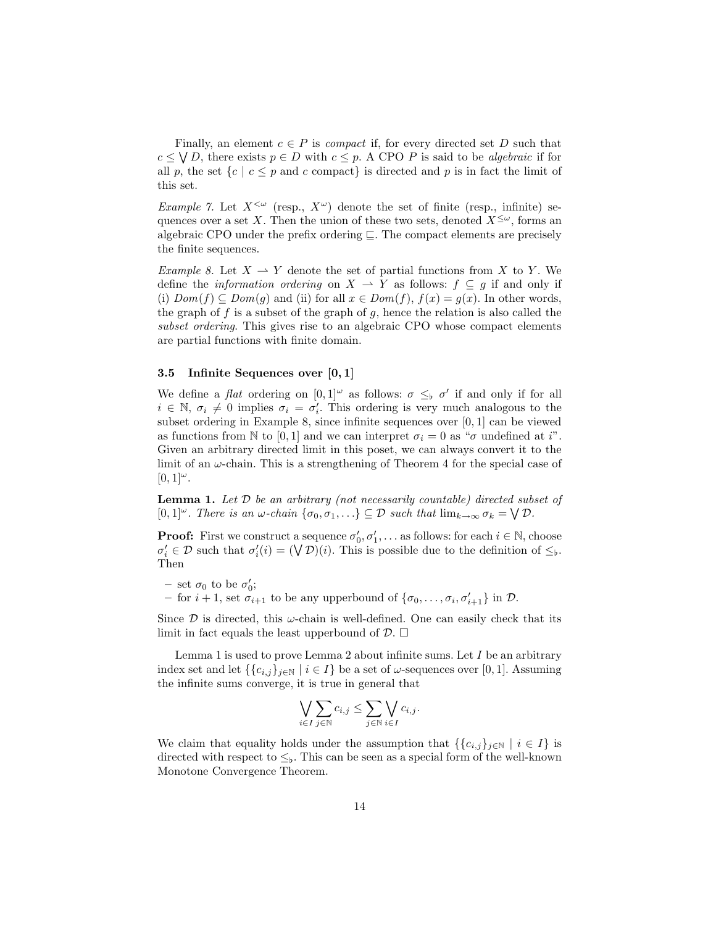Finally, an element  $c \in P$  is *compact* if, for every directed set D such that  $c \leq \bigvee D$ , there exists  $p \in D$  with  $c \leq p$ . A CPO P is said to be *algebraic* if for all p, the set  ${c | c \leq p \text{ and } c \text{ compact}}$  is directed and p is in fact the limit of this set.

Example 7. Let  $X^{\leq \omega}$  (resp.,  $X^{\omega}$ ) denote the set of finite (resp., infinite) sequences over a set X. Then the union of these two sets, denoted  $X^{\leq \omega}$ , forms an algebraic CPO under the prefix ordering  $\Box$ . The compact elements are precisely the finite sequences.

Example 8. Let  $X \rightharpoonup Y$  denote the set of partial functions from X to Y. We define the *information ordering* on  $X \rightharpoonup Y$  as follows:  $f \rightharpoonup g$  if and only if (i)  $Dom(f) \subseteq Dom(g)$  and (ii) for all  $x \in Dom(f)$ ,  $f(x) = g(x)$ . In other words, the graph of f is a subset of the graph of  $g$ , hence the relation is also called the subset ordering. This gives rise to an algebraic CPO whose compact elements are partial functions with finite domain.

## 3.5 Infinite Sequences over [0, 1]

We define a *flat* ordering on  $[0,1]^\omega$  as follows:  $\sigma \leq_b \sigma'$  if and only if for all  $i \in \mathbb{N}, \sigma_i \neq 0$  implies  $\sigma_i = \sigma'_i$ . This ordering is very much analogous to the subset ordering in Example 8, since infinite sequences over [0, 1] can be viewed as functions from N to [0, 1] and we can interpret  $\sigma_i = 0$  as " $\sigma$  undefined at i". Given an arbitrary directed limit in this poset, we can always convert it to the limit of an  $\omega$ -chain. This is a strengthening of Theorem 4 for the special case of  $[0, 1]^\omega$ .

**Lemma 1.** Let  $D$  be an arbitrary (not necessarily countable) directed subset of  $[0,1]^\omega$ . There is an  $\omega$ -chain  $\{\sigma_0, \sigma_1, \ldots\} \subseteq \mathcal{D}$  such that  $\lim_{k \to \infty} \sigma_k = \bigvee \mathcal{D}$ .

**Proof:** First we construct a sequence  $\sigma'_0, \sigma'_1, \ldots$  as follows: for each  $i \in \mathbb{N}$ , choose  $\sigma'_i \in \mathcal{D}$  such that  $\sigma'_i(i) = (\bigvee \mathcal{D})(i)$ . This is possible due to the definition of  $\leq_{\flat}$ . Then

- $-$  set  $\sigma_0$  to be  $\sigma'_0$ ;
- $-$  for  $i+1$ , set  $\sigma_{i+1}$  to be any upperbound of  $\{\sigma_0, \ldots, \sigma_i, \sigma'_{i+1}\}\$ in  $\mathcal{D}$ .

Since  $\mathcal D$  is directed, this  $\omega$ -chain is well-defined. One can easily check that its limit in fact equals the least upperbound of  $\mathcal{D}$ .  $\Box$ 

Lemma 1 is used to prove Lemma 2 about infinite sums. Let  $I$  be an arbitrary index set and let  $\{\{c_{i,j}\}_{j\in\mathbb{N}} | i \in I\}$  be a set of  $\omega$ -sequences over [0, 1]. Assuming the infinite sums converge, it is true in general that

$$
\bigvee_{i \in I} \sum_{j \in \mathbb{N}} c_{i,j} \leq \sum_{j \in \mathbb{N}} \bigvee_{i \in I} c_{i,j}.
$$

We claim that equality holds under the assumption that  $\{\{c_{i,j}\}_{j\in\mathbb{N}} \mid i \in I\}$  is directed with respect to  $\leq_{\flat}$ . This can be seen as a special form of the well-known Monotone Convergence Theorem.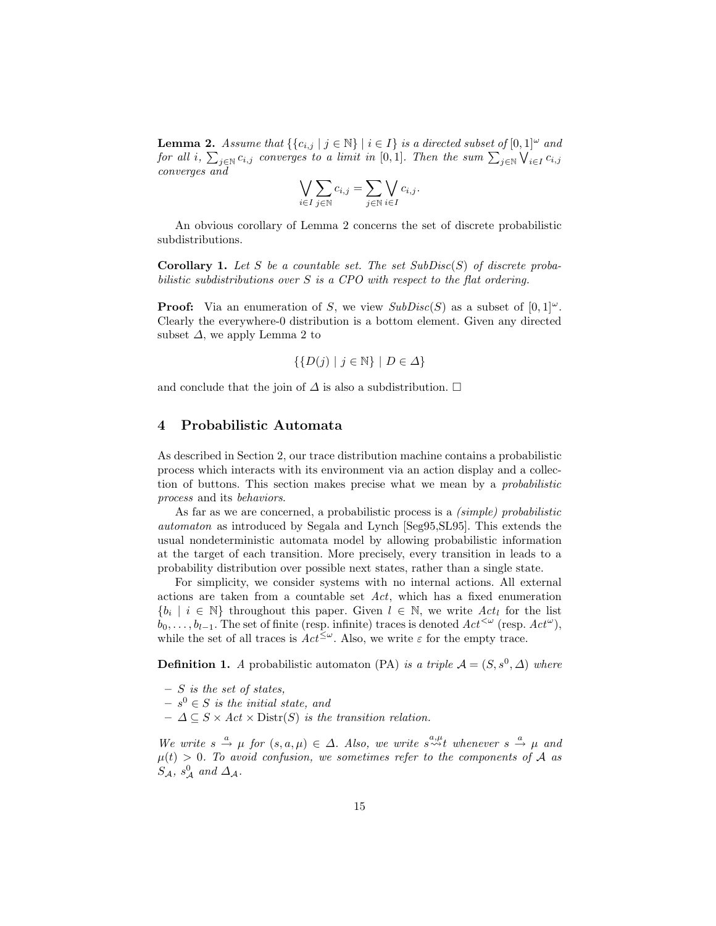**Lemma 2.** Assume that  $\{\{c_{i,j} | j \in \mathbb{N}\} | i \in I\}$  is a directed subset of  $[0,1]^\omega$  and for all i,  $\sum_{j\in\mathbb{N}}c_{i,j}$  converges to a limit in  $[0,1]$ . Then the sum  $\sum_{j\in\mathbb{N}}\bigvee_{i\in I}c_{i,j}$ converges and

$$
\bigvee_{i \in I} \sum_{j \in \mathbb{N}} c_{i,j} = \sum_{j \in \mathbb{N}} \bigvee_{i \in I} c_{i,j}.
$$

An obvious corollary of Lemma 2 concerns the set of discrete probabilistic subdistributions.

**Corollary 1.** Let S be a countable set. The set  $SubDisc(S)$  of discrete probabilistic subdistributions over S is a CPO with respect to the flat ordering.

**Proof:** Via an enumeration of S, we view  $SubDisc(S)$  as a subset of  $[0, 1]^\omega$ . Clearly the everywhere-0 distribution is a bottom element. Given any directed subset  $\Delta$ , we apply Lemma 2 to

$$
\{\{D(j)\mid j\in\mathbb{N}\}\mid D\in\varDelta\}
$$

and conclude that the join of  $\Delta$  is also a subdistribution.  $\square$ 

## 4 Probabilistic Automata

As described in Section 2, our trace distribution machine contains a probabilistic process which interacts with its environment via an action display and a collection of buttons. This section makes precise what we mean by a probabilistic process and its behaviors.

As far as we are concerned, a probabilistic process is a (simple) probabilistic automaton as introduced by Segala and Lynch [Seg95,SL95]. This extends the usual nondeterministic automata model by allowing probabilistic information at the target of each transition. More precisely, every transition in leads to a probability distribution over possible next states, rather than a single state.

For simplicity, we consider systems with no internal actions. All external actions are taken from a countable set Act, which has a fixed enumeration  $\{b_i \mid i \in \mathbb{N}\}\$  throughout this paper. Given  $l \in \mathbb{N}$ , we write  $Act_l$  for the list  $b_0, \ldots, b_{l-1}$ . The set of finite (resp. infinite) traces is denoted  $Act^{\lt}\omega$  (resp.  $Act^{\omega}$ ), while the set of all traces is  $Act^{\leq\omega}$ . Also, we write  $\varepsilon$  for the empty trace.

**Definition 1.** A probabilistic automaton (PA) is a triple  $A = (S, s^0, \Delta)$  where

- $S$  is the set of states,
- $s<sup>0</sup> \in S$  is the initial state, and
- $\Delta \subseteq S \times Act \times Dist(S)$  is the transition relation.

We write  $s \stackrel{a}{\rightarrow} \mu$  for  $(s, a, \mu) \in \Delta$ . Also, we write  $s \stackrel{a}{\rightarrow} t$  whenever  $s \stackrel{a}{\rightarrow} \mu$  and  $\mu(t) > 0$ . To avoid confusion, we sometimes refer to the components of A as  $S_{\mathcal{A}}, s_{\mathcal{A}}^0$  and  $\Delta_{\mathcal{A}}$ .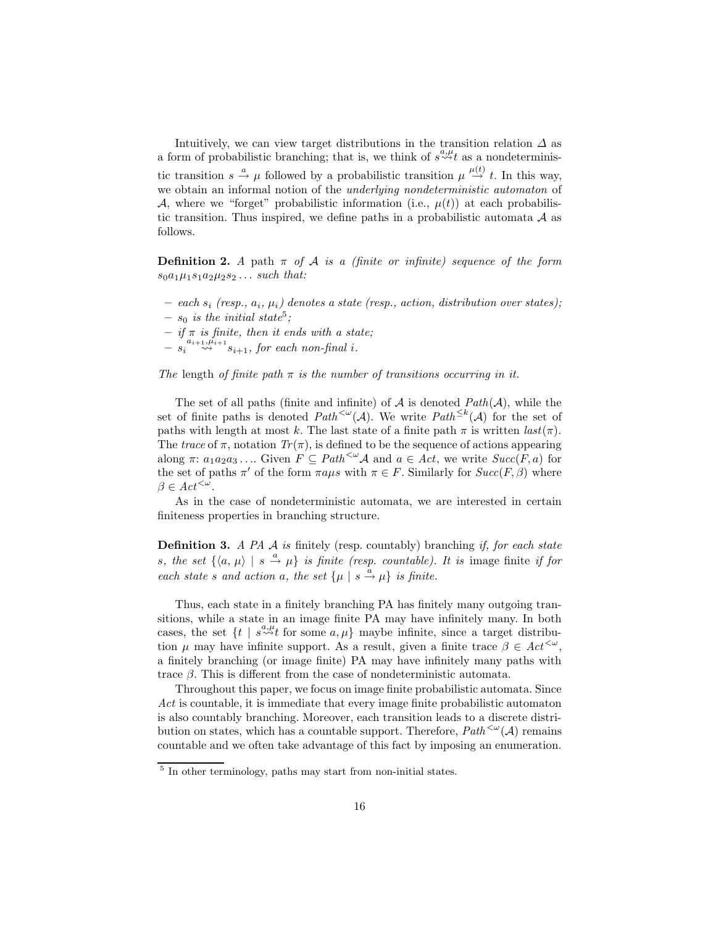Intuitively, we can view target distributions in the transition relation  $\Delta$  as a form of probabilistic branching; that is, we think of  $s \stackrel{a,\mu}{\leadsto} t$  as a nondeterministic transition  $s \stackrel{a}{\rightarrow} \mu$  followed by a probabilistic transition  $\mu \stackrel{\mu(t)}{\rightarrow} t$ . In this way, we obtain an informal notion of the underlying nondeterministic automaton of A, where we "forget" probabilistic information (i.e.,  $\mu(t)$ ) at each probabilistic transition. Thus inspired, we define paths in a probabilistic automata  $A$  as follows.

**Definition 2.** A path  $\pi$  of A is a (finite or infinite) sequence of the form  $s_0a_1\mu_1s_1a_2\mu_2s_2...$  such that:

- each  $s_i$  (resp.,  $a_i$ ,  $\mu_i$ ) denotes a state (resp., action, distribution over states);
- $-$  s<sub>0</sub> is the initial state<sup>5</sup>;
- $-$  if  $\pi$  is finite, then it ends with a state;
- $s_i \stackrel{a_{i+1},\mu_{i+1}}{\leadsto} s_{i+1}$ , for each non-final i.

The length of finite path  $\pi$  is the number of transitions occurring in it.

The set of all paths (finite and infinite) of  $A$  is denoted  $Path(A)$ , while the set of finite paths is denoted  $Path^{\leq \omega}(\mathcal{A})$ . We write  $Path^{\leq k}(\mathcal{A})$  for the set of paths with length at most k. The last state of a finite path  $\pi$  is written  $last(\pi)$ . The trace of  $\pi$ , notation  $Tr(\pi)$ , is defined to be the sequence of actions appearing along  $\pi: a_1a_2a_3\ldots$  Given  $F \subseteq Path^{<\omega}A$  and  $a \in Act$ , we write  $Succ(F, a)$  for the set of paths  $\pi'$  of the form  $\pi a \mu s$  with  $\pi \in F$ . Similarly for  $Succ(F, \beta)$  where  $\beta \in \text{Act}^{<\omega}.$ 

As in the case of nondeterministic automata, we are interested in certain finiteness properties in branching structure.

**Definition 3.** A PA  $\mathcal A$  is finitely (resp. countably) branching if, for each state s, the set  $\{\langle a, \mu \rangle \mid s \stackrel{a}{\rightarrow} \mu\}$  is finite (resp. countable). It is image finite if for each state s and action a, the set  $\{\mu \mid s \stackrel{a}{\rightarrow} \mu\}$  is finite.

Thus, each state in a finitely branching PA has finitely many outgoing transitions, while a state in an image finite PA may have infinitely many. In both cases, the set  $\{t \mid s \stackrel{a,\mu}{\leadsto} t \text{ for some } a,\mu\}$  maybe infinite, since a target distribution  $\mu$  may have infinite support. As a result, given a finite trace  $\beta \in \text{Act}^{<\omega}$ , a finitely branching (or image finite) PA may have infinitely many paths with trace  $\beta$ . This is different from the case of nondeterministic automata.

Throughout this paper, we focus on image finite probabilistic automata. Since Act is countable, it is immediate that every image finite probabilistic automaton is also countably branching. Moreover, each transition leads to a discrete distribution on states, which has a countable support. Therefore,  $Path^{\langle \omega}(\mathcal{A})$  remains countable and we often take advantage of this fact by imposing an enumeration.

<sup>5</sup> In other terminology, paths may start from non-initial states.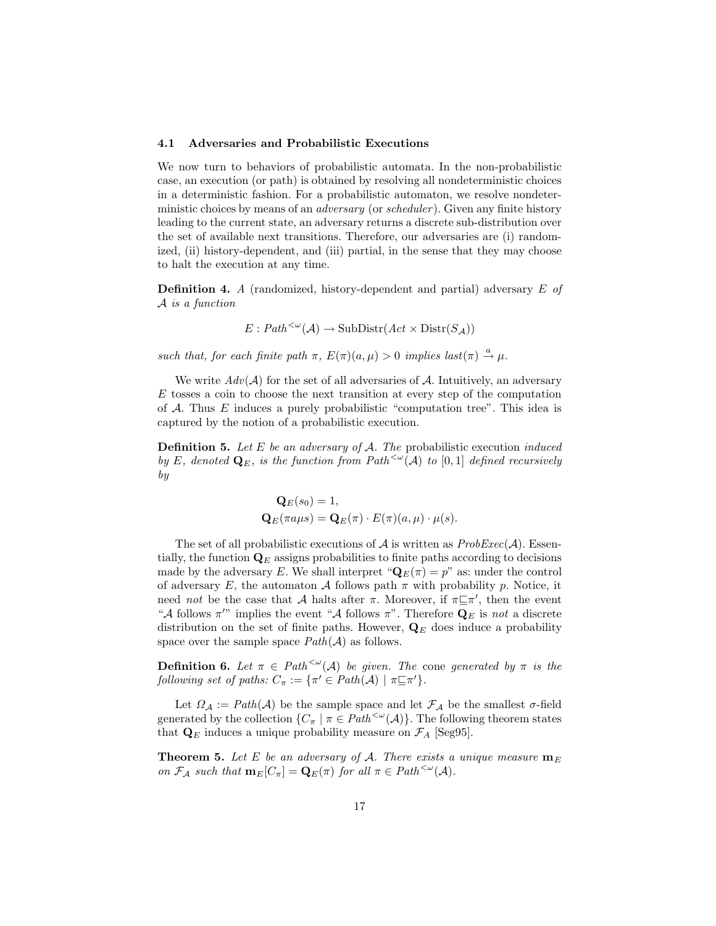#### 4.1 Adversaries and Probabilistic Executions

We now turn to behaviors of probabilistic automata. In the non-probabilistic case, an execution (or path) is obtained by resolving all nondeterministic choices in a deterministic fashion. For a probabilistic automaton, we resolve nondeterministic choices by means of an *adversary* (or *scheduler*). Given any finite history leading to the current state, an adversary returns a discrete sub-distribution over the set of available next transitions. Therefore, our adversaries are (i) randomized, (ii) history-dependent, and (iii) partial, in the sense that they may choose to halt the execution at any time.

**Definition 4.** A (randomized, history-dependent and partial) adversary  $E$  of A is a function

$$
E: \mathit{Path}^{<\omega}(\mathcal{A}) \to \mathrm{SubDistr}(\mathit{Act} \times \mathrm{Distr}(\mathit{S}_{\mathcal{A}}))
$$

such that, for each finite path  $\pi$ ,  $E(\pi)(a,\mu) > 0$  implies  $last(\pi) \stackrel{a}{\rightarrow} \mu$ .

We write  $Adv(\mathcal{A})$  for the set of all adversaries of  $\mathcal{A}$ . Intuitively, an adversary E tosses a coin to choose the next transition at every step of the computation of  $A$ . Thus  $E$  induces a purely probabilistic "computation tree". This idea is captured by the notion of a probabilistic execution.

**Definition 5.** Let E be an adversary of  $A$ . The probabilistic execution induced by E, denoted  $\mathbf{Q}_E$ , is the function from Path<sup> $\leq \omega(\mathcal{A})$ </sup> to [0,1] defined recursively by

$$
\mathbf{Q}_E(s_0) = 1,
$$
  
\n
$$
\mathbf{Q}_E(\pi a \mu s) = \mathbf{Q}_E(\pi) \cdot E(\pi)(a, \mu) \cdot \mu(s).
$$

The set of all probabilistic executions of  $A$  is written as  $ProbExec(A)$ . Essentially, the function  $\mathbf{Q}_E$  assigns probabilities to finite paths according to decisions made by the adversary E. We shall interpret " $\mathbf{Q}_E(\pi) = p$ " as: under the control of adversary E, the automaton A follows path  $\pi$  with probability p. Notice, it need not be the case that A halts after  $\pi$ . Moreover, if  $\pi \underline{\sqsubseteq} \pi'$ , then the event "A follows  $\pi$ " implies the event "A follows  $\pi$ ". Therefore  $\mathbf{Q}_E$  is not a discrete distribution on the set of finite paths. However,  $\mathbf{Q}_E$  does induce a probability space over the sample space  $Path(\mathcal{A})$  as follows.

**Definition 6.** Let  $\pi \in Path^{\langle \omega(\mathcal{A}) \rangle}$  be given. The cone generated by  $\pi$  is the following set of paths:  $C_{\pi} := \{ \pi' \in Path(\mathcal{A}) \mid \pi \sqsubseteq \pi' \}.$ 

Let  $\Omega_{\mathcal{A}} := \text{Path}(\mathcal{A})$  be the sample space and let  $\mathcal{F}_{\mathcal{A}}$  be the smallest  $\sigma$ -field generated by the collection  $\{C_{\pi} \mid \pi \in Path^{<\omega}(\mathcal{A})\}\.$  The following theorem states that  $\mathbf{Q}_E$  induces a unique probability measure on  $\mathcal{F}_A$  [Seg95].

**Theorem 5.** Let E be an adversary of A. There exists a unique measure  $m_E$ on  $\mathcal{F}_{\mathcal{A}}$  such that  $\mathbf{m}_E[C_\pi] = \mathbf{Q}_E(\pi)$  for all  $\pi \in Path^{<\omega}(\mathcal{A})$ .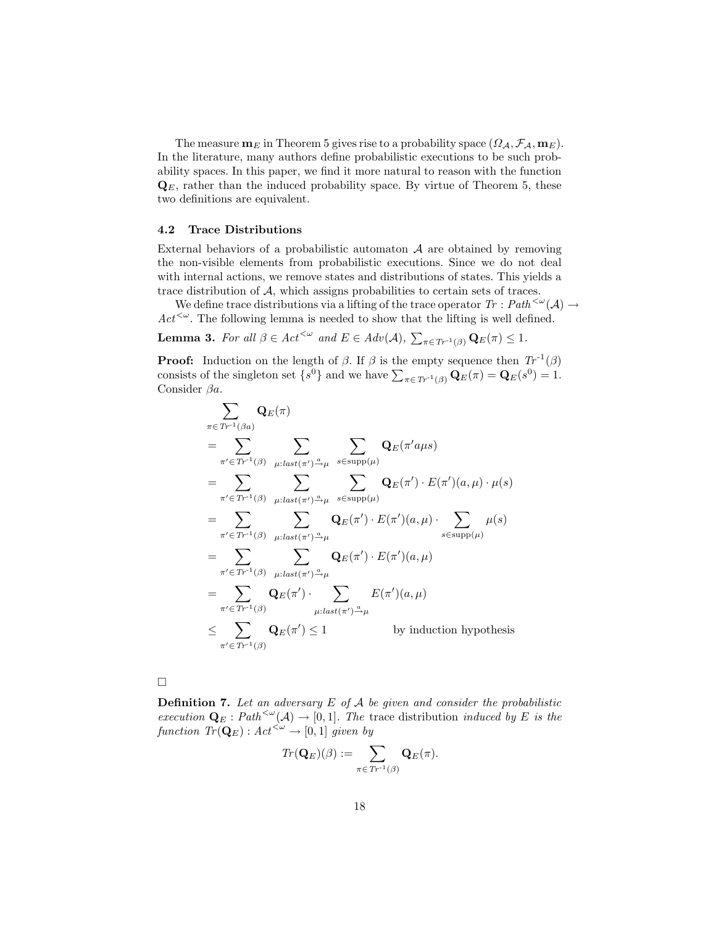The measure  $\mathbf{m}_E$  in Theorem 5 gives rise to a probability space  $(\Omega_{\mathcal{A}}, \mathcal{F}_{\mathcal{A}}, \mathbf{m}_E)$ . In the literature, many authors define probabilistic executions to be such probability spaces. In this paper, we find it more natural to reason with the function  $\mathbf{Q}_E$ , rather than the induced probability space. By virtue of Theorem 5, these two definitions are equivalent.

## 4.2 Trace Distributions

External behaviors of a probabilistic automaton  $A$  are obtained by removing the non-visible elements from probabilistic executions. Since we do not deal with internal actions, we remove states and distributions of states. This yields a trace distribution of A, which assigns probabilities to certain sets of traces.

We define trace distributions via a lifting of the trace operator  $Tr : Path^{<\omega}(\mathcal{A}) \rightarrow$  $Act^{\leq\omega}$ . The following lemma is needed to show that the lifting is well defined.

**Lemma 3.** For all  $\beta \in Act^{\leq \omega}$  and  $E \in Adv(\mathcal{A}), \sum_{\pi \in Tr^{-1}(\beta)} \mathbf{Q}_E(\pi) \leq 1$ .

**Proof:** Induction on the length of  $\beta$ . If  $\beta$  is the empty sequence then  $Tr^{-1}(\beta)$ consists of the singleton set  $\{s^0\}$  and we have  $\sum_{\pi \in Tr^{-1}(\beta)} \mathbf{Q}_E(\pi) = \mathbf{Q}_E(s^0) = 1$ . Consider βa.

$$
\sum_{\pi \in Tr^{-1}(\beta a)} \mathbf{Q}_{E}(\pi)
$$
\n
$$
= \sum_{\pi' \in Tr^{-1}(\beta)} \sum_{\mu:\text{last}(\pi') \stackrel{\alpha}{\rightarrow} \mu} \sum_{s \in \text{supp}(\mu)} \mathbf{Q}_{E}(\pi' a \mu s)
$$
\n
$$
= \sum_{\pi' \in Tr^{-1}(\beta)} \sum_{\mu:\text{last}(\pi') \stackrel{\alpha}{\rightarrow} \mu} \sum_{s \in \text{supp}(\mu)} \mathbf{Q}_{E}(\pi') \cdot E(\pi')(a, \mu) \cdot \mu(s)
$$
\n
$$
= \sum_{\pi' \in Tr^{-1}(\beta)} \sum_{\mu:\text{last}(\pi') \stackrel{\alpha}{\rightarrow} \mu} \mathbf{Q}_{E}(\pi') \cdot E(\pi')(a, \mu) \cdot \sum_{s \in \text{supp}(\mu)} \mu(s)
$$
\n
$$
= \sum_{\pi' \in Tr^{-1}(\beta)} \sum_{\mu:\text{last}(\pi') \stackrel{\alpha}{\rightarrow} \mu} \mathbf{Q}_{E}(\pi') \cdot E(\pi')(a, \mu)
$$
\n
$$
= \sum_{\pi' \in Tr^{-1}(\beta)} \mathbf{Q}_{E}(\pi') \cdot \sum_{\mu:\text{last}(\pi') \stackrel{\alpha}{\rightarrow} \mu} E(\pi')(a, \mu)
$$
\n
$$
\leq \sum_{\pi' \in Tr^{-1}(\beta)} \mathbf{Q}_{E}(\pi') \leq 1 \qquad \text{by induction hypothesis}
$$

**Definition 7.** Let an adversary  $E$  of  $A$  be given and consider the probabilistic execution  $\mathbf{Q}_E : \mathit{Path}^{<\omega}(\mathcal{A}) \to [0,1].$  The trace distribution induced by E is the function  $Tr(Q_E) : Act^{<\omega} \to [0,1]$  given by

$$
Tr(\mathbf{Q}_E)(\beta) := \sum_{\pi \in Tr^{-1}(\beta)} \mathbf{Q}_E(\pi).
$$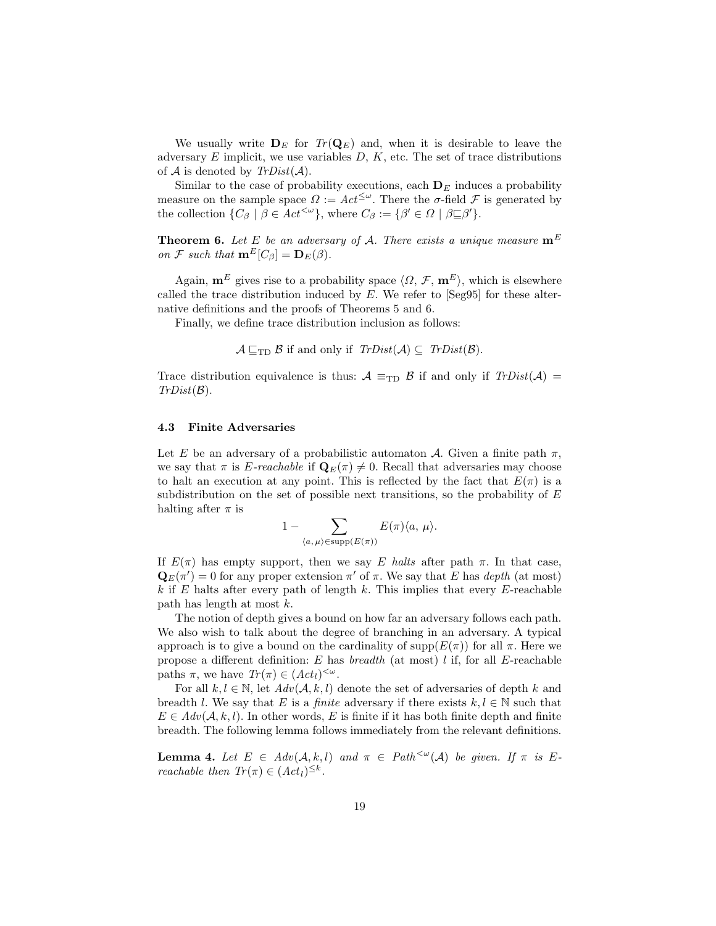We usually write  $D_E$  for  $Tr(Q_E)$  and, when it is desirable to leave the adversary  $E$  implicit, we use variables  $D, K$ , etc. The set of trace distributions of A is denoted by  $TrDist(\mathcal{A})$ .

Similar to the case of probability executions, each  $D<sub>E</sub>$  induces a probability measure on the sample space  $\Omega := Act^{\leq \omega}$ . There the  $\sigma$ -field  $\mathcal F$  is generated by the collection  $\{C_\beta \mid \beta \in \text{Act}^{<\omega}\}\$ , where  $C_\beta := \{\beta' \in \Omega \mid \beta \sqsubseteq \beta'\}\$ .

**Theorem 6.** Let E be an adversary of A. There exists a unique measure  $\mathbf{m}^E$ on F such that  $\mathbf{m}^E[C_\beta] = \mathbf{D}_E(\beta)$ .

Again,  $\mathbf{m}^E$  gives rise to a probability space  $\langle \Omega, \mathcal{F}, \mathbf{m}^E \rangle$ , which is elsewhere called the trace distribution induced by  $E$ . We refer to  $[Seg95]$  for these alternative definitions and the proofs of Theorems 5 and 6.

Finally, we define trace distribution inclusion as follows:

 $\mathcal{A} \sqsubset_{\text{TD}} \mathcal{B}$  if and only if  $TrDist(\mathcal{A}) \subseteq TrDist(\mathcal{B}).$ 

Trace distribution equivalence is thus:  $A \equiv_{\text{TD}} B$  if and only if  $TrDist(A)$  $TrDist(\mathcal{B}).$ 

#### 4.3 Finite Adversaries

Let E be an adversary of a probabilistic automaton A. Given a finite path  $\pi$ , we say that  $\pi$  is E-reachable if  $\mathbf{Q}_E(\pi) \neq 0$ . Recall that adversaries may choose to halt an execution at any point. This is reflected by the fact that  $E(\pi)$  is a subdistribution on the set of possible next transitions, so the probability of  $E$ halting after  $\pi$  is

$$
1 - \sum_{\langle a, \mu \rangle \in \text{supp}(E(\pi))} E(\pi) \langle a, \mu \rangle.
$$

If  $E(\pi)$  has empty support, then we say E halts after path  $\pi$ . In that case,  $\mathbf{Q}_E(\pi') = 0$  for any proper extension  $\pi'$  of  $\pi$ . We say that E has depth (at most)  $k$  if E halts after every path of length  $k$ . This implies that every E-reachable path has length at most k.

The notion of depth gives a bound on how far an adversary follows each path. We also wish to talk about the degree of branching in an adversary. A typical approach is to give a bound on the cardinality of  $\text{supp}(E(\pi))$  for all  $\pi$ . Here we propose a different definition: E has *breadth* (at most) l if, for all E-reachable paths  $\pi$ , we have  $Tr(\pi) \in (Act_l)^{<\omega}$ .

For all  $k, l \in \mathbb{N}$ , let  $Adv(\mathcal{A}, k, l)$  denote the set of adversaries of depth k and breadth l. We say that E is a finite adversary if there exists  $k, l \in \mathbb{N}$  such that  $E \in Adv(\mathcal{A}, k, l)$ . In other words, E is finite if it has both finite depth and finite breadth. The following lemma follows immediately from the relevant definitions.

**Lemma 4.** Let  $E \in Adv(\mathcal{A}, k, l)$  and  $\pi \in Path^{< \omega}(\mathcal{A})$  be given. If  $\pi$  is Ereachable then  $Tr(\pi) \in (Act_l)^{\leq k}$ .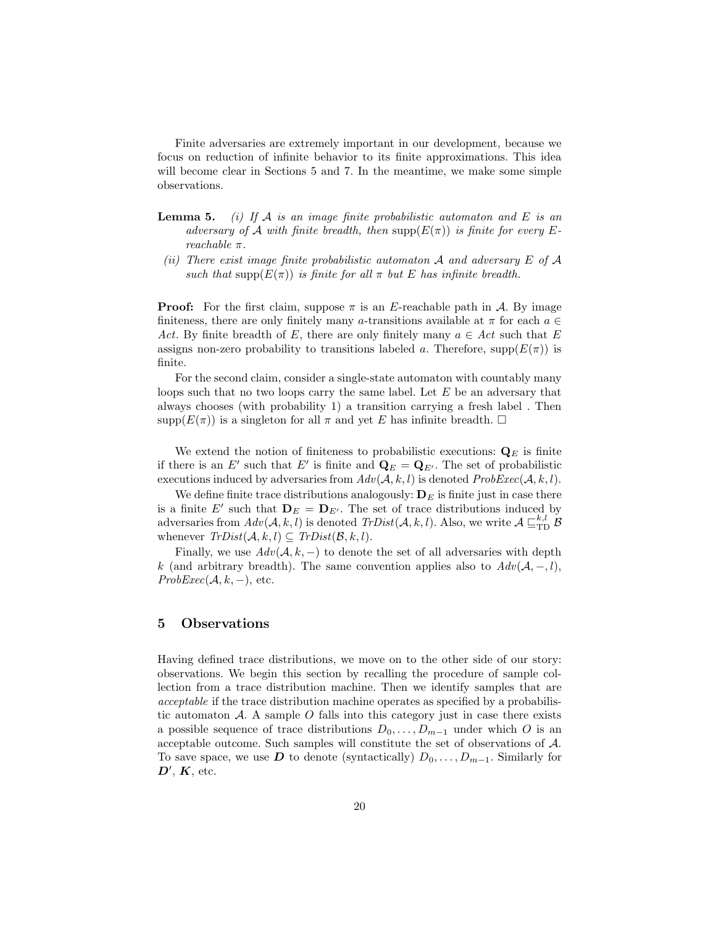Finite adversaries are extremely important in our development, because we focus on reduction of infinite behavior to its finite approximations. This idea will become clear in Sections 5 and 7. In the meantime, we make some simple observations.

- **Lemma 5.** (i) If A is an image finite probabilistic automaton and E is an adversary of A with finite breadth, then  $supp(E(\pi))$  is finite for every Ereachable π.
- (ii) There exist image finite probabilistic automaton  $A$  and adversary  $E$  of  $A$ such that supp $(E(\pi))$  is finite for all  $\pi$  but E has infinite breadth.

**Proof:** For the first claim, suppose  $\pi$  is an E-reachable path in A. By image finiteness, there are only finitely many a-transitions available at  $\pi$  for each  $a \in$ Act. By finite breadth of E, there are only finitely many  $a \in Act$  such that E assigns non-zero probability to transitions labeled a. Therefore,  $supp(E(\pi))$  is finite.

For the second claim, consider a single-state automaton with countably many loops such that no two loops carry the same label. Let E be an adversary that always chooses (with probability 1) a transition carrying a fresh label . Then supp $(E(\pi))$  is a singleton for all  $\pi$  and yet E has infinite breadth.  $\square$ 

We extend the notion of finiteness to probabilistic executions:  $\mathbf{Q}_E$  is finite if there is an E' such that E' is finite and  $\mathbf{Q}_E = \mathbf{Q}_{E'}$ . The set of probabilistic executions induced by adversaries from  $Adv(\mathcal{A}, k, l)$  is denoted  $ProbExec(\mathcal{A}, k, l)$ .

We define finite trace distributions analogously:  $D_E$  is finite just in case there is a finite E' such that  $D_E = D_{E'}$ . The set of trace distributions induced by adversaries from  $Adv(\mathcal{A}, k, l)$  is denoted  $TrDist(\mathcal{A}, k, l)$ . Also, we write  $\mathcal{A} \sqsubseteq_{\text{TD}}^{k, l} \mathcal{B}$ whenever  $TrDist(A, k, l) \subseteq TrDist(\mathcal{B}, k, l)$ .

Finally, we use  $Adv(\mathcal{A}, k, -)$  to denote the set of all adversaries with depth k (and arbitrary breadth). The same convention applies also to  $Adv(\mathcal{A}, -, l)$ ,  $ProbExec(A, k, -),$  etc.

## 5 Observations

Having defined trace distributions, we move on to the other side of our story: observations. We begin this section by recalling the procedure of sample collection from a trace distribution machine. Then we identify samples that are acceptable if the trace distribution machine operates as specified by a probabilistic automaton  $A$ . A sample O falls into this category just in case there exists a possible sequence of trace distributions  $D_0, \ldots, D_{m-1}$  under which O is an acceptable outcome. Such samples will constitute the set of observations of A. To save space, we use D to denote (syntactically)  $D_0, \ldots, D_{m-1}$ . Similarly for  $\boldsymbol{D}',\,\boldsymbol{K},\,\text{etc.}$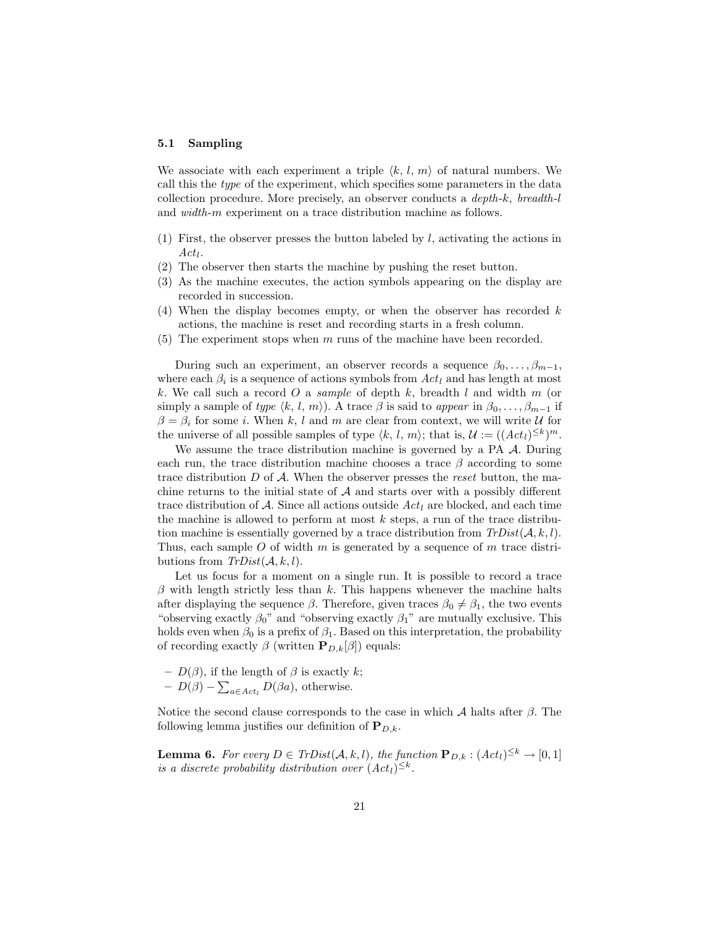### 5.1 Sampling

We associate with each experiment a triple  $\langle k, l, m \rangle$  of natural numbers. We call this the type of the experiment, which specifies some parameters in the data collection procedure. More precisely, an observer conducts a depth-k, breadth-l and width-m experiment on a trace distribution machine as follows.

- (1) First, the observer presses the button labeled by  $l$ , activating the actions in  $Act_l$ .
- (2) The observer then starts the machine by pushing the reset button.
- (3) As the machine executes, the action symbols appearing on the display are recorded in succession.
- (4) When the display becomes empty, or when the observer has recorded  $k$ actions, the machine is reset and recording starts in a fresh column.
- $(5)$  The experiment stops when m runs of the machine have been recorded.

During such an experiment, an observer records a sequence  $\beta_0, \ldots, \beta_{m-1}$ , where each  $\beta_i$  is a sequence of actions symbols from  $Act_l$  and has length at most k. We call such a record O a sample of depth k, breadth l and width  $m$  (or simply a sample of type  $\langle k, l, m \rangle$ ). A trace  $\beta$  is said to appear in  $\beta_0, \ldots, \beta_{m-1}$  if  $\beta = \beta_i$  for some i. When k, l and m are clear from context, we will write U for the universe of all possible samples of type  $\langle k, l, m \rangle$ ; that is,  $\mathcal{U} := ((Act_l)^{\leq k})^m$ .

We assume the trace distribution machine is governed by a PA  $\mathcal A$ . During each run, the trace distribution machine chooses a trace  $\beta$  according to some trace distribution  $D$  of  $\mathcal A$ . When the observer presses the reset button, the machine returns to the initial state of  $A$  and starts over with a possibly different trace distribution of A. Since all actions outside  $Act_l$  are blocked, and each time the machine is allowed to perform at most  $k$  steps, a run of the trace distribution machine is essentially governed by a trace distribution from  $TrDist(\mathcal{A}, k, l)$ . Thus, each sample  $O$  of width  $m$  is generated by a sequence of  $m$  trace distributions from  $TrDist(A, k, l)$ .

Let us focus for a moment on a single run. It is possible to record a trace  $\beta$  with length strictly less than k. This happens whenever the machine halts after displaying the sequence  $\beta$ . Therefore, given traces  $\beta_0 \neq \beta_1$ , the two events "observing exactly  $\beta_0$ " and "observing exactly  $\beta_1$ " are mutually exclusive. This holds even when  $\beta_0$  is a prefix of  $\beta_1$ . Based on this interpretation, the probability of recording exactly  $\beta$  (written  $\mathbf{P}_{D,k}[\beta]$ ) equals:

- $D(\beta)$ , if the length of  $\beta$  is exactly k;
- $-D(\beta) \sum_{a \in Act_l} D(\beta a)$ , otherwise.

Notice the second clause corresponds to the case in which  $A$  halts after  $\beta$ . The following lemma justifies our definition of  ${\bf P}_{D,k}$ .

**Lemma 6.** For every  $D \in TrDist(\mathcal{A}, k, l)$ , the function  $\mathbf{P}_{D,k} : (Act_l)^{\leq k} \to [0, 1]$ is a discrete probability distribution over  $(Act_l)^{\leq k}$ .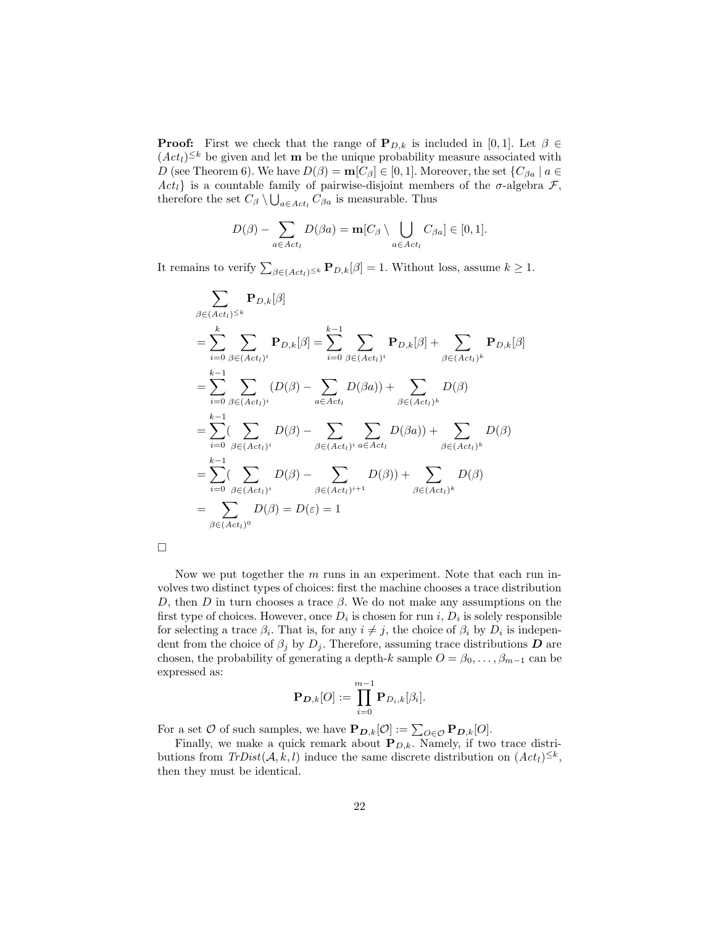**Proof:** First we check that the range of  $\mathbf{P}_{D,k}$  is included in [0,1]. Let  $\beta \in$  $(Act<sub>l</sub>)^{\leq k}$  be given and let **m** be the unique probability measure associated with D (see Theorem 6). We have  $D(\beta) = m[C_{\beta}] \in [0, 1]$ . Moreover, the set  $\{C_{\beta a} \mid a \in$  $Act_l$ } is a countable family of pairwise-disjoint members of the  $\sigma$ -algebra  $\mathcal{F}$ , therefore the set  $C_{\beta} \setminus \bigcup_{a \in Act_l} C_{\beta a}$  is measurable. Thus

$$
D(\beta) - \sum_{a \in Act_l} D(\beta a) = \mathbf{m}[C_{\beta} \setminus \bigcup_{a \in Act_l} C_{\beta a}] \in [0,1].
$$

It remains to verify  $\sum_{\beta \in (Act_l)^{\leq k}} \mathbf{P}_{D,k}[\beta] = 1$ . Without loss, assume  $k \geq 1$ .

$$
\sum_{\beta \in (Act_l)^{\leq k}} \mathbf{P}_{D,k}[\beta]
$$
\n
$$
= \sum_{i=0}^{k} \sum_{\beta \in (Act_l)^i} \mathbf{P}_{D,k}[\beta] = \sum_{i=0}^{k-1} \sum_{\beta \in (Act_l)^i} \mathbf{P}_{D,k}[\beta] + \sum_{\beta \in (Act_l)^k} \mathbf{P}_{D,k}[\beta]
$$
\n
$$
= \sum_{i=0}^{k-1} \sum_{\beta \in (Act_l)^i} (D(\beta) - \sum_{a \in Act_l} D(\beta a)) + \sum_{\beta \in (Act_l)^k} D(\beta)
$$
\n
$$
= \sum_{i=0}^{k-1} (\sum_{\beta \in (Act_l)^i} D(\beta) - \sum_{\beta \in (Act_l)^i} \sum_{a \in Act_l} D(\beta a)) + \sum_{\beta \in (Act_l)^k} D(\beta)
$$
\n
$$
= \sum_{i=0}^{k-1} (\sum_{\beta \in (Act_l)^i} D(\beta) - \sum_{\beta \in (Act_l)^{i+1}} D(\beta) + \sum_{\beta \in (Act_l)^k} D(\beta)
$$
\n
$$
= \sum_{\beta \in (Act_l)^0} D(\beta) = D(\varepsilon) = 1
$$

Now we put together the  $m$  runs in an experiment. Note that each run involves two distinct types of choices: first the machine chooses a trace distribution D, then D in turn chooses a trace  $\beta$ . We do not make any assumptions on the first type of choices. However, once  $D_i$  is chosen for run i,  $D_i$  is solely responsible for selecting a trace  $\beta_i$ . That is, for any  $i \neq j$ , the choice of  $\beta_i$  by  $D_i$  is independent from the choice of  $\beta_j$  by  $D_j$ . Therefore, assuming trace distributions  $\mathbf{D}$  are chosen, the probability of generating a depth-k sample  $O = \beta_0, \ldots, \beta_{m-1}$  can be expressed as:

$$
\mathbf{P}_{\boldsymbol{D},k}[O]:=\prod_{i=0}^{m-1}\mathbf{P}_{D_i,k}[\beta_i].
$$

For a set  $O$  of such samples, we have  $\mathbf{P}_{D,k}[O] := \sum_{Q \in \mathcal{O}} \mathbf{P}_{D,k}[O].$ 

Finally, we make a quick remark about  $P_{D,k}$ . Namely, if two trace distributions from  $TrDist(A, k, l)$  induce the same discrete distribution on  $(Act_l)^{\leq k}$ , then they must be identical.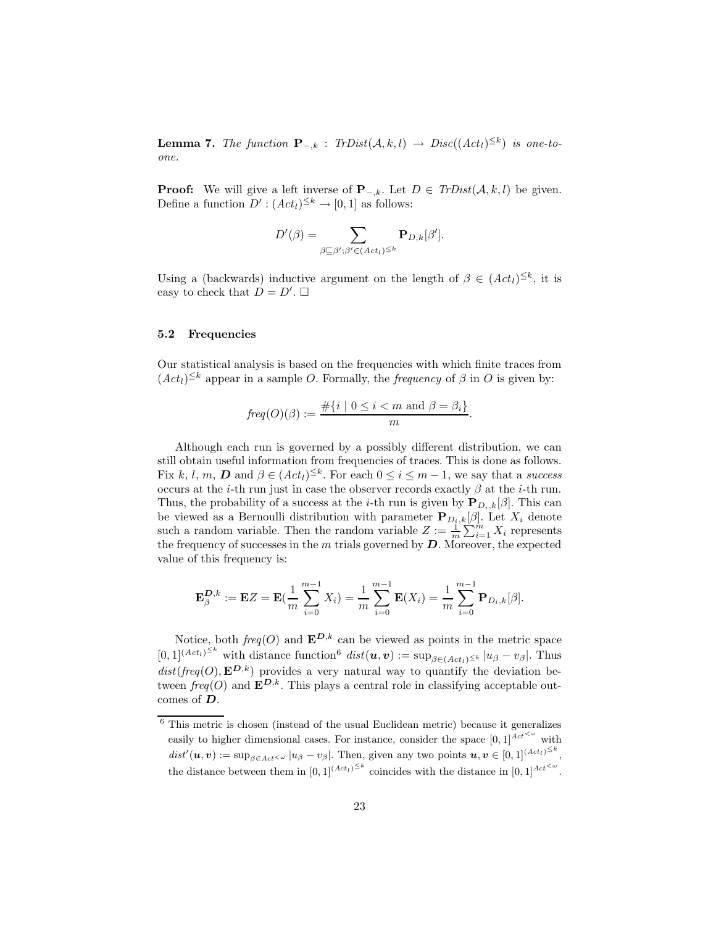**Lemma 7.** The function  $\mathbf{P}_{-,k}$ : Tr $Dist(\mathcal{A}, k, l) \rightarrow Disc((Act_l)^{\leq k})$  is one-toone.

**Proof:** We will give a left inverse of  $P_{-,k}$ . Let  $D \in TrDist(\mathcal{A}, k, l)$  be given. Define a function  $D' : (Act_l)^{\leq k} \to [0,1]$  as follows:

$$
D'(\beta)=\sum_{\beta\sqsubseteq\beta';\beta'\in (Act_l)^{\leq k}} \mathbf P_{D,k}[\beta'].
$$

Using a (backwards) inductive argument on the length of  $\beta \in (Act_l)^{\leq k}$ , it is easy to check that  $D = D'. \square$ 

## 5.2 Frequencies

Our statistical analysis is based on the frequencies with which finite traces from  $(Act_l)^{\leq k}$  appear in a sample O. Formally, the *frequency* of  $\beta$  in O is given by:

$$
freq(O)(\beta) := \frac{\#\{i \mid 0 \le i < m \text{ and } \beta = \beta_i\}}{m}.
$$

Although each run is governed by a possibly different distribution, we can still obtain useful information from frequencies of traces. This is done as follows. Fix k, l, m, **D** and  $\beta \in (Act_l)^{\leq k}$ . For each  $0 \leq i \leq m-1$ , we say that a success occurs at the *i*-th run just in case the observer records exactly  $\beta$  at the *i*-th run. Thus, the probability of a success at the *i*-th run is given by  ${\bf P}_{D_i,k}[\beta]$ . This can be viewed as a Bernoulli distribution with parameter  ${\bf P}_{D_i,k}[\beta]$ . Let  $X_i$  denote such a random variable. Then the random variable  $Z := \frac{1}{m} \sum_{i=1}^{m} X_i$  represents the frequency of successes in the  $m$  trials governed by  $D$ . Moreover, the expected value of this frequency is:

$$
\mathbf{E}_{\beta}^{\mathbf{D},k} := \mathbf{E}Z = \mathbf{E}(\frac{1}{m}\sum_{i=0}^{m-1}X_i) = \frac{1}{m}\sum_{i=0}^{m-1}\mathbf{E}(X_i) = \frac{1}{m}\sum_{i=0}^{m-1}\mathbf{P}_{D_i,k}[\beta].
$$

Notice, both  $freq(O)$  and  $\mathbf{E}^{D,k}$  can be viewed as points in the metric space  $[0,1]^{(Act_l)^{\leq k}}$  with distance function<sup>6</sup>  $dist(\boldsymbol{u}, \boldsymbol{v}) := \sup_{\beta \in (Act_l)^{\leq k}} |u_{\beta} - v_{\beta}|$ . Thus  $dist(freq(O), \mathbf{E}^{D,k})$  provides a very natural way to quantify the deviation between  $freq(O)$  and  $\mathbf{E}^{D,k}$ . This plays a central role in classifying acceptable outcomes of D.

 $^6$  This metric is chosen (instead of the usual Euclidean metric) because it generalizes easily to higher dimensional cases. For instance, consider the space  $[0, 1]^{Act<\omega}$  with  $dist'(\boldsymbol{u}, \boldsymbol{v}) := \sup_{\beta \in Act^{\langle \omega \rangle}} |u_{\beta} - v_{\beta}|$ . Then, given any two points  $\boldsymbol{u}, \boldsymbol{v} \in [0, 1]^{(Act_l)^{\leq k}}$ , the distance between them in  $[0,1]^{(Act_l)^{\leq k}}$  coincides with the distance in  $[0,1]^{Act^{\leq \omega}}$ .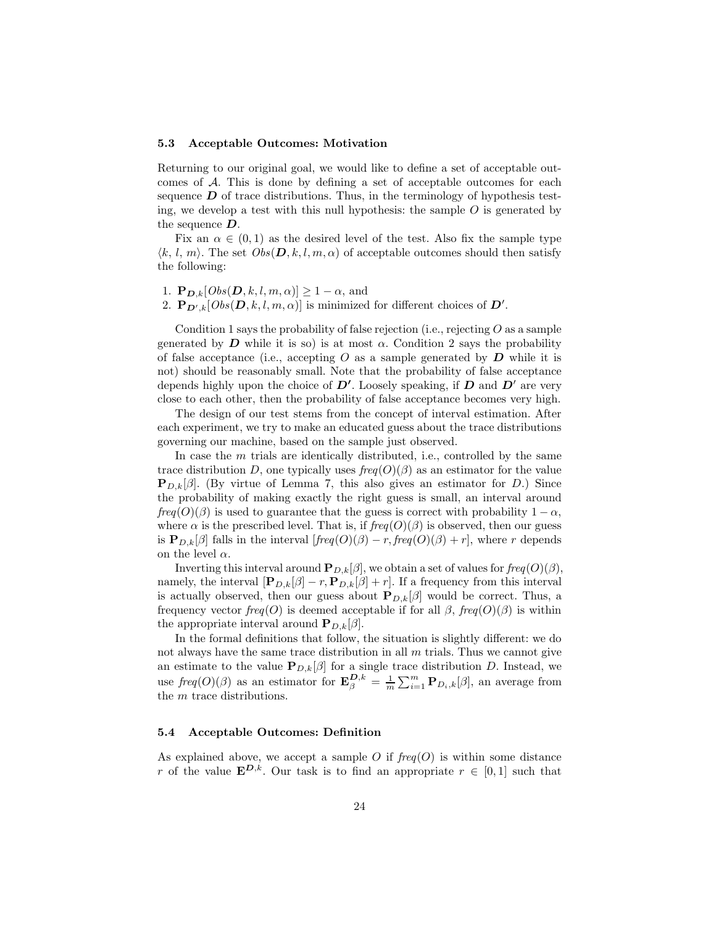#### 5.3 Acceptable Outcomes: Motivation

Returning to our original goal, we would like to define a set of acceptable outcomes of A. This is done by defining a set of acceptable outcomes for each sequence  $\bm{D}$  of trace distributions. Thus, in the terminology of hypothesis testing, we develop a test with this null hypothesis: the sample  $O$  is generated by the sequence D.

Fix an  $\alpha \in (0,1)$  as the desired level of the test. Also fix the sample type  $\langle k, l, m \rangle$ . The set  $Obs(\mathbf{D}, k, l, m, \alpha)$  of acceptable outcomes should then satisfy the following:

- 1.  $\mathbf{P}_{\mathbf{D},k}[Obs(\mathbf{D},k,l,m,\alpha)] \geq 1-\alpha$ , and
- 2.  $\mathbf{P}_{\mathbf{D}',k}[Obs(\mathbf{D},k,l,m,\alpha)]$  is minimized for different choices of  $\mathbf{D}'.$

Condition 1 says the probability of false rejection (i.e., rejecting  $O$  as a sample generated by  $\bm{D}$  while it is so) is at most  $\alpha$ . Condition 2 says the probability of false acceptance (i.e., accepting O as a sample generated by  $\bm{D}$  while it is not) should be reasonably small. Note that the probability of false acceptance depends highly upon the choice of  $D'$ . Loosely speaking, if  $D$  and  $D'$  are very close to each other, then the probability of false acceptance becomes very high.

The design of our test stems from the concept of interval estimation. After each experiment, we try to make an educated guess about the trace distributions governing our machine, based on the sample just observed.

In case the  $m$  trials are identically distributed, i.e., controlled by the same trace distribution D, one typically uses  $freq(O)(\beta)$  as an estimator for the value  $\mathbf{P}_{D,k}[\beta]$ . (By virtue of Lemma 7, this also gives an estimator for D.) Since the probability of making exactly the right guess is small, an interval around  $freq(O)(\beta)$  is used to guarantee that the guess is correct with probability  $1-\alpha$ , where  $\alpha$  is the prescribed level. That is, if  $freq(O)(\beta)$  is observed, then our guess is  $\mathbf{P}_{D,k}[\beta]$  falls in the interval  $[freq(O)(\beta) - r, freq(O)(\beta) + r]$ , where r depends on the level  $\alpha$ .

Inverting this interval around  $\mathbf{P}_{D,k}[\beta]$ , we obtain a set of values for  $freq(O)(\beta)$ , namely, the interval  $[\mathbf{P}_{D,k}[\beta] - r, \mathbf{P}_{D,k}[\beta] + r]$ . If a frequency from this interval is actually observed, then our guess about  $P_{D,k}[\beta]$  would be correct. Thus, a frequency vector  $freq(O)$  is deemed acceptable if for all  $\beta$ ,  $freq(O)(\beta)$  is within the appropriate interval around  $\mathbf{P}_{D,k}[\beta]$ .

In the formal definitions that follow, the situation is slightly different: we do not always have the same trace distribution in all  $m$  trials. Thus we cannot give an estimate to the value  $\mathbf{P}_{D,k}[\beta]$  for a single trace distribution D. Instead, we use  $freq(O)(\beta)$  as an estimator for  $\mathbf{E}_{\beta}^{D,k} = \frac{1}{m} \sum_{i=1}^{m} \mathbf{P}_{D_i,k}[\beta]$ , an average from the  $m$  trace distributions.

## 5.4 Acceptable Outcomes: Definition

As explained above, we accept a sample O if  $freq(O)$  is within some distance r of the value  $\mathbf{E}^{D,k}$ . Our task is to find an appropriate  $r \in [0,1]$  such that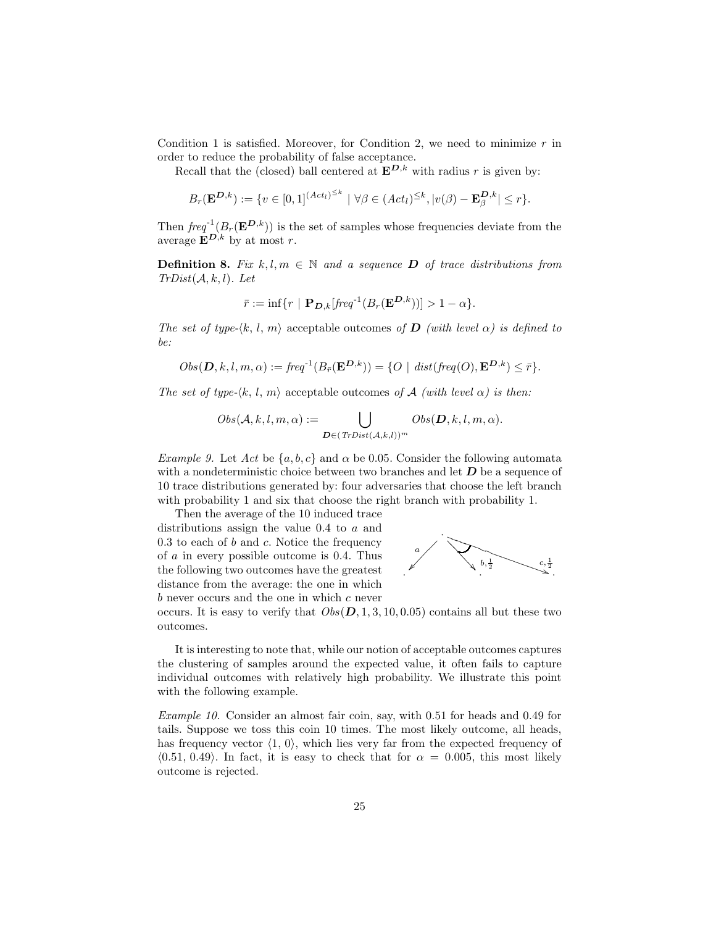Condition 1 is satisfied. Moreover, for Condition 2, we need to minimize  $r$  in order to reduce the probability of false acceptance.

Recall that the (closed) ball centered at  $\mathbf{E}^{D,k}$  with radius r is given by:

$$
B_r(\mathbf{E}^{\mathbf{D},k}) := \{ v \in [0,1]^{(Act_l)^{\leq k}} \mid \forall \beta \in (Act_l)^{\leq k}, |v(\beta) - \mathbf{E}_{\beta}^{\mathbf{D},k}| \leq r \}.
$$

Then  $freq^{-1}(B_r(\mathbf{E}^{D,k}))$  is the set of samples whose frequencies deviate from the average  $\mathbf{E}^{D,k}$  by at most r.

**Definition 8.** Fix  $k, l, m \in \mathbb{N}$  and a sequence **D** of trace distributions from  $TrDist(A, k, l)$ . Let

$$
\bar{r} := \inf\{r \mid \mathbf{P}_{\mathbf{D},k}[freq^{-1}(B_r(\mathbf{E}^{\mathbf{D},k}))] > 1 - \alpha\}.
$$

The set of type- $\langle k, l, m \rangle$  acceptable outcomes of D (with level  $\alpha$ ) is defined to be:

$$
Obs(\mathbf{D}, k, l, m, \alpha) := freq^{-1}(B_{\overline{r}}(\mathbf{E}^{\mathbf{D}, k})) = \{O \mid dist(freq(O), \mathbf{E}^{\mathbf{D}, k}) \leq \overline{r}\}.
$$

The set of type- $\langle k, l, m \rangle$  acceptable outcomes of A (with level  $\alpha$ ) is then:

$$
Obs(\mathcal{A}, k, l, m, \alpha) := \bigcup_{\mathbf{D} \in (TrDist(\mathcal{A}, k, l))^m} Obs(\mathbf{D}, k, l, m, \alpha).
$$

Example 9. Let  $Act$  be  $\{a, b, c\}$  and  $\alpha$  be 0.05. Consider the following automata with a nondeterministic choice between two branches and let  $D$  be a sequence of 10 trace distributions generated by: four adversaries that choose the left branch with probability 1 and six that choose the right branch with probability 1.

Then the average of the 10 induced trace distributions assign the value 0.4 to a and  $0.3$  to each of b and c. Notice the frequency of a in every possible outcome is 0.4. Thus the following two outcomes have the greatest distance from the average: the one in which b never occurs and the one in which c never



occurs. It is easy to verify that  $Obs(D, 1, 3, 10, 0.05)$  contains all but these two outcomes.

It is interesting to note that, while our notion of acceptable outcomes captures the clustering of samples around the expected value, it often fails to capture individual outcomes with relatively high probability. We illustrate this point with the following example.

Example 10. Consider an almost fair coin, say, with 0.51 for heads and 0.49 for tails. Suppose we toss this coin 10 times. The most likely outcome, all heads, has frequency vector  $\langle 1, 0 \rangle$ , which lies very far from the expected frequency of  $(0.51, 0.49)$ . In fact, it is easy to check that for  $\alpha = 0.005$ , this most likely outcome is rejected.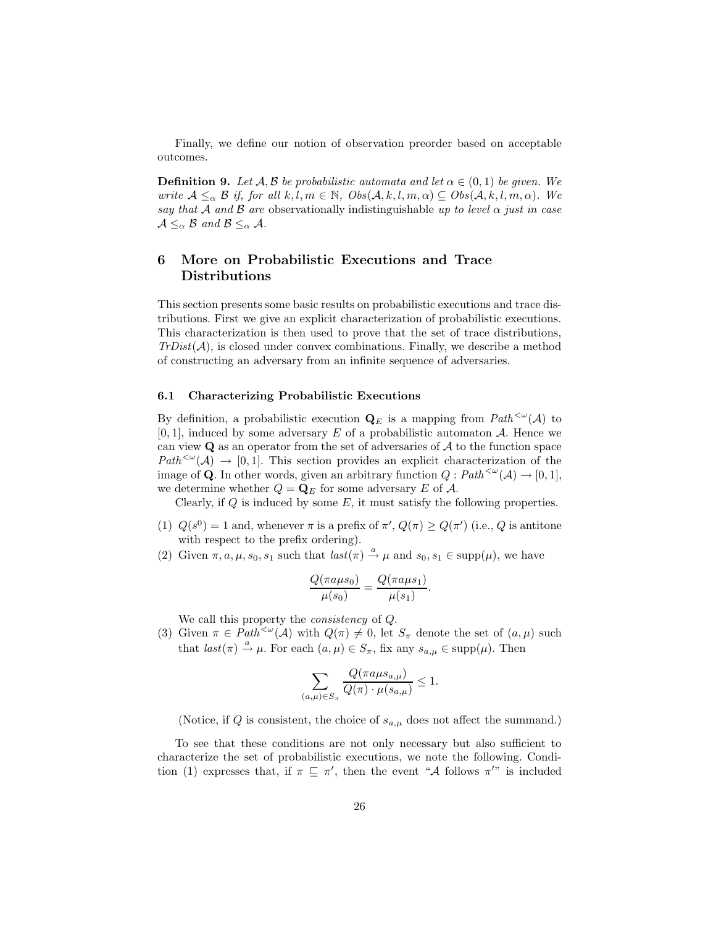Finally, we define our notion of observation preorder based on acceptable outcomes.

**Definition 9.** Let A, B be probabilistic automata and let  $\alpha \in (0, 1)$  be given. We write  $A \leq_{\alpha} \mathcal{B}$  if, for all  $k, l, m \in \mathbb{N}$ ,  $Obs(A, k, l, m, \alpha) \subseteq Obs(A, k, l, m, \alpha)$ . We say that A and B are observationally indistinguishable up to level  $\alpha$  just in case  $\mathcal{A} \leq_{\alpha} \mathcal{B}$  and  $\mathcal{B} \leq_{\alpha} \mathcal{A}$ .

## 6 More on Probabilistic Executions and Trace Distributions

This section presents some basic results on probabilistic executions and trace distributions. First we give an explicit characterization of probabilistic executions. This characterization is then used to prove that the set of trace distributions,  $TrDist(\mathcal{A})$ , is closed under convex combinations. Finally, we describe a method of constructing an adversary from an infinite sequence of adversaries.

#### 6.1 Characterizing Probabilistic Executions

By definition, a probabilistic execution  $\mathbf{Q}_E$  is a mapping from  $Path^{<\omega}(\mathcal{A})$  to  $[0, 1]$ , induced by some adversary E of a probabilistic automaton A. Hence we can view  $\bf{Q}$  as an operator from the set of adversaries of  $\cal{A}$  to the function space  $Path^{< \omega}(\mathcal{A}) \to [0, 1].$  This section provides an explicit characterization of the image of **Q**. In other words, given an arbitrary function  $Q : Path^{<\omega}(\mathcal{A}) \to [0, 1],$ we determine whether  $Q = \mathbf{Q}_E$  for some adversary E of A.

Clearly, if  $Q$  is induced by some  $E$ , it must satisfy the following properties.

- (1)  $Q(s^0) = 1$  and, whenever  $\pi$  is a prefix of  $\pi'$ ,  $Q(\pi) \ge Q(\pi')$  (i.e., Q is antitone with respect to the prefix ordering).
- (2) Given  $\pi, a, \mu, s_0, s_1$  such that  $last(\pi) \stackrel{a}{\rightarrow} \mu$  and  $s_0, s_1 \in \text{supp}(\mu)$ , we have

$$
\frac{Q(\pi a \mu s_0)}{\mu(s_0)} = \frac{Q(\pi a \mu s_1)}{\mu(s_1)}
$$

.

We call this property the *consistency* of  $Q$ .

(3) Given  $\pi \in Path^{<\omega}(\mathcal{A})$  with  $Q(\pi) \neq 0$ , let  $S_{\pi}$  denote the set of  $(a, \mu)$  such that  $last(\pi) \stackrel{a}{\rightarrow} \mu$ . For each  $(a, \mu) \in S_{\pi}$ , fix any  $s_{a,\mu} \in \text{supp}(\mu)$ . Then

$$
\sum_{(a,\mu)\in S_{\pi}}\frac{Q(\pi a\mu s_{a,\mu})}{Q(\pi)\cdot\mu(s_{a,\mu})}\leq 1.
$$

(Notice, if Q is consistent, the choice of  $s_{a,\mu}$  does not affect the summand.)

To see that these conditions are not only necessary but also sufficient to characterize the set of probabilistic executions, we note the following. Condition (1) expresses that, if  $\pi \subseteq \pi'$ , then the event "A follows  $\pi''$ " is included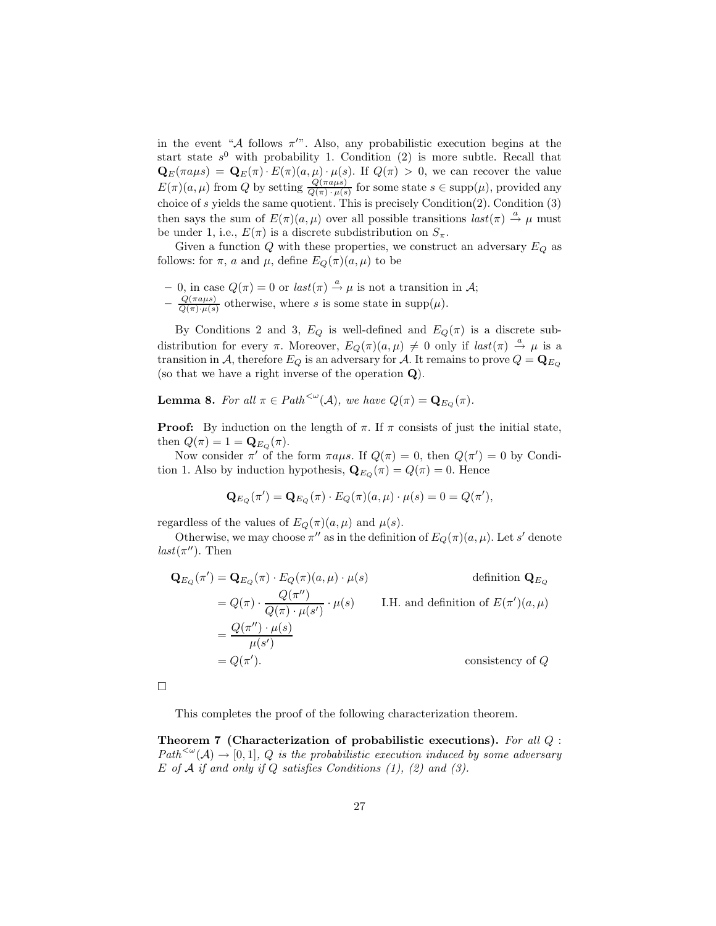in the event " $A$  follows  $\pi$ ". Also, any probabilistic execution begins at the start state  $s^0$  with probability 1. Condition (2) is more subtle. Recall that  $\mathbf{Q}_{E}(\pi a \mu s) = \mathbf{Q}_{E}(\pi) \cdot E(\pi) (a, \mu) \cdot \mu(s)$ . If  $Q(\pi) > 0$ , we can recover the value  $E(\pi)(a,\mu)$  from Q by setting  $\frac{Q(\pi a \mu s)}{Q(\pi) \cdot \mu(s)}$  for some state  $s \in \text{supp}(\mu)$ , provided any choice of s yields the same quotient. This is precisely Condition(2). Condition (3) then says the sum of  $E(\pi)(a,\mu)$  over all possible transitions  $last(\pi) \stackrel{a}{\rightarrow} \mu$  must be under 1, i.e.,  $E(\pi)$  is a discrete subdistribution on  $S_{\pi}$ .

Given a function  $Q$  with these properties, we construct an adversary  $E_Q$  as follows: for  $\pi$ , a and  $\mu$ , define  $E_Q(\pi)(a,\mu)$  to be

 $-0$ , in case  $Q(\pi) = 0$  or  $last(\pi) \stackrel{a}{\rightarrow} \mu$  is not a transition in A;  $-\frac{Q(\pi a \mu s)}{Q(\pi) \cdot \mu(s)}$  $\frac{Q(\pi a \mu s)}{Q(\pi) \cdot \mu(s)}$  otherwise, where s is some state in supp $(\mu)$ .

By Conditions 2 and 3,  $E_Q$  is well-defined and  $E_Q(\pi)$  is a discrete subdistribution for every  $\pi$ . Moreover,  $E_Q(\pi)(a,\mu) \neq 0$  only if  $last(\pi) \stackrel{a}{\rightarrow} \mu$  is a transition in A, therefore  $E_Q$  is an adversary for A. It remains to prove  $Q = \mathbf{Q}_{E_Q}$ (so that we have a right inverse of the operation Q).

**Lemma 8.** For all  $\pi \in Path^{<\omega}(\mathcal{A})$ , we have  $Q(\pi) = \mathbf{Q}_{E_O}(\pi)$ .

**Proof:** By induction on the length of  $\pi$ . If  $\pi$  consists of just the initial state, then  $Q(\pi) = 1 = \mathbf{Q}_{E_O}(\pi)$ .

Now consider  $\pi'$  of the form  $\pi a \mu s$ . If  $Q(\pi) = 0$ , then  $Q(\pi') = 0$  by Condition 1. Also by induction hypothesis,  $\mathbf{Q}_{E_Q}(\pi) = Q(\pi) = 0$ . Hence

$$
\mathbf{Q}_{E_Q}(\pi') = \mathbf{Q}_{E_Q}(\pi) \cdot E_Q(\pi)(a,\mu) \cdot \mu(s) = 0 = Q(\pi'),
$$

regardless of the values of  $E_Q(\pi)(a,\mu)$  and  $\mu(s)$ .

Otherwise, we may choose  $\pi''$  as in the definition of  $E_Q(\pi)(a,\mu)$ . Let s' denote  $last(\pi'')$ . Then

$$
\mathbf{Q}_{E_Q}(\pi') = \mathbf{Q}_{E_Q}(\pi) \cdot E_Q(\pi)(a, \mu) \cdot \mu(s)
$$
 definition  $\mathbf{Q}_{E_Q}$   
\n
$$
= Q(\pi) \cdot \frac{Q(\pi'')}{Q(\pi) \cdot \mu(s')} \cdot \mu(s)
$$
 I.H. and definition of  $E(\pi')(a, \mu)$   
\n
$$
= \frac{Q(\pi'') \cdot \mu(s)}{\mu(s')}
$$
  
\n
$$
= Q(\pi').
$$
 consistency of  $Q$ 

 $\Box$ 

This completes the proof of the following characterization theorem.

Theorem 7 (Characterization of probabilistic executions). For all  $Q$ :  $Path^{\leq \omega}(\mathcal{A}) \to [0,1], Q$  is the probabilistic execution induced by some adversary  $E$  of  $A$  if and only if  $Q$  satisfies Conditions  $(1)$ ,  $(2)$  and  $(3)$ .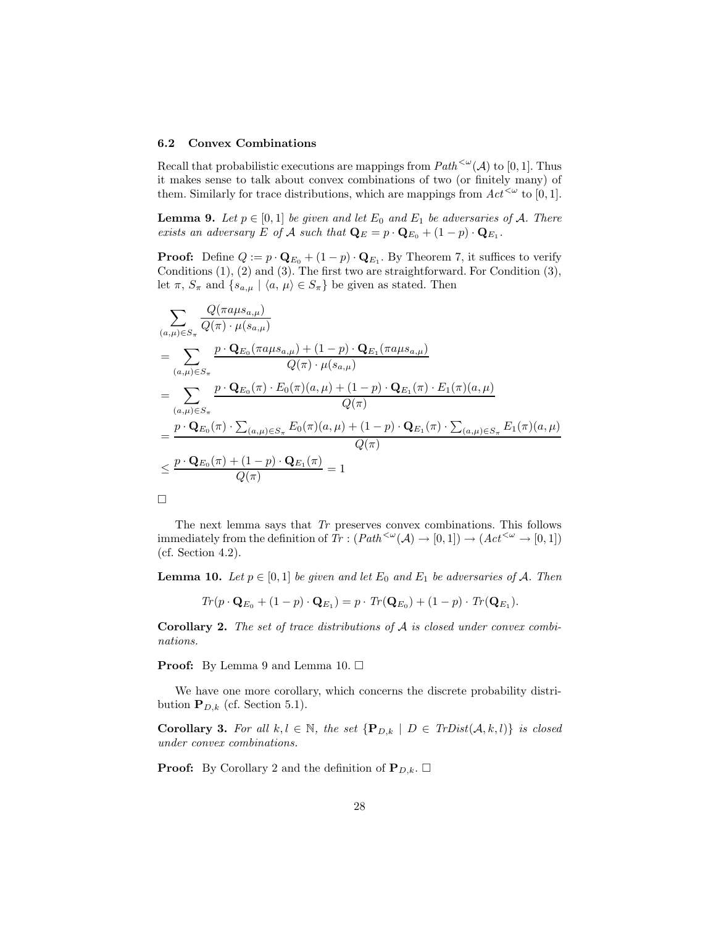### 6.2 Convex Combinations

Recall that probabilistic executions are mappings from  $Path^{\lt}\omega(\mathcal{A})$  to [0, 1]. Thus it makes sense to talk about convex combinations of two (or finitely many) of them. Similarly for trace distributions, which are mappings from  $Act^{\leq \omega}$  to [0, 1].

**Lemma 9.** Let  $p \in [0,1]$  be given and let  $E_0$  and  $E_1$  be adversaries of A. There exists an adversary E of A such that  $\mathbf{Q}_E = p \cdot \mathbf{Q}_{E_0} + (1 - p) \cdot \mathbf{Q}_{E_1}$ .

**Proof:** Define  $Q := p \cdot \mathbf{Q}_{E_0} + (1 - p) \cdot \mathbf{Q}_{E_1}$ . By Theorem 7, it suffices to verify Conditions (1), (2) and (3). The first two are straightforward. For Condition (3), let  $\pi$ ,  $S_{\pi}$  and  $\{s_{a,\mu} | \langle a, \mu \rangle \in S_{\pi}\}\)$  be given as stated. Then

$$
\sum_{(a,\mu)\in S_{\pi}} \frac{Q(\pi a\mu s_{a,\mu})}{Q(\pi) \cdot \mu(s_{a,\mu})}
$$
\n
$$
= \sum_{(a,\mu)\in S_{\pi}} \frac{p \cdot \mathbf{Q}_{E_0}(\pi a\mu s_{a,\mu}) + (1-p) \cdot \mathbf{Q}_{E_1}(\pi a\mu s_{a,\mu})}{Q(\pi) \cdot \mu(s_{a,\mu})}
$$
\n
$$
= \sum_{(a,\mu)\in S_{\pi}} \frac{p \cdot \mathbf{Q}_{E_0}(\pi) \cdot E_0(\pi)(a,\mu) + (1-p) \cdot \mathbf{Q}_{E_1}(\pi) \cdot E_1(\pi)(a,\mu)}{Q(\pi)}
$$
\n
$$
= \frac{p \cdot \mathbf{Q}_{E_0}(\pi) \cdot \sum_{(a,\mu)\in S_{\pi}} E_0(\pi)(a,\mu) + (1-p) \cdot \mathbf{Q}_{E_1}(\pi) \cdot \sum_{(a,\mu)\in S_{\pi}} E_1(\pi)(a,\mu)}{Q(\pi)}
$$
\n
$$
\leq \frac{p \cdot \mathbf{Q}_{E_0}(\pi) + (1-p) \cdot \mathbf{Q}_{E_1}(\pi)}{Q(\pi)} = 1
$$

The next lemma says that Tr preserves convex combinations. This follows immediately from the definition of  $Tr : (Path^{<\omega}(\mathcal{A}) \to [0,1]) \to (Act^{<\omega} \to [0,1])$ (cf. Section 4.2).

**Lemma 10.** Let  $p \in [0, 1]$  be given and let  $E_0$  and  $E_1$  be adversaries of A. Then

$$
Tr(p \cdot \mathbf{Q}_{E_0} + (1-p) \cdot \mathbf{Q}_{E_1}) = p \cdot Tr(\mathbf{Q}_{E_0}) + (1-p) \cdot Tr(\mathbf{Q}_{E_1}).
$$

**Corollary 2.** The set of trace distributions of  $A$  is closed under convex combinations.

**Proof:** By Lemma 9 and Lemma 10.  $\Box$ 

We have one more corollary, which concerns the discrete probability distribution  $\mathbf{P}_{D,k}$  (cf. Section 5.1).

Corollary 3. For all  $k, l \in \mathbb{N}$ , the set  $\{P_{D,k} \mid D \in \text{TrDist}(\mathcal{A}, k, l)\}\$ is closed under convex combinations.

**Proof:** By Corollary 2 and the definition of  $\mathbf{P}_{D,k}$ .  $\Box$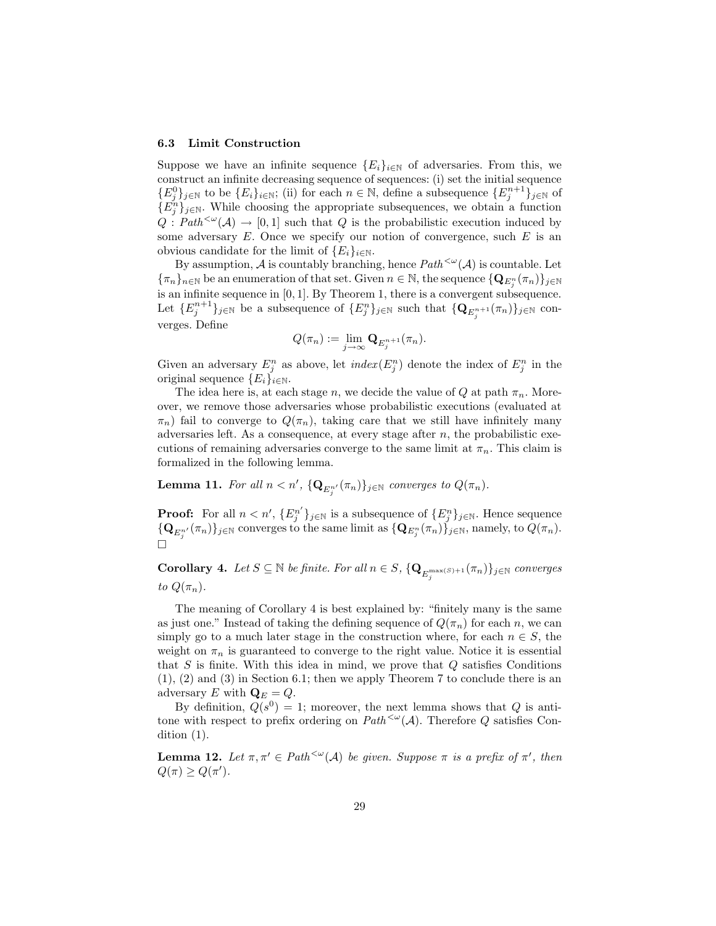### 6.3 Limit Construction

Suppose we have an infinite sequence  ${E_i}_{i\in\mathbb{N}}$  of adversaries. From this, we construct an infinite decreasing sequence of sequences: (i) set the initial sequence  ${E_j^0}_{j\in\mathbb{N}}$  to be  ${E_i}_{i\in\mathbb{N}}$ ; (ii) for each  $n \in \mathbb{N}$ , define a subsequence  ${E_j^{n+1}}_{j\in\mathbb{N}}$  of  $\{E_j^n\}_{j\in\mathbb{N}}$ . While choosing the appropriate subsequences, we obtain a function  $Q: Path^{<\omega}(\mathcal{A}) \to [0,1]$  such that Q is the probabilistic execution induced by some adversary  $E$ . Once we specify our notion of convergence, such  $E$  is an obvious candidate for the limit of  ${E_i}_{i \in \mathbb{N}}$ .

By assumption,  $\mathcal A$  is countably branching, hence  $Path^{<\omega}(\mathcal A)$  is countable. Let  $\{\pi_n\}_{n\in\mathbb{N}}$  be an enumeration of that set. Given  $n\in\mathbb{N}$ , the sequence  $\{\mathbf Q_{E_j^n}(\pi_n)\}_{j\in\mathbb{N}}$ is an infinite sequence in [0, 1]. By Theorem 1, there is a convergent subsequence. Let  $\{E_j^{n+1}\}_{j\in\mathbb{N}}$  be a subsequence of  $\{E_j^n\}_{j\in\mathbb{N}}$  such that  $\{\mathbf{Q}_{E_j^{n+1}}(\pi_n)\}_{j\in\mathbb{N}}$  converges. Define

$$
Q(\pi_n) := \lim_{j \to \infty} \mathbf{Q}_{E_j^{n+1}}(\pi_n).
$$

Given an adversary  $E_j^n$  as above, let  $index(E_j^n)$  denote the index of  $E_j^n$  in the original sequence  ${E_i}_{i\in\mathbb{N}}$ .

The idea here is, at each stage n, we decide the value of Q at path  $\pi_n$ . Moreover, we remove those adversaries whose probabilistic executions (evaluated at  $\pi_n$ ) fail to converge to  $Q(\pi_n)$ , taking care that we still have infinitely many adversaries left. As a consequence, at every stage after  $n$ , the probabilistic executions of remaining adversaries converge to the same limit at  $\pi_n$ . This claim is formalized in the following lemma.

**Lemma 11.** For all  $n < n'$ ,  $\{ \mathbf{Q}_{E_j^{n'}}(\pi_n) \}_{j \in \mathbb{N}}$  converges to  $Q(\pi_n)$ .

**Proof:** For all  $n < n'$ ,  ${E_j^n}'_{j \in \mathbb{N}}$  is a subsequence of  ${E_j^n}_{j \in \mathbb{N}}$ . Hence sequence  $\{\mathbf Q_{E_j^{n'}}(\pi_n)\}_{j\in\mathbb N}$  converges to the same limit as  $\{\mathbf Q_{E_j^n}(\pi_n)\}_{j\in\mathbb N}$ , namely, to  $Q(\pi_n)$ .  $\Box$ 

**Corollary 4.** Let  $S \subseteq \mathbb{N}$  be finite. For all  $n \in S$ ,  $\{\mathbf{Q}_{E_j^{\max(S)+1}}(\pi_n)\}_{j\in\mathbb{N}}$  converges to  $Q(\pi_n)$ .

The meaning of Corollary 4 is best explained by: "finitely many is the same as just one." Instead of taking the defining sequence of  $Q(\pi_n)$  for each n, we can simply go to a much later stage in the construction where, for each  $n \in S$ , the weight on  $\pi_n$  is guaranteed to converge to the right value. Notice it is essential that  $S$  is finite. With this idea in mind, we prove that  $Q$  satisfies Conditions (1), (2) and (3) in Section 6.1; then we apply Theorem 7 to conclude there is an adversary E with  $\mathbf{Q}_E = Q$ .

By definition,  $Q(s^0) = 1$ ; moreover, the next lemma shows that Q is antitone with respect to prefix ordering on  $Path^{\langle \omega|}(A)$ . Therefore Q satisfies Condition (1).

**Lemma 12.** Let  $\pi, \pi' \in Path^{<\omega}(\mathcal{A})$  be given. Suppose  $\pi$  is a prefix of  $\pi'$ , then  $Q(\pi) \geq Q(\pi').$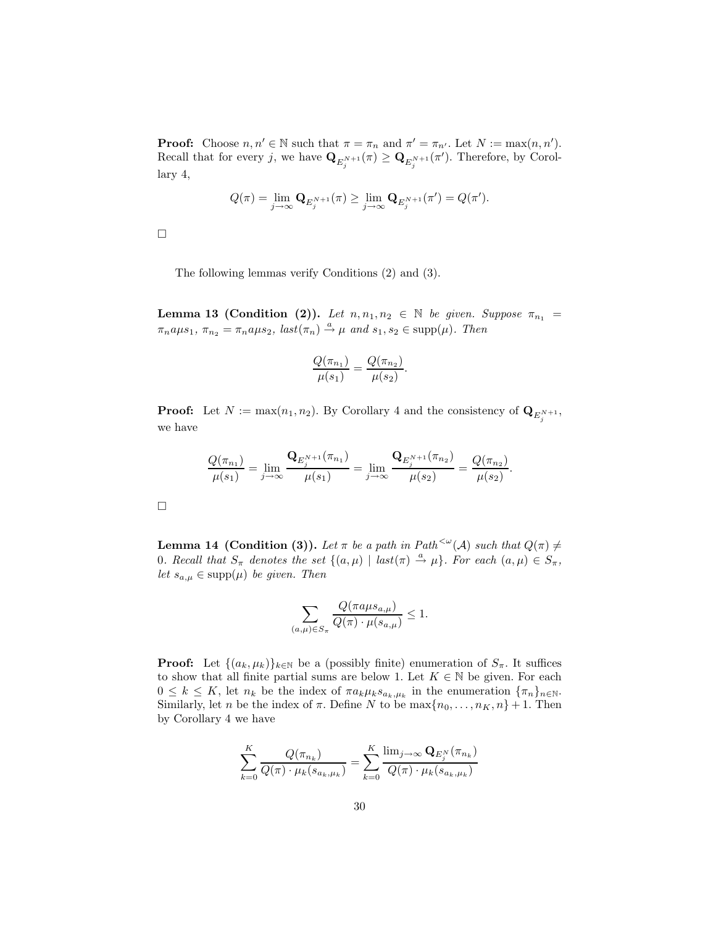**Proof:** Choose  $n, n' \in \mathbb{N}$  such that  $\pi = \pi_n$  and  $\pi' = \pi_{n'}$ . Let  $N := \max(n, n')$ . Recall that for every j, we have  $\mathbf{Q}_{E_j^{N+1}}(\pi) \geq \mathbf{Q}_{E_j^{N+1}}(\pi')$ . Therefore, by Corollary 4,

$$
Q(\pi) = \lim_{j \to \infty} \mathbf{Q}_{E_j^{N+1}}(\pi) \ge \lim_{j \to \infty} \mathbf{Q}_{E_j^{N+1}}(\pi') = Q(\pi').
$$

 $\Box$ 

The following lemmas verify Conditions (2) and (3).

**Lemma 13 (Condition (2)).** Let  $n, n_1, n_2 \in \mathbb{N}$  be given. Suppose  $\pi_{n_1}$  =  $\pi_n a \mu s_1, \pi_{n_2} = \pi_n a \mu s_2, \text{ last}(\pi_n) \stackrel{a}{\rightarrow} \mu \text{ and } s_1, s_2 \in \text{supp}(\mu).$  Then

$$
\frac{Q(\pi_{n_1})}{\mu(s_1)} = \frac{Q(\pi_{n_2})}{\mu(s_2)}.
$$

**Proof:** Let  $N := max(n_1, n_2)$ . By Corollary 4 and the consistency of  $\mathbf{Q}_{E_j^{N+1}}$ , we have

$$
\frac{Q(\pi_{n_1})}{\mu(s_1)} = \lim_{j \to \infty} \frac{\mathbf{Q}_{E_j^{N+1}}(\pi_{n_1})}{\mu(s_1)} = \lim_{j \to \infty} \frac{\mathbf{Q}_{E_j^{N+1}}(\pi_{n_2})}{\mu(s_2)} = \frac{Q(\pi_{n_2})}{\mu(s_2)}.
$$

**Lemma 14 (Condition (3)).** Let  $\pi$  be a path in Path<sup> $\leq \omega(\mathcal{A})$  such that  $Q(\pi) \neq \emptyset$ </sup> 0. Recall that  $S_{\pi}$  denotes the set  $\{(a,\mu) \mid last(\pi) \stackrel{a}{\rightarrow} \mu\}$ . For each  $(a,\mu) \in S_{\pi}$ , let  $s_{a,\mu} \in \text{supp}(\mu)$  be given. Then

$$
\sum_{(a,\mu)\in S_{\pi}}\frac{Q(\pi a\mu s_{a,\mu})}{Q(\pi)\cdot \mu(s_{a,\mu})}\leq 1.
$$

**Proof:** Let  $\{(a_k, \mu_k)\}_{k\in\mathbb{N}}$  be a (possibly finite) enumeration of  $S_\pi$ . It suffices to show that all finite partial sums are below 1. Let  $K \in \mathbb{N}$  be given. For each  $0 \leq k \leq K$ , let  $n_k$  be the index of  $\pi a_k \mu_k s_{a_k,\mu_k}$  in the enumeration  $\{\pi_n\}_{n\in\mathbb{N}}$ . Similarly, let *n* be the index of  $\pi$ . Define *N* to be  $\max\{n_0, \ldots, n_K, n\} + 1$ . Then by Corollary 4 we have

$$
\sum_{k=0}^{K} \frac{Q(\pi_{n_k})}{Q(\pi) \cdot \mu_k(s_{a_k, \mu_k})} = \sum_{k=0}^{K} \frac{\lim_{j \to \infty} \mathbf{Q}_{E_j^N}(\pi_{n_k})}{Q(\pi) \cdot \mu_k(s_{a_k, \mu_k})}
$$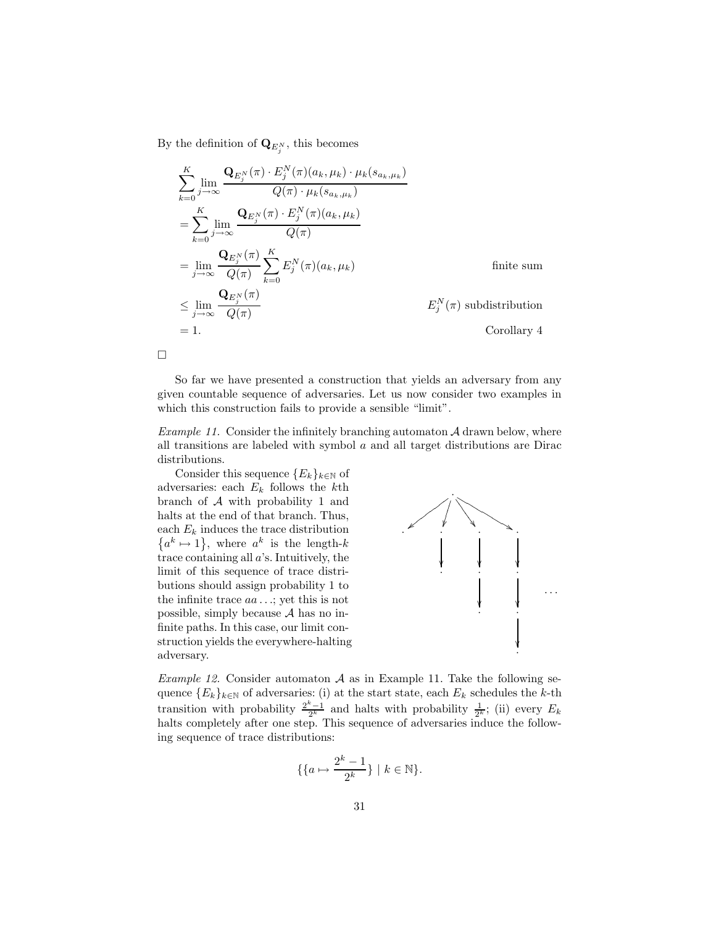By the definition of  $\mathbf{Q}_{E_j^N}$ , this becomes

$$
\sum_{k=0}^{K} \lim_{j \to \infty} \frac{\mathbf{Q}_{E_j^N}(\pi) \cdot E_j^N(\pi)(a_k, \mu_k) \cdot \mu_k(s_{a_k, \mu_k})}{Q(\pi) \cdot \mu_k(s_{a_k, \mu_k})}
$$
\n
$$
= \sum_{k=0}^{K} \lim_{j \to \infty} \frac{\mathbf{Q}_{E_j^N}(\pi) \cdot E_j^N(\pi)(a_k, \mu_k)}{Q(\pi)}
$$
\n
$$
= \lim_{j \to \infty} \frac{\mathbf{Q}_{E_j^N}(\pi)}{Q(\pi)} \sum_{k=0}^{K} E_j^N(\pi)(a_k, \mu_k)
$$
\n
$$
\leq \lim_{j \to \infty} \frac{\mathbf{Q}_{E_j^N}(\pi)}{Q(\pi)}
$$
\n
$$
= \lim_{j \to \infty} \frac{\mathbf{Q}_{E_j^N}(\pi)}{Q(\pi)}
$$
\n
$$
= 1.
$$
\nCorollary 4

 $\Box$ 

So far we have presented a construction that yields an adversary from any given countable sequence of adversaries. Let us now consider two examples in which this construction fails to provide a sensible "limit".

*Example 11.* Consider the infinitely branching automaton  $A$  drawn below, where all transitions are labeled with symbol a and all target distributions are Dirac distributions.

Consider this sequence  ${E_k}_{k \in \mathbb{N}}$  of adversaries: each  $E_k$  follows the kth branch of A with probability 1 and halts at the end of that branch. Thus, each  $E_k$  induces the trace distribution  $\{a^k \mapsto 1\}$ , where  $a^k$  is the length-k trace containing all a's. Intuitively, the limit of this sequence of trace distributions should assign probability 1 to the infinite trace aa . . .; yet this is not possible, simply because A has no infinite paths. In this case, our limit construction yields the everywhere-halting adversary.



*Example 12.* Consider automaton  $A$  as in Example 11. Take the following sequence  ${E_k}_{k\in\mathbb{N}}$  of adversaries: (i) at the start state, each  $E_k$  schedules the k-th transition with probability  $\frac{2^k-1}{2^k}$  and halts with probability  $\frac{1}{2^k}$ ; (ii) every  $E_k$ halts completely after one step. This sequence of adversaries induce the following sequence of trace distributions:

$$
\{\{a \mapsto \frac{2^k - 1}{2^k}\} \mid k \in \mathbb{N}\}.
$$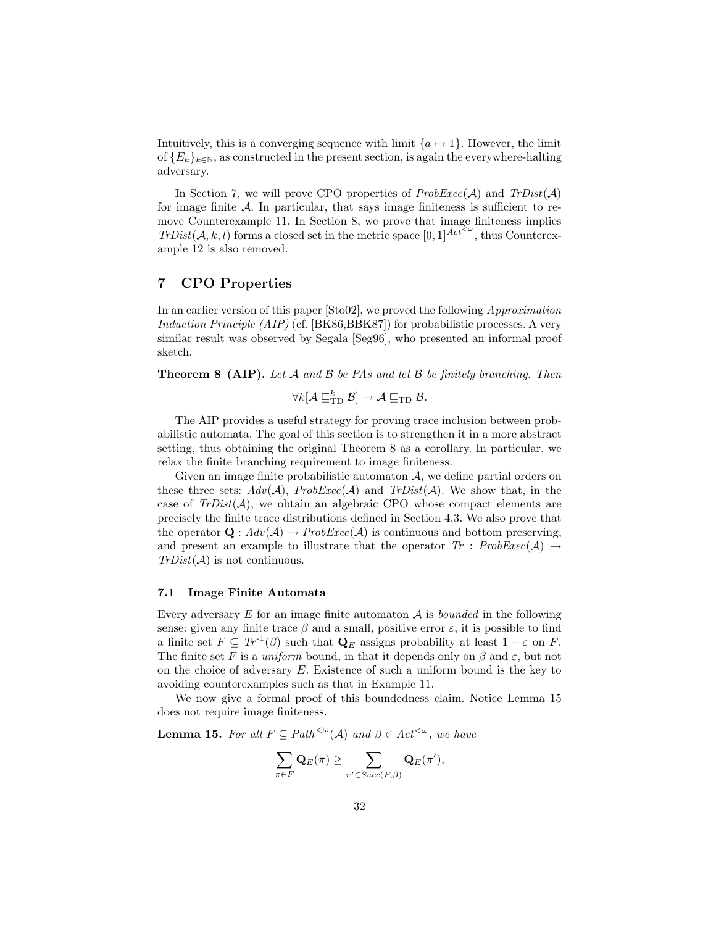Intuitively, this is a converging sequence with limit  $\{a \mapsto 1\}$ . However, the limit of  ${E_k}_{k\in\mathbb{N}}$ , as constructed in the present section, is again the everywhere-halting adversary.

In Section 7, we will prove CPO properties of  $ProbExec(\mathcal{A})$  and  $TrDist(\mathcal{A})$ for image finite  $A$ . In particular, that says image finiteness is sufficient to remove Counterexample 11. In Section 8, we prove that image finiteness implies  $TrDist(\mathcal{A}, k, l)$  forms a closed set in the metric space  $[0, 1]^{Act^{\leq \omega}}$ , thus Counterexample 12 is also removed.

## 7 CPO Properties

In an earlier version of this paper [Sto02], we proved the following Approximation Induction Principle (AIP) (cf. [BK86,BBK87]) for probabilistic processes. A very similar result was observed by Segala [Seg96], who presented an informal proof sketch.

**Theorem 8 (AIP).** Let  $A$  and  $B$  be PAs and let  $B$  be finitely branching. Then

 $\forall k[\mathcal{A}\sqsubseteq_{\mathrm{TD}}^k \mathcal{B}] \rightarrow \mathcal{A}\sqsubseteq_{\mathrm{TD}} \mathcal{B}.$ 

The AIP provides a useful strategy for proving trace inclusion between probabilistic automata. The goal of this section is to strengthen it in a more abstract setting, thus obtaining the original Theorem 8 as a corollary. In particular, we relax the finite branching requirement to image finiteness.

Given an image finite probabilistic automaton A, we define partial orders on these three sets:  $Adv(\mathcal{A})$ ,  $ProbExec(\mathcal{A})$  and  $TrDist(\mathcal{A})$ . We show that, in the case of  $TrDist(\mathcal{A})$ , we obtain an algebraic CPO whose compact elements are precisely the finite trace distributions defined in Section 4.3. We also prove that the operator  $\mathbf{Q}: Adv(\mathcal{A}) \to ProbExec(\mathcal{A})$  is continuous and bottom preserving, and present an example to illustrate that the operator  $Tr : ProbExec(\mathcal{A}) \rightarrow$  $TrDist(\mathcal{A})$  is not continuous.

### 7.1 Image Finite Automata

Every adversary  $E$  for an image finite automaton  $A$  is *bounded* in the following sense: given any finite trace  $\beta$  and a small, positive error  $\varepsilon$ , it is possible to find a finite set  $F \subseteq Tr^{-1}(\beta)$  such that  $\mathbf{Q}_E$  assigns probability at least  $1 - \varepsilon$  on  $F$ . The finite set F is a uniform bound, in that it depends only on  $\beta$  and  $\varepsilon$ , but not on the choice of adversary  $E$ . Existence of such a uniform bound is the key to avoiding counterexamples such as that in Example 11.

We now give a formal proof of this boundedness claim. Notice Lemma 15 does not require image finiteness.

**Lemma 15.** For all  $F \subseteq Path^{<\omega}(\mathcal{A})$  and  $\beta \in Act^{<\omega}$ , we have

$$
\sum_{\pi \in F} \mathbf{Q}_E(\pi) \geq \sum_{\pi' \in Succ(F,\beta)} \mathbf{Q}_E(\pi'),
$$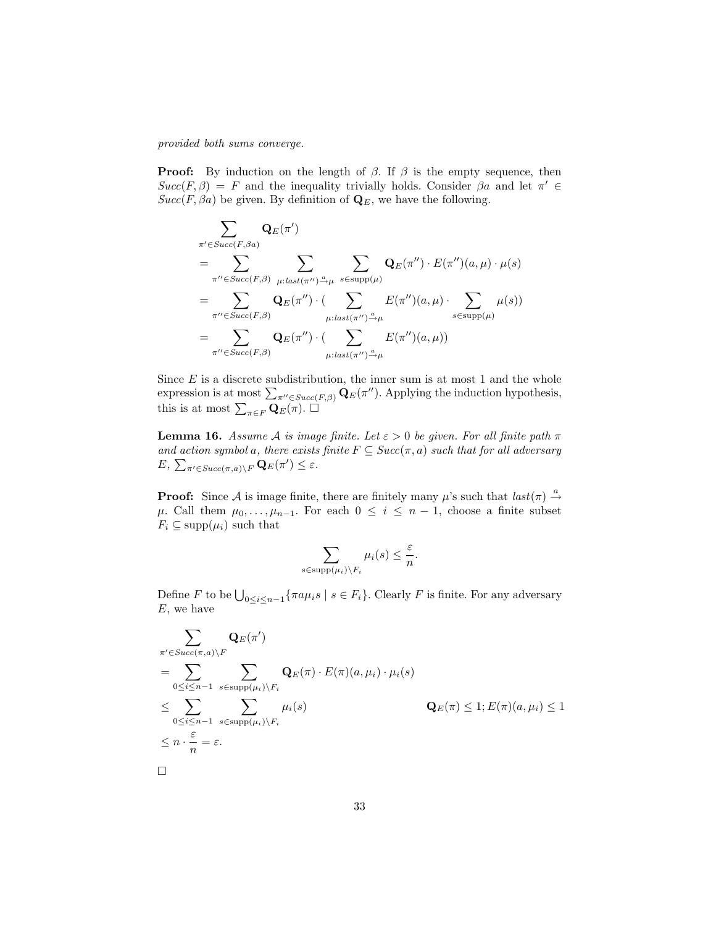provided both sums converge.

**Proof:** By induction on the length of  $\beta$ . If  $\beta$  is the empty sequence, then  $Succ(F, \beta) = F$  and the inequality trivially holds. Consider  $\beta a$  and let  $\pi' \in$  $Succ(F, \beta a)$  be given. By definition of  $\mathbf{Q}_E$ , we have the following.

$$
\sum_{\pi' \in Succ(F,\beta a)} \mathbf{Q}_{E}(\pi')
$$
\n
$$
= \sum_{\pi'' \in Succ(F,\beta)} \sum_{\mu: last(\pi'') \stackrel{\alpha}{\rightarrow} \mu} \sum_{s \in supp(\mu)} \mathbf{Q}_{E}(\pi'') \cdot E(\pi'')(a,\mu) \cdot \mu(s)
$$
\n
$$
= \sum_{\pi'' \in Succ(F,\beta)} \mathbf{Q}_{E}(\pi'') \cdot (\sum_{\mu: last(\pi'') \stackrel{\alpha}{\rightarrow} \mu} E(\pi'')(a,\mu) \cdot \sum_{s \in supp(\mu)} \mu(s))
$$
\n
$$
= \sum_{\pi'' \in Succ(F,\beta)} \mathbf{Q}_{E}(\pi'') \cdot (\sum_{\mu: last(\pi'') \stackrel{\alpha}{\rightarrow} \mu} E(\pi'')(a,\mu))
$$

Since  $E$  is a discrete subdistribution, the inner sum is at most 1 and the whole expression is at most  $\sum_{\pi'' \in Succ(F, \beta)} \mathbf{Q}_E(\pi'')$ . Applying the induction hypothesis, this is at most  $\sum_{\pi \in F} \mathbf{Q}_E(\pi)$ .

**Lemma 16.** Assume A is image finite. Let  $\varepsilon > 0$  be given. For all finite path  $\pi$ and action symbol a, there exists finite  $F \subseteq Succ(\pi, a)$  such that for all adversary  $E, \sum_{\pi' \in Succ(\pi, a) \setminus F} \mathbf{Q}_E(\pi') \leq \varepsilon.$ 

**Proof:** Since A is image finite, there are finitely many  $\mu$ 's such that  $last(\pi) \stackrel{a}{\rightarrow}$  $\mu$ . Call them  $\mu_0, \ldots, \mu_{n-1}$ . For each  $0 \leq i \leq n-1$ , choose a finite subset  $F_i \subseteq \text{supp}(\mu_i)$  such that

$$
\sum_{s \in \text{supp}(\mu_i) \setminus F_i} \mu_i(s) \le \frac{\varepsilon}{n}.
$$

Define F to be  $\bigcup_{0 \leq i \leq n-1} \{\pi a \mu_i s \mid s \in F_i\}$ . Clearly F is finite. For any adversary  $E$ , we have

$$
\sum_{\substack{\pi' \in Succ(\pi, a) \setminus F}} \mathbf{Q}_E(\pi')
$$
\n
$$
= \sum_{0 \le i \le n-1} \sum_{s \in \text{supp}(\mu_i) \setminus F_i} \mathbf{Q}_E(\pi) \cdot E(\pi)(a, \mu_i) \cdot \mu_i(s)
$$
\n
$$
\le \sum_{0 \le i \le n-1} \sum_{s \in \text{supp}(\mu_i) \setminus F_i} \mu_i(s) \qquad \mathbf{Q}_E(\pi) \le 1; E(\pi)(a, \mu_i) \le 1
$$
\n
$$
\le n \cdot \frac{\varepsilon}{n} = \varepsilon.
$$

33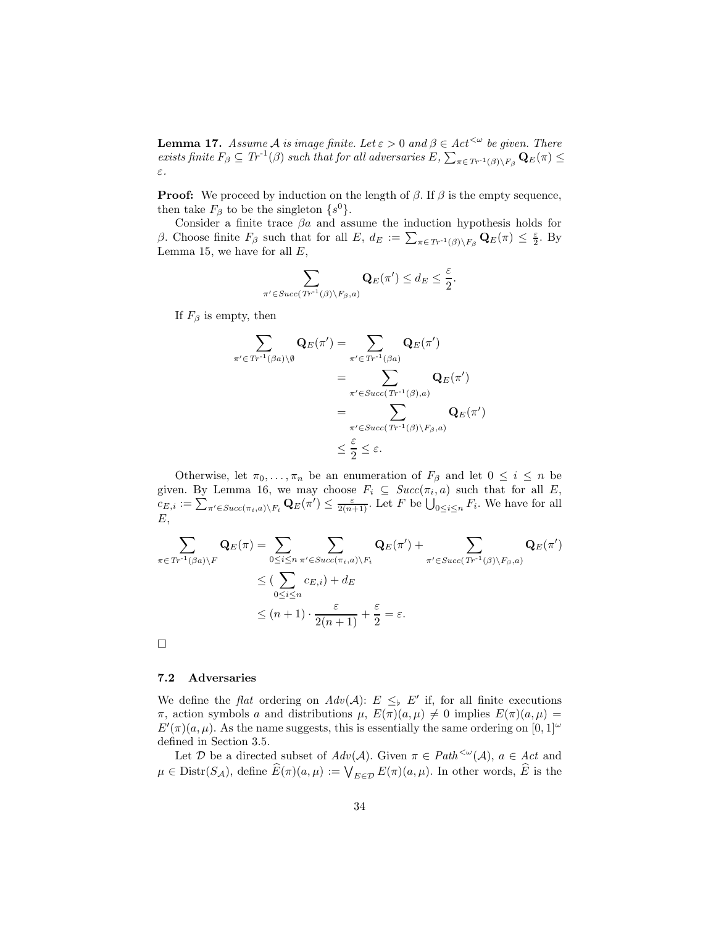**Lemma 17.** Assume A is image finite. Let  $\varepsilon > 0$  and  $\beta \in \text{Act}^{\leq \omega}$  be given. There exists finite  $F_\beta \subseteq Tr^{-1}(\beta)$  such that for all adversaries  $E$ ,  $\sum_{\pi \in Tr^{-1}(\beta) \setminus F_\beta} \mathbf{Q}_E(\pi) \le$ ε.

**Proof:** We proceed by induction on the length of  $\beta$ . If  $\beta$  is the empty sequence, then take  $F_{\beta}$  to be the singleton  $\{s^0\}.$ 

Consider a finite trace  $\beta a$  and assume the induction hypothesis holds for β. Choose finite  $F_\beta$  such that for all  $E, d_E := \sum_{\pi \in Tr^{-1}(\beta) \setminus F_\beta} \mathbf{Q}_E(\pi) \leq \frac{\varepsilon}{2}$ . By Lemma 15, we have for all  $E$ ,

$$
\sum_{\pi' \in Succ(\mathit{Tr}^{-1}(\beta) \setminus F_{\beta}, a)} \mathbf{Q}_E(\pi') \leq d_E \leq \frac{\varepsilon}{2}.
$$

If  $F_\beta$  is empty, then

$$
\sum_{\pi' \in Tr^{-1}(\beta a) \setminus \emptyset} \mathbf{Q}_{E}(\pi') = \sum_{\pi' \in Tr^{-1}(\beta a)} \mathbf{Q}_{E}(\pi')
$$
\n
$$
= \sum_{\pi' \in Succ(Tr^{-1}(\beta), a)} \mathbf{Q}_{E}(\pi')
$$
\n
$$
= \sum_{\pi' \in Succ(Tr^{-1}(\beta) \setminus F_{\beta}, a)} \mathbf{Q}_{E}(\pi')
$$
\n
$$
\leq \frac{\varepsilon}{2} \leq \varepsilon.
$$

Otherwise, let  $\pi_0, \ldots, \pi_n$  be an enumeration of  $F_\beta$  and let  $0 \leq i \leq n$  be given. By Lemma 16, we may choose  $F_i \subseteq Succ(\pi_i, a)$  such that for all E,  $c_{E,i} := \sum_{\pi' \in Succ(\pi_i, a) \setminus F_i} \mathbf{Q}_E(\pi') \leq \frac{\varepsilon}{2(n+1)}$ . Let F be  $\bigcup_{0 \leq i \leq n} F_i$ . We have for all  $E,$ 

$$
\sum_{\pi \in Tr^{-1}(\beta a) \setminus F} \mathbf{Q}_{E}(\pi) = \sum_{0 \le i \le n} \sum_{\pi' \in Succ(\pi_i, a) \setminus F_i} \mathbf{Q}_{E}(\pi') + \sum_{\pi' \in Succ(Tr^{-1}(\beta) \setminus F_{\beta}, a)} \mathbf{Q}_{E}(\pi')
$$
\n
$$
\le (\sum_{0 \le i \le n} c_{E,i}) + d_E
$$
\n
$$
\le (n+1) \cdot \frac{\varepsilon}{2(n+1)} + \frac{\varepsilon}{2} = \varepsilon.
$$

 $\Box$ 

### 7.2 Adversaries

We define the *flat* ordering on  $Adv(\mathcal{A})$ :  $E \leq_b E'$  if, for all finite executions  $\pi$ , action symbols a and distributions  $\mu$ ,  $E(\pi)(a, \mu) \neq 0$  implies  $E(\pi)(a, \mu) =$  $E'(\pi)(a,\mu)$ . As the name suggests, this is essentially the same ordering on  $[0,1]^\omega$ defined in Section 3.5.

Let D be a directed subset of  $Adv(\mathcal{A})$ . Given  $\pi \in Path^{<\omega}(\mathcal{A})$ ,  $a \in Act$  and  $\mu \in \text{Distr}(S_{\mathcal{A}}), \text{ define } \widehat{E}(\pi)(a, \mu) := \bigvee_{E \in \mathcal{D}} E(\pi)(a, \mu).$  In other words,  $\widehat{E}$  is the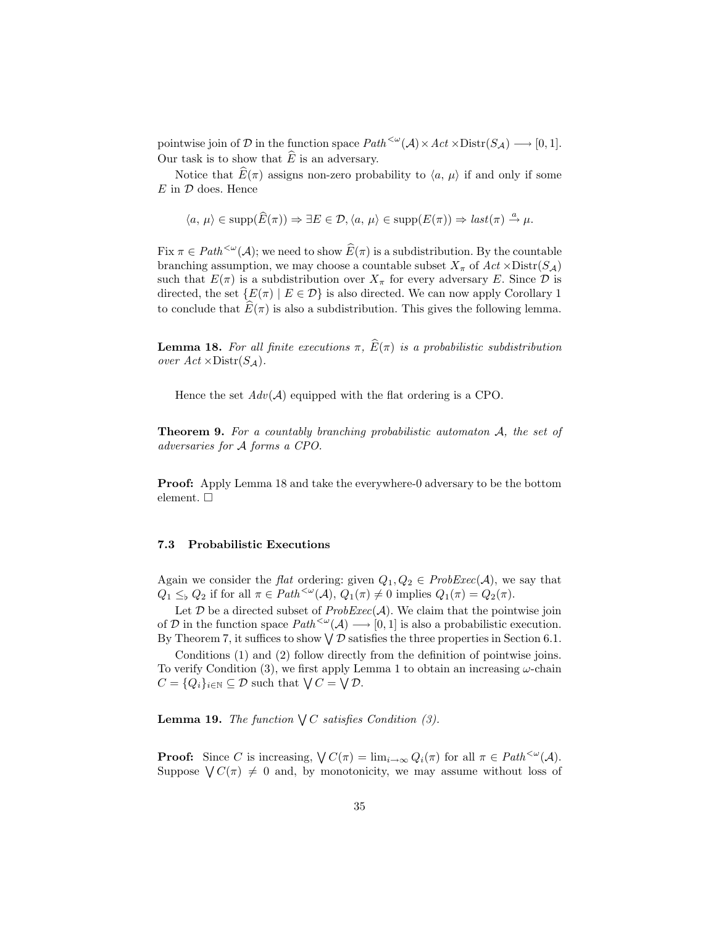pointwise join of D in the function space  $Path^{<\omega}(\mathcal{A}) \times Act \times Dist(S_{\mathcal{A}}) \longrightarrow [0, 1].$ Our task is to show that  $\widehat{E}$  is an adversary.

Notice that  $\widehat{E}(\pi)$  assigns non-zero probability to  $\langle a, \mu \rangle$  if and only if some  $E$  in  $D$  does. Hence

$$
\langle a, \, \mu \rangle \in \text{supp}(\widehat{E}(\pi)) \Rightarrow \exists E \in \mathcal{D}, \langle a, \, \mu \rangle \in \text{supp}(E(\pi)) \Rightarrow \text{last}(\pi) \xrightarrow{a} \mu.
$$

Fix  $\pi \in Path^{<\omega}(\mathcal{A})$ ; we need to show  $\widehat{E}(\pi)$  is a subdistribution. By the countable branching assumption, we may choose a countable subset  $X_{\pi}$  of  $Act \times \text{Distr}(S_{\mathcal{A}})$ such that  $E(\pi)$  is a subdistribution over  $X_{\pi}$  for every adversary E. Since  $\mathcal D$  is directed, the set  $\{E(\pi) \mid E \in \mathcal{D}\}\$ is also directed. We can now apply Corollary 1 to conclude that  $\hat{E}(\pi)$  is also a subdistribution. This gives the following lemma.

**Lemma 18.** For all finite executions  $\pi$ ,  $\widehat{E}(\pi)$  is a probabilistic subdistribution over  $Act \times \text{Distr}(S_{\mathcal{A}})$ .

Hence the set  $Adv(\mathcal{A})$  equipped with the flat ordering is a CPO.

**Theorem 9.** For a countably branching probabilistic automaton  $A$ , the set of adversaries for A forms a CPO.

Proof: Apply Lemma 18 and take the everywhere-0 adversary to be the bottom element.  $\Box$ 

## 7.3 Probabilistic Executions

Again we consider the *flat* ordering: given  $Q_1, Q_2 \in ProbExec(\mathcal{A})$ , we say that  $Q_1 \leq_b Q_2$  if for all  $\pi \in Path^{<\omega}(\mathcal{A}), Q_1(\pi) \neq 0$  implies  $Q_1(\pi) = Q_2(\pi)$ .

Let  $D$  be a directed subset of  $ProbExec(A)$ . We claim that the pointwise join of D in the function space  $Path^{<\omega}(\mathcal{A}) \longrightarrow [0,1]$  is also a probabilistic execution. By Theorem 7, it suffices to show  $\sqrt{\mathcal{D}}$  satisfies the three properties in Section 6.1.

Conditions (1) and (2) follow directly from the definition of pointwise joins. To verify Condition (3), we first apply Lemma 1 to obtain an increasing  $\omega$ -chain  $C = \{Q_i\}_{i \in \mathbb{N}} \subseteq \mathcal{D}$  such that  $\bigvee C = \bigvee \mathcal{D}$ .

**Lemma 19.** The function  $\bigvee C$  satisfies Condition (3).

**Proof:** Since C is increasing,  $\bigvee C(\pi) = \lim_{i \to \infty} Q_i(\pi)$  for all  $\pi \in Path^{<\omega}(\mathcal{A})$ . Suppose  $\bigvee C(\pi) \neq 0$  and, by monotonicity, we may assume without loss of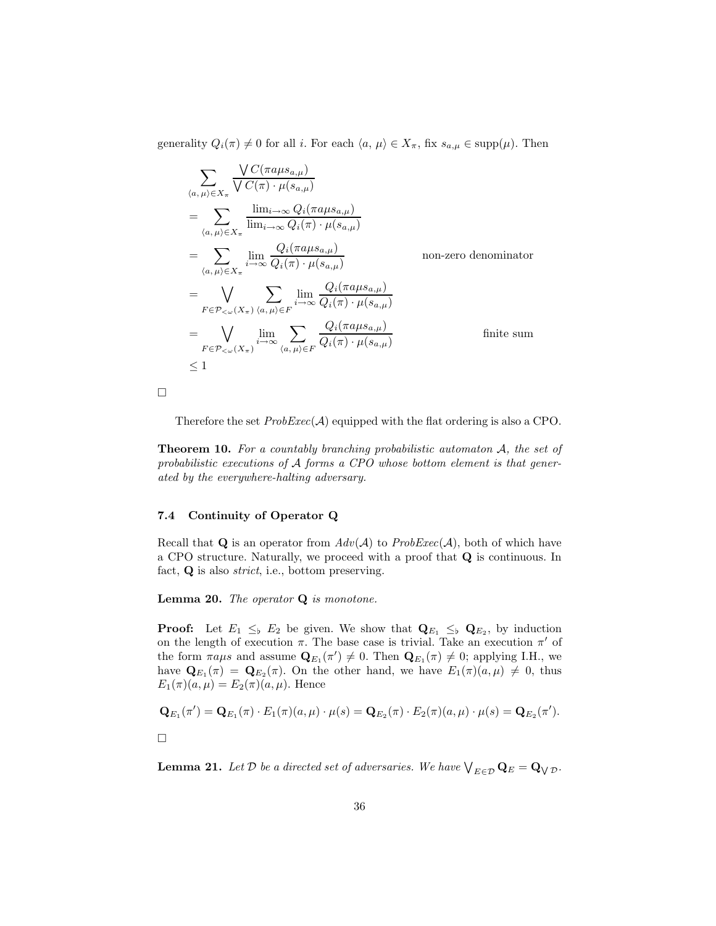generality  $Q_i(\pi) \neq 0$  for all i. For each  $\langle a, \mu \rangle \in X_\pi$ , fix  $s_{a,\mu} \in \text{supp}(\mu)$ . Then

$$
\sum_{\langle a,\,\mu\rangle\in X_{\pi}} \frac{\sqrt{C(\pi a\mu s_{a,\mu})}}{\sqrt{C(\pi)\cdot\mu(s_{a,\mu})}} \n= \sum_{\langle a,\,\mu\rangle\in X_{\pi}} \frac{\lim_{i\to\infty} Q_i(\pi a\mu s_{a,\mu})}{\lim_{i\to\infty} Q_i(\pi)\cdot\mu(s_{a,\mu})} \n= \sum_{\langle a,\,\mu\rangle\in X_{\pi}} \lim_{i\to\infty} \frac{Q_i(\pi a\mu s_{a,\mu})}{Q_i(\pi)\cdot\mu(s_{a,\mu})} \qquad \text{non-zero denominator} \n= \sqrt{\sum_{F\in\mathcal{P}_{\le\omega}(X_{\pi})} \sum_{\langle a,\,\mu\rangle\in F} \lim_{i\to\infty} \frac{Q_i(\pi a\mu s_{a,\mu})}{Q_i(\pi)\cdot\mu(s_{a,\mu})}} \n= \sqrt{\sum_{F\in\mathcal{P}_{\le\omega}(X_{\pi})} \lim_{i\to\infty} \sum_{\langle a,\,\mu\rangle\in F} \frac{Q_i(\pi a\mu s_{a,\mu})}{Q_i(\pi)\cdot\mu(s_{a,\mu})}} \qquad \text{finite sum} \n\le 1
$$

 $\Box$ 

Therefore the set  $ProbExec(\mathcal{A})$  equipped with the flat ordering is also a CPO.

**Theorem 10.** For a countably branching probabilistic automaton A, the set of probabilistic executions of A forms a CPO whose bottom element is that generated by the everywhere-halting adversary.

## 7.4 Continuity of Operator Q

Recall that **Q** is an operator from  $Adv(\mathcal{A})$  to  $ProbExec(\mathcal{A})$ , both of which have a CPO structure. Naturally, we proceed with a proof that Q is continuous. In fact, Q is also strict, i.e., bottom preserving.

Lemma 20. The operator  $Q$  is monotone.

**Proof:** Let  $E_1 \leq_b E_2$  be given. We show that  $\mathbf{Q}_{E_1} \leq_b \mathbf{Q}_{E_2}$ , by induction on the length of execution  $\pi$ . The base case is trivial. Take an execution  $\pi'$  of the form  $\pi a\mu s$  and assume  $\mathbf{Q}_{E_1}(\pi') \neq 0$ . Then  $\mathbf{Q}_{E_1}(\pi) \neq 0$ ; applying I.H., we have  $\mathbf{Q}_{E_1}(\pi) = \mathbf{Q}_{E_2}(\pi)$ . On the other hand, we have  $E_1(\pi)(a,\mu) \neq 0$ , thus  $E_1(\pi)(a,\mu) = E_2(\pi)(a,\mu)$ . Hence

$$
\mathbf{Q}_{E_1}(\pi') = \mathbf{Q}_{E_1}(\pi) \cdot E_1(\pi)(a,\mu) \cdot \mu(s) = \mathbf{Q}_{E_2}(\pi) \cdot E_2(\pi)(a,\mu) \cdot \mu(s) = \mathbf{Q}_{E_2}(\pi').
$$
  

$$
\Box
$$

**Lemma 21.** Let  $D$  be a directed set of adversaries. We have  $\bigvee_{E \in \mathcal{D}} \mathbf{Q}_E = \mathbf{Q}_{\bigvee \mathcal{D}}$ .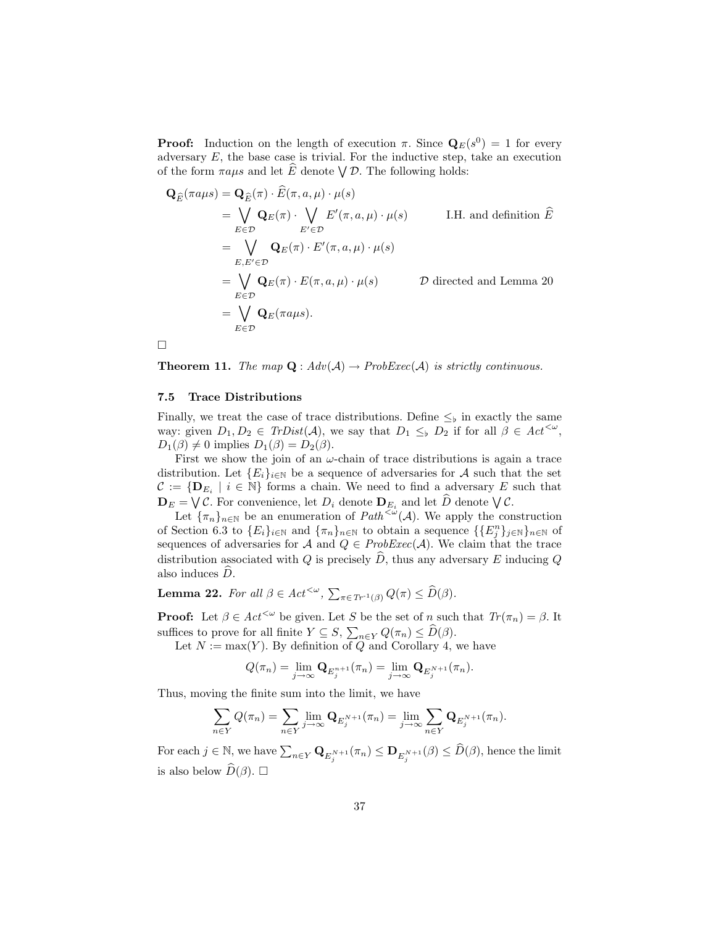**Proof:** Induction on the length of execution  $\pi$ . Since  $\mathbf{Q}_E(s^0) = 1$  for every adversary  $E$ , the base case is trivial. For the inductive step, take an execution of the form  $\pi a\mu s$  and let  $\widehat{E}$  denote  $\bigvee \mathcal{D}$ . The following holds:

$$
\begin{aligned}\n\mathbf{Q}_{\widehat{E}}(\pi a \mu s) &= \mathbf{Q}_{\widehat{E}}(\pi) \cdot \widehat{E}(\pi, a, \mu) \cdot \mu(s) \\
&= \bigvee_{E \in \mathcal{D}} \mathbf{Q}_{E}(\pi) \cdot \bigvee_{E' \in \mathcal{D}} E'(\pi, a, \mu) \cdot \mu(s) \qquad \text{I.H. and definition } \widehat{E} \\
&= \bigvee_{E, E' \in \mathcal{D}} \mathbf{Q}_{E}(\pi) \cdot E'(\pi, a, \mu) \cdot \mu(s) \\
&= \bigvee_{E \in \mathcal{D}} \mathbf{Q}_{E}(\pi) \cdot E(\pi, a, \mu) \cdot \mu(s) \qquad \mathcal{D} \text{ directed and Lemma 20} \\
&= \bigvee_{E \in \mathcal{D}} \mathbf{Q}_{E}(\pi a \mu s).\n\end{aligned}
$$

 $\Box$ 

**Theorem 11.** The map  $\mathbf{Q}: Adv(\mathcal{A}) \rightarrow ProbExec(\mathcal{A})$  is strictly continuous.

## 7.5 Trace Distributions

Finally, we treat the case of trace distributions. Define  $\leq_{\flat}$  in exactly the same way: given  $D_1, D_2 \in TrDist(\mathcal{A}),$  we say that  $D_1 \leq_b D_2$  if for all  $\beta \in Act^{<\omega}$ ,  $D_1(\beta) \neq 0$  implies  $D_1(\beta) = D_2(\beta)$ .

First we show the join of an  $\omega$ -chain of trace distributions is again a trace distribution. Let  ${E_i}_{i \in \mathbb{N}}$  be a sequence of adversaries for A such that the set  $\mathcal{C} := \{ \mathbf{D}_{E_i} \mid i \in \mathbb{N} \}$  forms a chain. We need to find a adversary E such that  $\mathbf{D}_E = \bigvee \mathcal{C}$ . For convenience, let  $D_i$  denote  $\mathbf{D}_{E_i}$  and let  $\widehat{D}$  denote  $\bigvee \mathcal{C}$ .

Let  ${\lbrace \pi_n \rbrace_{n \in \mathbb{N}}}$  be an enumeration of  $Path^{<\omega}(\mathcal{A})$ . We apply the construction of Section 6.3 to  ${E_i}_{i \in \mathbb{N}}$  and  ${\{\pi_n\}}_{n \in \mathbb{N}}$  to obtain a sequence  ${\{E_j^n\}}_{j \in \mathbb{N}}\}_{n \in \mathbb{N}}$  of sequences of adversaries for A and  $Q \in ProbExec(\mathcal{A})$ . We claim that the trace distribution associated with Q is precisely  $\hat{D}$ , thus any adversary E inducing Q also induces  $\ddot{D}$ .

**Lemma 22.** For all  $\beta \in \text{Act}^{<\omega}$ ,  $\sum_{\pi \in \text{Tr}^{-1}(\beta)} Q(\pi) \leq \widehat{D}(\beta)$ .

**Proof:** Let  $\beta \in \text{Act}^{\lt \omega}$  be given. Let S be the set of n such that  $Tr(\pi_n) = \beta$ . It suffices to prove for all finite  $Y \subseteq S$ ,  $\sum_{n \in Y} Q(\pi_n) \leq \widehat{D}(\beta)$ .

Let  $N := max(Y)$ . By definition of  $\widetilde{Q}$  and Corollary 4, we have

$$
Q(\pi_n) = \lim_{j \to \infty} \mathbf{Q}_{E_j^{n+1}}(\pi_n) = \lim_{j \to \infty} \mathbf{Q}_{E_j^{N+1}}(\pi_n).
$$

Thus, moving the finite sum into the limit, we have

$$
\sum_{n\in Y} Q(\pi_n) = \sum_{n\in Y} \lim_{j\to\infty} \mathbf{Q}_{E_j^{N+1}}(\pi_n) = \lim_{j\to\infty} \sum_{n\in Y} \mathbf{Q}_{E_j^{N+1}}(\pi_n).
$$

For each  $j \in \mathbb{N}$ , we have  $\sum_{n \in Y} \mathbf{Q}_{E_j^{N+1}}(\pi_n) \le \mathbf{D}_{E_j^{N+1}}(\beta) \le \widehat{D}(\beta)$ , hence the limit is also below  $\widehat{D}(\beta)$ .  $\square$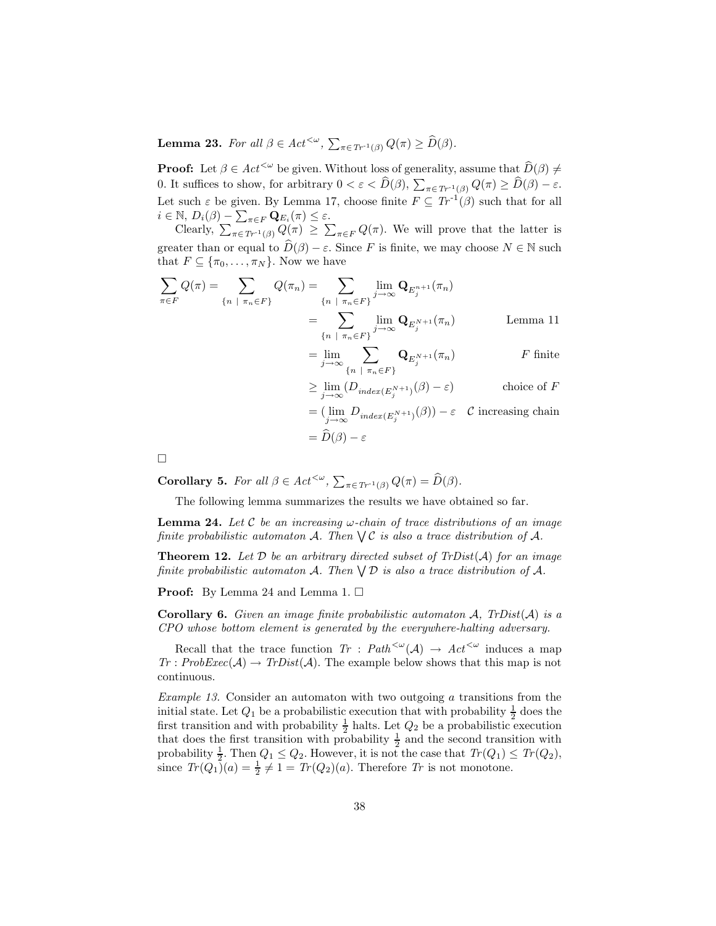**Lemma 23.** For all  $\beta \in \text{Act}^{<\omega}$ ,  $\sum_{\pi \in \text{Tr}^{-1}(\beta)} Q(\pi) \ge \widehat{D}(\beta)$ .

**Proof:** Let  $\beta \in \text{Act}^{\leq \omega}$  be given. Without loss of generality, assume that  $\widehat{D}(\beta) \neq 0$ 0. It suffices to show, for arbitrary  $0 < \varepsilon < \widehat{D}(\beta)$ ,  $\sum_{\pi \in Tr^{-1}(\beta)} Q(\pi) \ge \widehat{D}(\beta) - \varepsilon$ . Let such  $\varepsilon$  be given. By Lemma 17, choose finite  $F \subseteq Tr^{-1}(\beta)$  such that for all  $i \in \mathbb{N}, D_i(\beta) - \sum_{\pi \in F} \mathbf{Q}_{E_i}(\pi) \leq \varepsilon.$ 

Clearly,  $\sum_{\pi \in Tr^{-1}(\beta)} Q(\pi) \geq \sum_{\pi \in F} Q(\pi)$ . We will prove that the latter is greater than or equal to  $\widehat{D}(\beta) - \varepsilon$ . Since F is finite, we may choose  $N \in \mathbb{N}$  such that  $F \subseteq {\lbrace \pi_0, \ldots, \pi_N \rbrace}$ . Now we have

$$
\sum_{\pi \in F} Q(\pi) = \sum_{\{n \ |\ \pi_n \in F\}} Q(\pi_n) = \sum_{\{n \ |\ \pi_n \in F\}} \lim_{j \to \infty} \mathbf{Q}_{E_j^{n+1}}(\pi_n)
$$
\n
$$
= \sum_{\{n \ |\ \pi_n \in F\}} \lim_{j \to \infty} \mathbf{Q}_{E_j^{N+1}}(\pi_n) \qquad \text{Lemma 11}
$$
\n
$$
= \lim_{\pi \to \infty} \sum_{n \in \mathbb{N}} \mathbf{Q}_{E_j^{N+1}}(\pi_n) \qquad F \text{ finite}
$$

$$
= \lim_{j \to \infty} \sum_{\{n \mid \pi_n \in F\}} \mathbf{Q}_{E_j^{N+1}}(\pi_n) \qquad F \text{ finite}
$$

$$
\geq \lim_{j \to \infty} (D_{index(E_j^{N+1})}(\beta) - \varepsilon)
$$
 choice of  $F$   
=  $(\lim_{j \to \infty} D_{index(F_j^{N+1})}(\beta)) - \varepsilon$   $C$  increasing chain

$$
= (\lim_{j \to \infty} D_{index(E_j^{N+1})}(\beta)) - \varepsilon \quad \text{C increasing chain}
$$
  
=  $\widehat{D}(\beta) - \varepsilon$ 

 $\Box$ 

**Corollary 5.** For all  $\beta \in \text{Act}^{<\omega}$ ,  $\sum_{\pi \in \text{Tr}^{-1}(\beta)} Q(\pi) = \widehat{D}(\beta)$ .

The following lemma summarizes the results we have obtained so far.

**Lemma 24.** Let C be an increasing  $\omega$ -chain of trace distributions of an image finite probabilistic automaton A. Then  $\bigvee \mathcal{C}$  is also a trace distribution of A.

**Theorem 12.** Let  $D$  be an arbitrary directed subset of  $TrDist(A)$  for an image finite probabilistic automaton A. Then  $\bigvee \mathcal{D}$  is also a trace distribution of A.

**Proof:** By Lemma 24 and Lemma 1.  $\Box$ 

**Corollary 6.** Given an image finite probabilistic automaton  $\mathcal{A}$ , TrDist $(\mathcal{A})$  is a CPO whose bottom element is generated by the everywhere-halting adversary.

Recall that the trace function  $Tr : Path^{<\omega}(\mathcal{A}) \to Act^{<\omega}$  induces a map  $Tr : ProbExec(\mathcal{A}) \rightarrow TrDist(\mathcal{A})$ . The example below shows that this map is not continuous.

Example 13. Consider an automaton with two outgoing a transitions from the initial state. Let  $Q_1$  be a probabilistic execution that with probability  $\frac{1}{2}$  does the first transition and with probability  $\frac{1}{2}$  halts. Let  $Q_2$  be a probabilistic execution that does the first transition with probability  $\frac{1}{2}$  and the second transition with probability  $\frac{1}{2}$ . Then  $Q_1 \leq Q_2$ . However, it is not the case that  $Tr(Q_1) \leq Tr(Q_2)$ , since  $Tr(Q_1)(a) = \frac{1}{2} \neq 1 = Tr(Q_2)(a)$ . Therefore  $Tr$  is not monotone.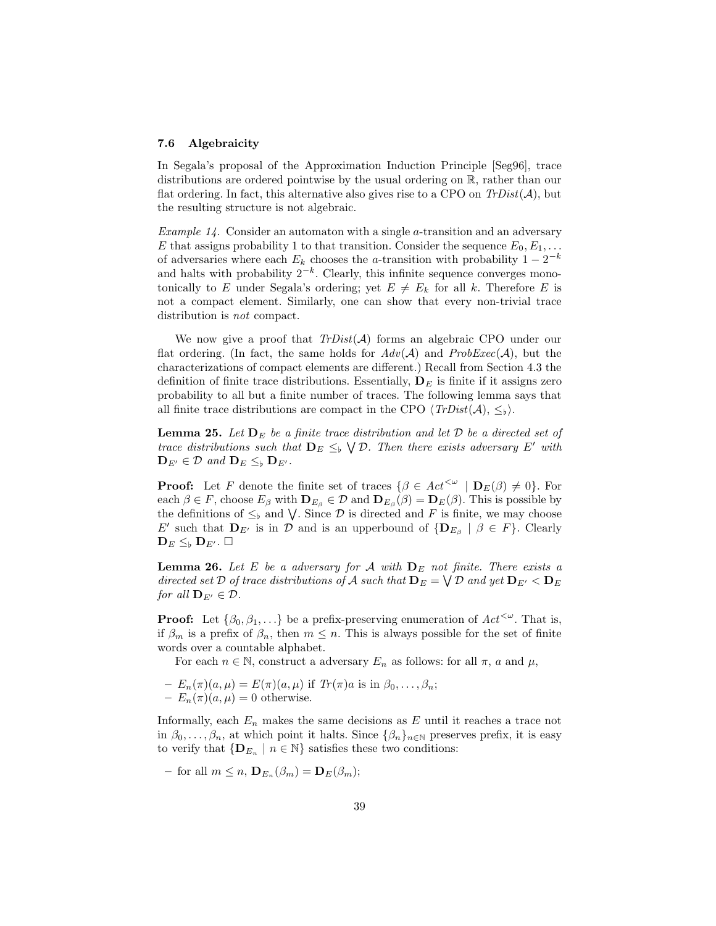#### 7.6 Algebraicity

In Segala's proposal of the Approximation Induction Principle [Seg96], trace distributions are ordered pointwise by the usual ordering on R, rather than our flat ordering. In fact, this alternative also gives rise to a CPO on  $TrDist(\mathcal{A})$ , but the resulting structure is not algebraic.

Example 14. Consider an automaton with a single a-transition and an adversary E that assigns probability 1 to that transition. Consider the sequence  $E_0, E_1, \ldots$ of adversaries where each  $E_k$  chooses the a-transition with probability  $1 - 2^{-k}$ and halts with probability  $2^{-k}$ . Clearly, this infinite sequence converges monotonically to E under Segala's ordering; yet  $E \neq E_k$  for all k. Therefore E is not a compact element. Similarly, one can show that every non-trivial trace distribution is not compact.

We now give a proof that  $TrDist(A)$  forms an algebraic CPO under our flat ordering. (In fact, the same holds for  $Adv(\mathcal{A})$  and  $ProbExec(\mathcal{A})$ , but the characterizations of compact elements are different.) Recall from Section 4.3 the definition of finite trace distributions. Essentially,  $D_E$  is finite if it assigns zero probability to all but a finite number of traces. The following lemma says that all finite trace distributions are compact in the CPO  $\langle TrDist(\mathcal{A}), \leq_b\rangle$ .

**Lemma 25.** Let  $D_E$  be a finite trace distribution and let  $D$  be a directed set of trace distributions such that  $D_E \leq_b \forall D$ . Then there exists adversary E' with  $\mathbf{D}_{E'} \in \mathcal{D}$  and  $\mathbf{D}_E \leq_{\flat} \mathbf{D}_{E'}$ .

**Proof:** Let F denote the finite set of traces  $\{\beta \in Act^{\leq \omega} \mid \mathbf{D}_E(\beta) \neq 0\}$ . For each  $\beta \in F$ , choose  $E_{\beta}$  with  $\mathbf{D}_{E_{\beta}} \in \mathcal{D}$  and  $\mathbf{D}_{E_{\beta}}(\beta) = \mathbf{D}_{E}(\beta)$ . This is possible by the definitions of  $\leq_b$  and  $\bigvee$ . Since  $\mathcal D$  is directed and F is finite, we may choose E' such that  $\mathbf{D}_{E'}$  is in D and is an upperbound of  $\{\mathbf{D}_{E_{\beta}} \mid \beta \in F\}$ . Clearly  $\mathbf{D}_E \leq_\flat \mathbf{D}_{E'}$ .

**Lemma 26.** Let E be a adversary for A with  $D<sub>E</sub>$  not finite. There exists a directed set  $\mathcal D$  of trace distributions of  $\mathcal A$  such that  $\mathbf D_E = \bigvee \mathcal D$  and yet  $\mathbf D_{E'} < \mathbf D_E$ for all  $\mathbf{D}_{E'} \in \mathcal{D}$ .

**Proof:** Let  $\{\beta_0, \beta_1, \ldots\}$  be a prefix-preserving enumeration of  $Act^{<\omega}$ . That is, if  $\beta_m$  is a prefix of  $\beta_n$ , then  $m \leq n$ . This is always possible for the set of finite words over a countable alphabet.

For each  $n \in \mathbb{N}$ , construct a adversary  $E_n$  as follows: for all  $\pi$ , a and  $\mu$ ,

- 
$$
E_n(\pi)(a,\mu) = E(\pi)(a,\mu)
$$
 if  $Tr(\pi)a$  is in  $\beta_0, ..., \beta_n$ ;  
-  $E_n(\pi)(a,\mu) = 0$  otherwise.

Informally, each  $E_n$  makes the same decisions as E until it reaches a trace not in  $\beta_0, \ldots, \beta_n$ , at which point it halts. Since  $\{\beta_n\}_{n\in\mathbb{N}}$  preserves prefix, it is easy to verify that  $\{D_{E_n} \mid n \in \mathbb{N}\}\$  satisfies these two conditions:

- for all 
$$
m \leq n
$$
,  $\mathbf{D}_{E_n}(\beta_m) = \mathbf{D}_E(\beta_m)$ ;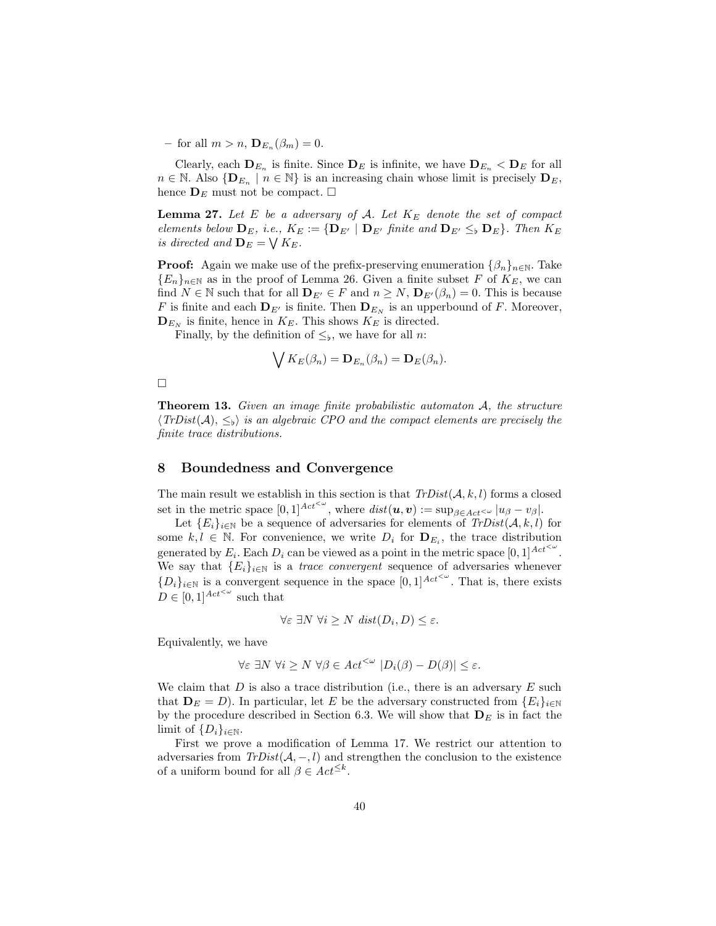$-$  for all  $m > n$ ,  $\mathbf{D}_{E_n}(\beta_m) = 0$ .

Clearly, each  $\mathbf{D}_{E_n}$  is finite. Since  $\mathbf{D}_E$  is infinite, we have  $\mathbf{D}_{E_n} < \mathbf{D}_E$  for all  $n \in \mathbb{N}$ . Also  $\{ \mathbf{D}_{E_n} \mid n \in \mathbb{N} \}$  is an increasing chain whose limit is precisely  $\mathbf{D}_E$ , hence  $\mathbf{D}_E$  must not be compact.  $\square$ 

**Lemma 27.** Let E be a adversary of A. Let  $K_E$  denote the set of compact elements below  $\mathbf{D}_E$ , i.e.,  $K_E := \{ \mathbf{D}_{E'} \mid \mathbf{D}_{E'} \text{ finite and } \mathbf{D}_{E'} \leq_b \mathbf{D}_E \}.$  Then  $K_E$ is directed and  $\mathbf{D}_E = \bigvee K_E$ .

**Proof:** Again we make use of the prefix-preserving enumeration  $\{\beta_n\}_{n\in\mathbb{N}}$ . Take  ${E_n}_{n\in\mathbb{N}}$  as in the proof of Lemma 26. Given a finite subset F of  $K_E$ , we can find  $N \in \mathbb{N}$  such that for all  $\mathbf{D}_{E'} \in F$  and  $n \geq N$ ,  $\mathbf{D}_{E'}(\beta_n) = 0$ . This is because F is finite and each  $\mathbf{D}_{E'}$  is finite. Then  $\mathbf{D}_{E_N}$  is an upperbound of F. Moreover,  $\mathbf{D}_{E_N}$  is finite, hence in  $K_E$ . This shows  $K_E$  is directed.

Finally, by the definition of  $\leq_{\flat}$ , we have for all *n*:

$$
\bigvee K_E(\beta_n) = \mathbf{D}_{E_n}(\beta_n) = \mathbf{D}_E(\beta_n).
$$

**Theorem 13.** Given an image finite probabilistic automaton  $A$ , the structure  $\langle TrDist(A), \leq_b \rangle$  is an algebraic CPO and the compact elements are precisely the finite trace distributions.

## 8 Boundedness and Convergence

The main result we establish in this section is that  $TrDist(\mathcal{A}, k, l)$  forms a closed set in the metric space  $[0,1]^{Act^{&\omega}}$ , where  $dist(\boldsymbol{u}, \boldsymbol{v}) := \sup_{\beta \in Act^{&\omega}} |u_{\beta} - v_{\beta}|$ .

Let  ${E_i}_{i \in \mathbb{N}}$  be a sequence of adversaries for elements of  $TrDist(\mathcal{A}, k, l)$  for some  $k, l \in \mathbb{N}$ . For convenience, we write  $D_i$  for  $\mathbf{D}_{E_i}$ , the trace distribution generated by  $E_i$ . Each  $D_i$  can be viewed as a point in the metric space  $[0,1]^{Act^{\leq \omega}}$ . We say that  ${E_i}_{i \in \mathbb{N}}$  is a *trace convergent* sequence of adversaries whenever  ${D_i}_{i\in\mathbb{N}}$  is a convergent sequence in the space  $[0,1]^{Act<\omega}$ . That is, there exists  $D \in [0, 1]^{Act<\omega}$  such that

$$
\forall \varepsilon \ \exists N \ \forall i \ge N \ \text{dist}(D_i, D) \le \varepsilon.
$$

Equivalently, we have

$$
\forall \varepsilon \exists N \ \forall i \ge N \ \forall \beta \in \text{Act}^{<\omega} \ |D_i(\beta) - D(\beta)| \le \varepsilon.
$$

We claim that  $D$  is also a trace distribution (i.e., there is an adversary  $E$  such that  $\mathbf{D}_E = D$ ). In particular, let E be the adversary constructed from  $\{E_i\}_{i\in\mathbb{N}}$ by the procedure described in Section 6.3. We will show that  $D<sub>E</sub>$  is in fact the limit of  $\{D_i\}_{i\in\mathbb{N}}$ .

First we prove a modification of Lemma 17. We restrict our attention to adversaries from  $TrDist(\mathcal{A},-,l)$  and strengthen the conclusion to the existence of a uniform bound for all  $\beta \in Act^{\leq k}$ .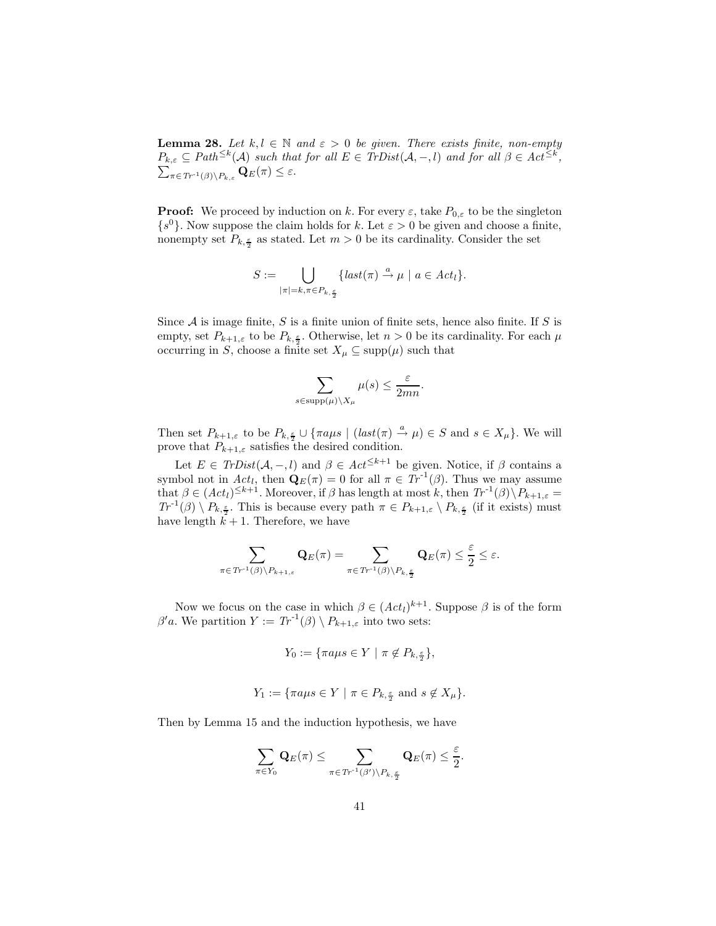**Lemma 28.** Let  $k, l \in \mathbb{N}$  and  $\varepsilon > 0$  be given. There exists finite, non-empty  $P_{k,\varepsilon} \subseteq Path^{\leq k}(\mathcal{A})$  such that for all  $E \in TrDist(\mathcal{A},-,l)$  and for all  $\beta \in Act^{\leq k}$ ,<br> $\sum_{\substack{\sigma \in Th^{-1}(\mathcal{A}) \setminus B}} \mathbf{Q}_E(\pi) \leq \varepsilon$ .  $\pi \in Tr^{-1}(\beta)\backslash P_{k,\varepsilon}$   $\mathbf{Q}_E(\pi) \leq \varepsilon$ .

**Proof:** We proceed by induction on k. For every  $\varepsilon$ , take  $P_{0,\varepsilon}$  to be the singleton  $\{s^0\}$ . Now suppose the claim holds for k. Let  $\varepsilon > 0$  be given and choose a finite, nonempty set  $P_{k, \frac{\varepsilon}{2}}$  as stated. Let  $m > 0$  be its cardinality. Consider the set

$$
S := \bigcup_{|\pi|=k, \pi \in P_{k, \frac{\varepsilon}{2}}} \{ last(\pi) \xrightarrow{a} \mu \mid a \in Act_l \}.
$$

Since  $A$  is image finite,  $S$  is a finite union of finite sets, hence also finite. If  $S$  is empty, set  $P_{k+1,\varepsilon}$  to be  $P_{k,\frac{\varepsilon}{2}}$ . Otherwise, let  $n > 0$  be its cardinality. For each  $\mu$ occurring in S, choose a finite set  $X_{\mu} \subseteq \text{supp}(\mu)$  such that

$$
\sum_{s \in \text{supp}(\mu) \setminus X_{\mu}} \mu(s) \le \frac{\varepsilon}{2mn}.
$$

Then set  $P_{k+1,\varepsilon}$  to be  $P_{k,\frac{\varepsilon}{2}} \cup {\lbrace \pi a \mu s \mid (last(\pi) \stackrel{a}{\to} \mu) \in S \text{ and } s \in X_\mu \rbrace}$ . We will prove that  $P_{k+1,\varepsilon}$  satisfies the desired condition.

Let  $E \in TrDist(\mathcal{A}, -, l)$  and  $\beta \in Act^{\leq k+1}$  be given. Notice, if  $\beta$  contains a symbol not in  $Act_l$ , then  $\mathbf{Q}_E(\pi) = 0$  for all  $\pi \in Tr^{-1}(\beta)$ . Thus we may assume that  $\beta \in (Act_l)^{\leq k+1}$ . Moreover, if  $\beta$  has length at most k, then  $Tr^{-1}(\beta)\setminus P_{k+1,\varepsilon}$  $Tr^{-1}(\beta) \setminus P_{k,\frac{\varepsilon}{2}}$ . This is because every path  $\pi \in P_{k+1,\varepsilon} \setminus P_{k,\frac{\varepsilon}{2}}$  (if it exists) must have length  $k + 1$ . Therefore, we have

$$
\sum_{\pi \in \mathit{Tr}^{-1}(\beta) \setminus P_{k+1,\varepsilon}} \mathbf{Q}_E(\pi) = \sum_{\pi \in \mathit{Tr}^{-1}(\beta) \setminus P_{k,\frac{\varepsilon}{2}}} \mathbf{Q}_E(\pi) \leq \frac{\varepsilon}{2} \leq \varepsilon.
$$

Now we focus on the case in which  $\beta \in (Act_l)^{k+1}$ . Suppose  $\beta$  is of the form  $\beta'$ a. We partition  $Y := Tr^{-1}(\beta) \setminus P_{k+1,\varepsilon}$  into two sets:

$$
Y_0 := \{ \pi a \mu s \in Y \mid \pi \notin P_{k, \frac{\varepsilon}{2}} \},
$$

$$
Y_1 := \{ \pi a \mu s \in Y \mid \pi \in P_{k, \frac{\varepsilon}{2}} \text{ and } s \notin X_{\mu} \}.
$$

Then by Lemma 15 and the induction hypothesis, we have

$$
\sum_{\pi \in Y_0} \mathbf{Q}_E(\pi) \leq \sum_{\pi \in \mathrm{Tr}^{-1}(\beta') \backslash P_{k,\frac{\varepsilon}{2}}} \mathbf{Q}_E(\pi) \leq \frac{\varepsilon}{2}.
$$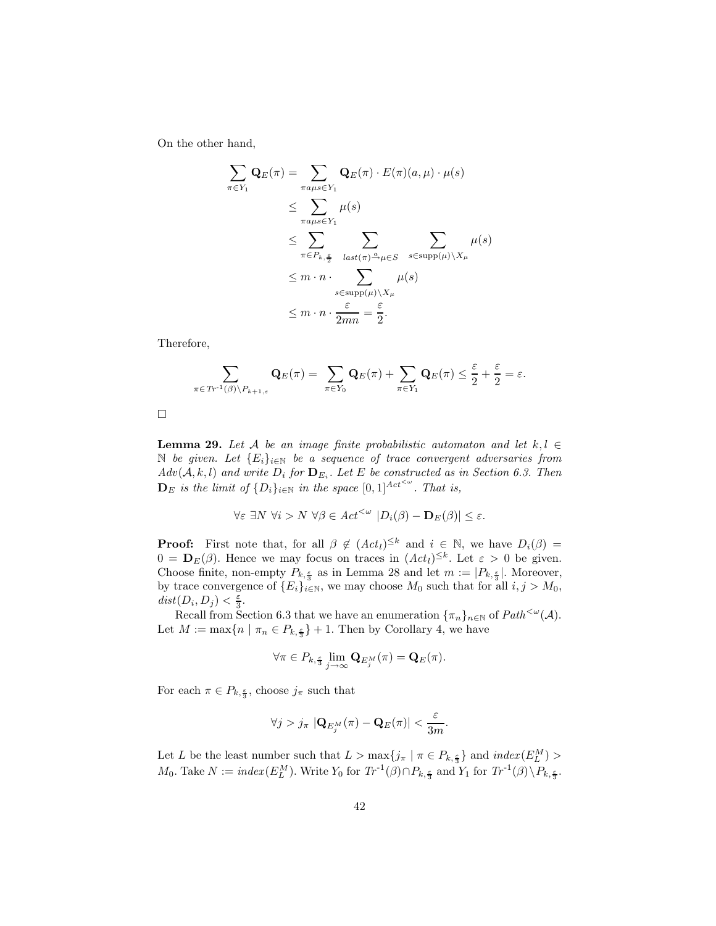On the other hand,

 $\pi$ 

$$
\sum_{\tau \in Y_1} \mathbf{Q}_E(\pi) = \sum_{\pi a \mu s \in Y_1} \mathbf{Q}_E(\pi) \cdot E(\pi)(a, \mu) \cdot \mu(s)
$$
\n
$$
\leq \sum_{\pi a \mu s \in Y_1} \mu(s)
$$
\n
$$
\leq \sum_{\pi \in P_{k, \frac{\varepsilon}{2}}} \sum_{\substack{\text{last}(\pi) \stackrel{a}{\to} \mu \in S \\ s \in \text{supp}(\mu) \setminus X_\mu}} \sum_{s \in \text{supp}(\mu) \setminus X_\mu} \mu(s)
$$
\n
$$
\leq m \cdot n \cdot \sum_{\substack{\varepsilon \in \text{supp}(\mu) \setminus X_\mu}} \mu(s)
$$
\n
$$
\leq m \cdot n \cdot \frac{\varepsilon}{2mn} = \frac{\varepsilon}{2}.
$$

Therefore,

$$
\sum_{\pi \in Tr^{-1}(\beta) \setminus P_{k+1,\varepsilon}} \mathbf{Q}_E(\pi) = \sum_{\pi \in Y_0} \mathbf{Q}_E(\pi) + \sum_{\pi \in Y_1} \mathbf{Q}_E(\pi) \le \frac{\varepsilon}{2} + \frac{\varepsilon}{2} = \varepsilon.
$$

 $\Box$ 

**Lemma 29.** Let A be an image finite probabilistic automaton and let  $k, l \in$ N be given. Let  ${E_i}_{i \in \mathbb{N}}$  be a sequence of trace convergent adversaries from  $Adv(\mathcal{A}, k, l)$  and write  $D_i$  for  $\mathbf{D}_{E_i}$ . Let E be constructed as in Section 6.3. Then  $\mathbf{D}_E$  is the limit of  $\{D_i\}_{i\in\mathbb{N}}$  in the space  $[0,1]^{Act^{<\omega}}$ . That is,

$$
\forall \varepsilon \exists N \ \forall i > N \ \forall \beta \in \text{Act}^{<\omega} \ |D_i(\beta) - \mathbf{D}_E(\beta)| \leq \varepsilon.
$$

**Proof:** First note that, for all  $\beta \notin (Act_l)^{\leq k}$  and  $i \in \mathbb{N}$ , we have  $D_i(\beta) =$  $0 = \mathbf{D}_E(\beta)$ . Hence we may focus on traces in  $(Act_l)^{\leq k}$ . Let  $\varepsilon > 0$  be given. Choose finite, non-empty  $P_{k,\frac{\varepsilon}{3}}$  as in Lemma 28 and let  $m := |P_{k,\frac{\varepsilon}{3}}|$ . Moreover, by trace convergence of  ${E_i}_{i\in\mathbb{N}}$ , we may choose  $M_0$  such that for all  $i, j > M_0$ ,  $dist(D_i, D_j) < \frac{\varepsilon}{3}.$ 

Recall from Section 6.3 that we have an enumeration  ${\{\pi_n\}}_{n\in\mathbb{N}}$  of  $Path^{&\omega}(\mathcal{A})$ . Let  $M := \max\{n \mid \pi_n \in P_{k,\frac{\varepsilon}{3}}\} + 1$ . Then by Corollary 4, we have

$$
\forall \pi \in P_{k,\frac{\varepsilon}{3}} \lim_{j \to \infty} \mathbf{Q}_{E_j^M}(\pi) = \mathbf{Q}_E(\pi).
$$

For each  $\pi \in P_{k,\frac{\varepsilon}{3}}$ , choose  $j_{\pi}$  such that

$$
\forall j > j_{\pi} \; |{\bf Q}_{E_j^M}(\pi) - {\bf Q}_E(\pi)| < \frac{\varepsilon}{3m}.
$$

Let L be the least number such that  $L > \max\{j_{\pi} \mid \pi \in P_{k,\frac{\varepsilon}{3}}\}$  and  $\mathit{index}(E_L^M) >$ M<sub>0</sub>. Take  $N := index(E_L^M)$ . Write  $Y_0$  for  $Tr^{-1}(\beta) \cap P_{k, \frac{\varepsilon}{3}}$  and  $Y_1$  for  $Tr^{-1}(\beta) \setminus P_{k, \frac{\varepsilon}{3}}$ .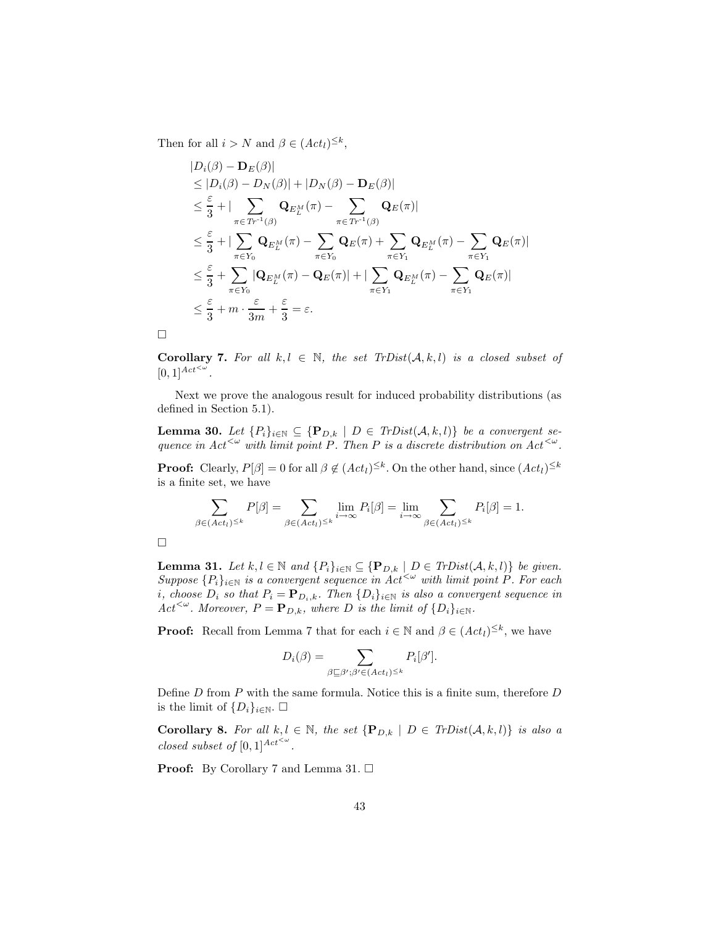Then for all  $i > N$  and  $\beta \in (Act_l)^{\leq k}$ ,

$$
|D_i(\beta) - \mathbf{D}_E(\beta)|
$$
  
\n
$$
\leq |D_i(\beta) - D_N(\beta)| + |D_N(\beta) - \mathbf{D}_E(\beta)|
$$
  
\n
$$
\leq \frac{\varepsilon}{3} + |\sum_{\pi \in Tr^{-1}(\beta)} \mathbf{Q}_{E_L^M}(\pi) - \sum_{\pi \in Tr^{-1}(\beta)} \mathbf{Q}_E(\pi)|
$$
  
\n
$$
\leq \frac{\varepsilon}{3} + |\sum_{\pi \in Y_0} \mathbf{Q}_{E_L^M}(\pi) - \sum_{\pi \in Y_0} \mathbf{Q}_E(\pi) + \sum_{\pi \in Y_1} \mathbf{Q}_{E_L^M}(\pi) - \sum_{\pi \in Y_1} \mathbf{Q}_{E_1}(\pi)|
$$
  
\n
$$
\leq \frac{\varepsilon}{3} + \sum_{\pi \in Y_0} |\mathbf{Q}_{E_L^M}(\pi) - \mathbf{Q}_E(\pi)| + |\sum_{\pi \in Y_1} \mathbf{Q}_{E_L^M}(\pi) - \sum_{\pi \in Y_1} \mathbf{Q}_E(\pi)|
$$
  
\n
$$
\leq \frac{\varepsilon}{3} + m \cdot \frac{\varepsilon}{3m} + \frac{\varepsilon}{3} = \varepsilon.
$$

 $\Box$ 

Corollary 7. For all  $k, l \in \mathbb{N}$ , the set  $TrDist(A, k, l)$  is a closed subset of  $[0, 1]^{Act<\omega}$ .

Next we prove the analogous result for induced probability distributions (as defined in Section 5.1).

**Lemma 30.** Let  ${P_i}_{i \in \mathbb{N}} \subseteq {\mathbf{P}_{D,k} \mid D \in \text{TrDist}(\mathcal{A}, k, l)}$  be a convergent sequence in  $Act^{\leq \omega}$  with limit point P. Then P is a discrete distribution on  $Act^{\leq \omega}$ .

**Proof:** Clearly,  $P[\beta] = 0$  for all  $\beta \notin (Act_l)^{\leq k}$ . On the other hand, since  $(Act_l)^{\leq k}$ is a finite set, we have

$$
\sum_{\beta \in (Act_l)^{\leq k}} P[\beta] = \sum_{\beta \in (Act_l)^{\leq k}} \lim_{i \to \infty} P_i[\beta] = \lim_{i \to \infty} \sum_{\beta \in (Act_l)^{\leq k}} P_i[\beta] = 1.
$$

**Lemma 31.** Let  $k, l \in \mathbb{N}$  and  $\{P_i\}_{i \in \mathbb{N}} \subseteq \{P_{D,k} \mid D \in TrDist(\mathcal{A}, k, l)\}\$  be given. Suppose  $\{P_i\}_{i\in\mathbb{N}}$  is a convergent sequence in  $Act^{\leq\omega}$  with limit point P. For each i, choose  $D_i$  so that  $P_i = \mathbf{P}_{D_i,k}$ . Then  $\{D_i\}_{i\in\mathbb{N}}$  is also a convergent sequence in  $Act^{\leq \omega}$ . Moreover,  $P = \mathbf{P}_{D,k}$ , where D is the limit of  $\{D_i\}_{i \in \mathbb{N}}$ .

**Proof:** Recall from Lemma 7 that for each  $i \in \mathbb{N}$  and  $\beta \in (Act_l)^{\leq k}$ , we have

$$
D_i(\beta) = \sum_{\beta \sqsubseteq \beta'; \beta' \in (Act_l)^{\leq k}} P_i[\beta'].
$$

Define  $D$  from  $P$  with the same formula. Notice this is a finite sum, therefore  $D$ is the limit of  $\{D_i\}_{i\in\mathbb{N}}$ .  $\Box$ 

Corollary 8. For all  $k, l \in \mathbb{N}$ , the set  $\{P_{D,k} \mid D \in \text{TrDist}(\mathcal{A}, k, l)\}$  is also a closed subset of  $[0,1]^{Act<\omega}$ .

**Proof:** By Corollary 7 and Lemma 31.  $\Box$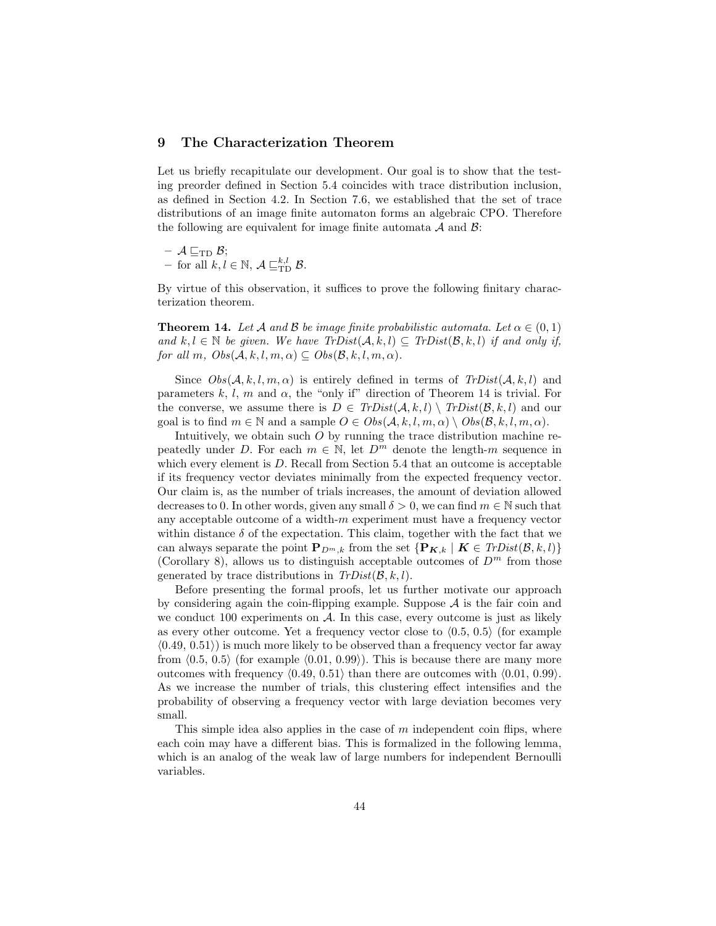## 9 The Characterization Theorem

Let us briefly recapitulate our development. Our goal is to show that the testing preorder defined in Section 5.4 coincides with trace distribution inclusion, as defined in Section 4.2. In Section 7.6, we established that the set of trace distributions of an image finite automaton forms an algebraic CPO. Therefore the following are equivalent for image finite automata  $\mathcal A$  and  $\mathcal B$ :

$$
- A \sqsubseteq_{\text{TD}} \mathcal{B};
$$
  
- for all  $k, l \in \mathbb{N}, A \sqsubseteq_{\text{TD}}^{k,l} \mathcal{B}.$ 

By virtue of this observation, it suffices to prove the following finitary characterization theorem.

**Theorem 14.** Let A and B be image finite probabilistic automata. Let  $\alpha \in (0,1)$ and  $k, l \in \mathbb{N}$  be given. We have  $TrDist(\mathcal{A}, k, l) \subseteq TrDist(\mathcal{B}, k, l)$  if and only if, for all m,  $Obs(A, k, l, m, \alpha) \subseteq Obs(B, k, l, m, \alpha)$ .

Since  $Obs(\mathcal{A}, k, l, m, \alpha)$  is entirely defined in terms of  $TrDist(\mathcal{A}, k, l)$  and parameters k, l, m and  $\alpha$ , the "only if" direction of Theorem 14 is trivial. For the converse, we assume there is  $D \in TrDist(\mathcal{A}, k, l) \setminus TrDist(\mathcal{B}, k, l)$  and our goal is to find  $m \in \mathbb{N}$  and a sample  $O \in Obs(\mathcal{A}, k, l, m, \alpha) \setminus Obs(\mathcal{B}, k, l, m, \alpha)$ .

Intuitively, we obtain such  $O$  by running the trace distribution machine repeatedly under D. For each  $m \in \mathbb{N}$ , let  $D^m$  denote the length-m sequence in which every element is D. Recall from Section 5.4 that an outcome is acceptable if its frequency vector deviates minimally from the expected frequency vector. Our claim is, as the number of trials increases, the amount of deviation allowed decreases to 0. In other words, given any small  $\delta > 0$ , we can find  $m \in \mathbb{N}$  such that any acceptable outcome of a width- $m$  experiment must have a frequency vector within distance  $\delta$  of the expectation. This claim, together with the fact that we can always separate the point  ${\bf P}_{D^m,k}$  from the set  ${\bf \{P}_{K,k} | K \in TrDist(\mathcal{B},k,l)\}$ (Corollary 8), allows us to distinguish acceptable outcomes of  $D^m$  from those generated by trace distributions in  $TrDist(\mathcal{B}, k, l)$ .

Before presenting the formal proofs, let us further motivate our approach by considering again the coin-flipping example. Suppose  $A$  is the fair coin and we conduct 100 experiments on  $A$ . In this case, every outcome is just as likely as every other outcome. Yet a frequency vector close to  $\langle 0.5, 0.5 \rangle$  (for example  $(0.49, 0.51)$  is much more likely to be observed than a frequency vector far away from  $(0.5, 0.5)$  (for example  $(0.01, 0.99)$ ). This is because there are many more outcomes with frequency  $(0.49, 0.51)$  than there are outcomes with  $(0.01, 0.99)$ . As we increase the number of trials, this clustering effect intensifies and the probability of observing a frequency vector with large deviation becomes very small.

This simple idea also applies in the case of  $m$  independent coin flips, where each coin may have a different bias. This is formalized in the following lemma, which is an analog of the weak law of large numbers for independent Bernoulli variables.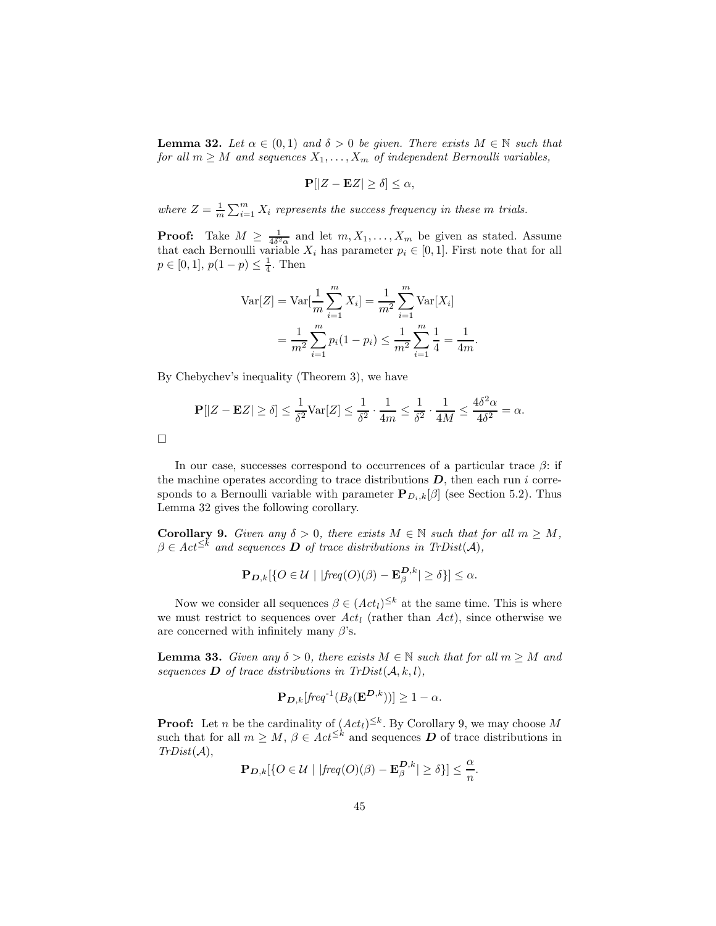**Lemma 32.** Let  $\alpha \in (0,1)$  and  $\delta > 0$  be given. There exists  $M \in \mathbb{N}$  such that for all  $m \geq M$  and sequences  $X_1, \ldots, X_m$  of independent Bernoulli variables,

$$
\mathbf{P}[|Z - \mathbf{E}Z| \ge \delta] \le \alpha,
$$

where  $Z = \frac{1}{m} \sum_{i=1}^{m} X_i$  represents the success frequency in these m trials.

**Proof:** Take  $M \ge \frac{1}{4\delta^2\alpha}$  and let  $m, X_1, \ldots, X_m$  be given as stated. Assume that each Bernoulli variable  $X_i$  has parameter  $p_i \in [0, 1]$ . First note that for all  $p \in [0, 1], p(1-p) \leq \frac{1}{4}$ . Then

$$
\text{Var}[Z] = \text{Var}\left[\frac{1}{m}\sum_{i=1}^{m} X_i\right] = \frac{1}{m^2} \sum_{i=1}^{m} \text{Var}[X_i]
$$

$$
= \frac{1}{m^2} \sum_{i=1}^{m} p_i (1 - p_i) \le \frac{1}{m^2} \sum_{i=1}^{m} \frac{1}{4} = \frac{1}{4m}
$$

.

By Chebychev's inequality (Theorem 3), we have

$$
\mathbf{P}[|Z - \mathbf{E}Z| \ge \delta] \le \frac{1}{\delta^2} \text{Var}[Z] \le \frac{1}{\delta^2} \cdot \frac{1}{4m} \le \frac{1}{\delta^2} \cdot \frac{1}{4M} \le \frac{4\delta^2 \alpha}{4\delta^2} = \alpha.
$$

In our case, successes correspond to occurrences of a particular trace  $\beta$ : if the machine operates according to trace distributions  $D$ , then each run i corresponds to a Bernoulli variable with parameter  ${\bf P}_{D_i,k}[\beta]$  (see Section 5.2). Thus Lemma 32 gives the following corollary.

**Corollary 9.** Given any  $\delta > 0$ , there exists  $M \in \mathbb{N}$  such that for all  $m \geq M$ ,  $\beta \in Act^{\leq k}$  and sequences **D** of trace distributions in TrDist(A),

$$
\mathbf{P}_{\mathbf{D},k}[\{O \in \mathcal{U} \mid | \text{freq}(O)(\beta) - \mathbf{E}_{\beta}^{\mathbf{D},k} | \geq \delta\}] \leq \alpha.
$$

Now we consider all sequences  $\beta \in (Act_l)^{\leq k}$  at the same time. This is where we must restrict to sequences over  $Act_l$  (rather than Act), since otherwise we are concerned with infinitely many  $\beta$ 's.

**Lemma 33.** Given any  $\delta > 0$ , there exists  $M \in \mathbb{N}$  such that for all  $m \geq M$  and sequences **D** of trace distributions in  $TrDist(A, k, l)$ ,

$$
\mathbf{P}_{\boldsymbol{D},k}[freq^{-1}(B_{\delta}(\mathbf{E}^{\boldsymbol{D},k}))] \ge 1-\alpha.
$$

**Proof:** Let *n* be the cardinality of  $(Act_l)^{\leq k}$ . By Corollary 9, we may choose M such that for all  $m \geq M$ ,  $\beta \in Act^{\leq k}$  and sequences **D** of trace distributions in  $TrDist(\mathcal{A}),$ 

$$
\mathbf{P}_{\boldsymbol{D},k}[\{O\in\mathcal{U}\mid |freq(O)(\beta)-\mathbf{E}_{\beta}^{\boldsymbol{D},k}|\geq\delta\}]\leq\frac{\alpha}{n}.
$$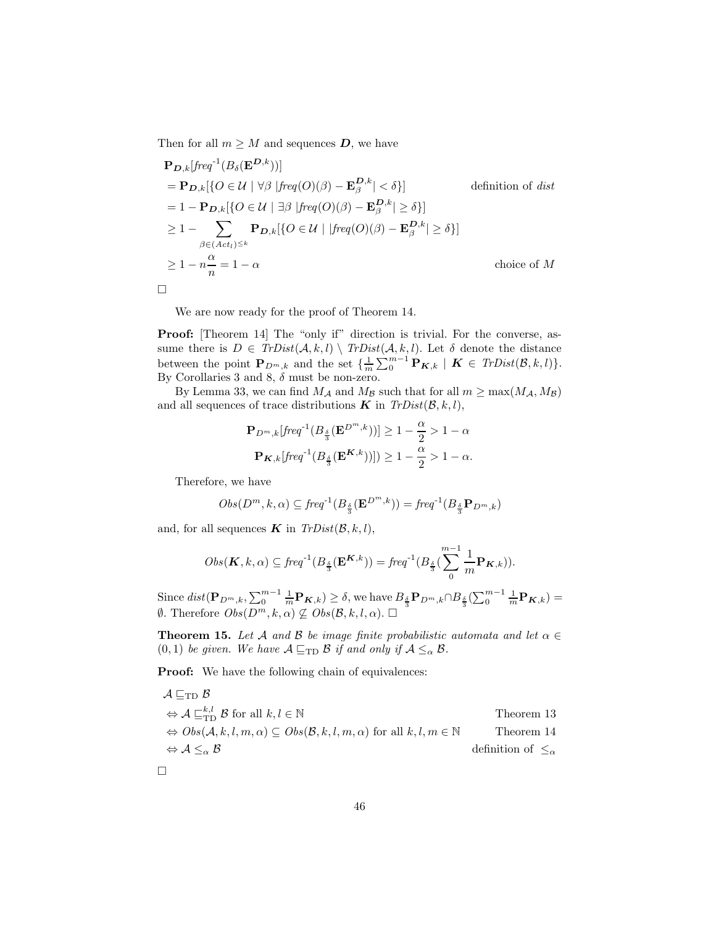Then for all  $m \geq M$  and sequences  $D$ , we have

$$
\begin{aligned}\n\mathbf{P}_{\mathbf{D},k}[freq^{-1}(B_\delta(\mathbf{E}^{\mathbf{D},k}))] \\
&= \mathbf{P}_{\mathbf{D},k}[\{O \in \mathcal{U} \mid \forall \beta \ | freq(O)(\beta) - \mathbf{E}_{\beta}^{\mathbf{D},k} | < \delta \}] \qquad \text{definition of } dist \\
&= 1 - \mathbf{P}_{\mathbf{D},k}[\{O \in \mathcal{U} \mid \exists \beta \ | freq(O)(\beta) - \mathbf{E}_{\beta}^{\mathbf{D},k} | \geq \delta \}] \\
&\geq 1 - \sum_{\beta \in (Act_l)^{\leq k}} \mathbf{P}_{\mathbf{D},k}[\{O \in \mathcal{U} \mid | freq(O)(\beta) - \mathbf{E}_{\beta}^{\mathbf{D},k} | \geq \delta \}] \\
&\geq 1 - n\frac{\alpha}{n} = 1 - \alpha \qquad \text{choice of } M\n\end{aligned}
$$

We are now ready for the proof of Theorem 14.

**Proof:** [Theorem 14] The "only if" direction is trivial. For the converse, assume there is  $D \in TrDist(\mathcal{A}, k, l) \setminus TrDist(\mathcal{A}, k, l)$ . Let  $\delta$  denote the distance between the point  $\mathbf{P}_{D^m,k}$  and the set  $\{\frac{1}{m}\sum_{0}^{m-1}\mathbf{P}_{\mathbf{K},k} \mid \mathbf{K} \in \text{TrDist}(\mathcal{B},k,l)\}.$ By Corollaries 3 and 8,  $\delta$  must be non-zero.

By Lemma 33, we can find  $M_A$  and  $M_B$  such that for all  $m \ge \max(M_A, M_B)$ and all sequences of trace distributions  $\boldsymbol{K}$  in  $TrDist(\mathcal{B}, k, l)$ ,

$$
\begin{aligned} &\mathbf{P}_{D^m,k}[freq^{-1}(B_{\frac{\delta}{3}}(\mathbf{E}^{D^m,k}))]\geq 1-\frac{\alpha}{2}>1-\alpha\\ &\mathbf{P}_{\mathbf{K},k}[freq^{-1}(B_{\frac{\delta}{3}}(\mathbf{E}^{\mathbf{K},k}))])\geq 1-\frac{\alpha}{2}>1-\alpha. \end{aligned}
$$

Therefore, we have

$$
Obs(D^m,k,\alpha)\subseteq freq^{\text{-}1}(B_{\frac{\delta}{3}}({\mathbf E}^{D^m,k}))=freq^{\text{-}1}(B_{\frac{\delta}{3}}{\mathbf P}_{D^m,k})
$$

and, for all sequences  $\boldsymbol{K}$  in  $TrDist(\mathcal{B}, k, l),$ 

$$
Obs(\mathbf{K}, k, \alpha) \subseteq freq^{-1}(B_{\frac{\delta}{3}}(\mathbf{E}^{\mathbf{K}, k})) = freq^{-1}(B_{\frac{\delta}{3}}(\sum_{0}^{m-1} \frac{1}{m} \mathbf{P}_{\mathbf{K}, k})).
$$

Since  $dist(\mathbf{P}_{D^m,k}, \sum_{0}^{m-1} \frac{1}{m} \mathbf{P}_{\mathbf{K},k}) \ge \delta$ , we have  $B_{\frac{\delta}{3}} \mathbf{P}_{D^m,k} \cap B_{\frac{\delta}{3}} (\sum_{0}^{m-1} \frac{1}{m} \mathbf{P}_{\mathbf{K},k}) =$  $\emptyset$ . Therefore  $Obs(D^m, k, \alpha) \nsubseteq Obs(\mathcal{B}, k, l, \alpha)$ .  $\Box$ 

**Theorem 15.** Let A and B be image finite probabilistic automata and let  $\alpha \in \mathbb{R}$ (0, 1) be given. We have  $A \sqsubseteq_{\text{TD}} B$  if and only if  $A \leq_{\alpha} B$ .

**Proof:** We have the following chain of equivalences:

$$
\mathcal{A} \sqsubseteq_{\text{TD}} \mathcal{B} \n\Leftrightarrow \mathcal{A} \sqsubseteq_{\text{TD}}^{k,l} \mathcal{B} \text{ for all } k, l \in \mathbb{N} \n\Leftrightarrow \text{Obs}(\mathcal{A}, k, l, m, \alpha) \subseteq \text{Obs}(\mathcal{B}, k, l, m, \alpha) \text{ for all } k, l, m \in \mathbb{N} \n\Leftrightarrow \mathcal{A} \leq_{\alpha} \mathcal{B} \n\text{definition of } \leq_{\alpha}
$$

$$
\Box
$$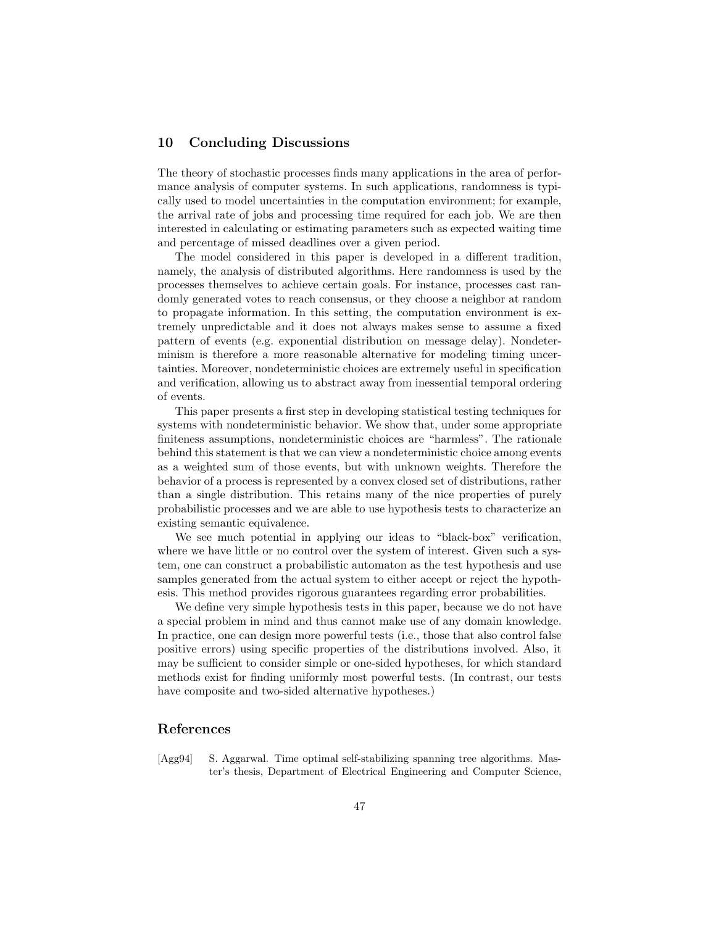## 10 Concluding Discussions

The theory of stochastic processes finds many applications in the area of performance analysis of computer systems. In such applications, randomness is typically used to model uncertainties in the computation environment; for example, the arrival rate of jobs and processing time required for each job. We are then interested in calculating or estimating parameters such as expected waiting time and percentage of missed deadlines over a given period.

The model considered in this paper is developed in a different tradition, namely, the analysis of distributed algorithms. Here randomness is used by the processes themselves to achieve certain goals. For instance, processes cast randomly generated votes to reach consensus, or they choose a neighbor at random to propagate information. In this setting, the computation environment is extremely unpredictable and it does not always makes sense to assume a fixed pattern of events (e.g. exponential distribution on message delay). Nondeterminism is therefore a more reasonable alternative for modeling timing uncertainties. Moreover, nondeterministic choices are extremely useful in specification and verification, allowing us to abstract away from inessential temporal ordering of events.

This paper presents a first step in developing statistical testing techniques for systems with nondeterministic behavior. We show that, under some appropriate finiteness assumptions, nondeterministic choices are "harmless". The rationale behind this statement is that we can view a nondeterministic choice among events as a weighted sum of those events, but with unknown weights. Therefore the behavior of a process is represented by a convex closed set of distributions, rather than a single distribution. This retains many of the nice properties of purely probabilistic processes and we are able to use hypothesis tests to characterize an existing semantic equivalence.

We see much potential in applying our ideas to "black-box" verification, where we have little or no control over the system of interest. Given such a system, one can construct a probabilistic automaton as the test hypothesis and use samples generated from the actual system to either accept or reject the hypothesis. This method provides rigorous guarantees regarding error probabilities.

We define very simple hypothesis tests in this paper, because we do not have a special problem in mind and thus cannot make use of any domain knowledge. In practice, one can design more powerful tests (i.e., those that also control false positive errors) using specific properties of the distributions involved. Also, it may be sufficient to consider simple or one-sided hypotheses, for which standard methods exist for finding uniformly most powerful tests. (In contrast, our tests have composite and two-sided alternative hypotheses.)

## References

[Agg94] S. Aggarwal. Time optimal self-stabilizing spanning tree algorithms. Master's thesis, Department of Electrical Engineering and Computer Science,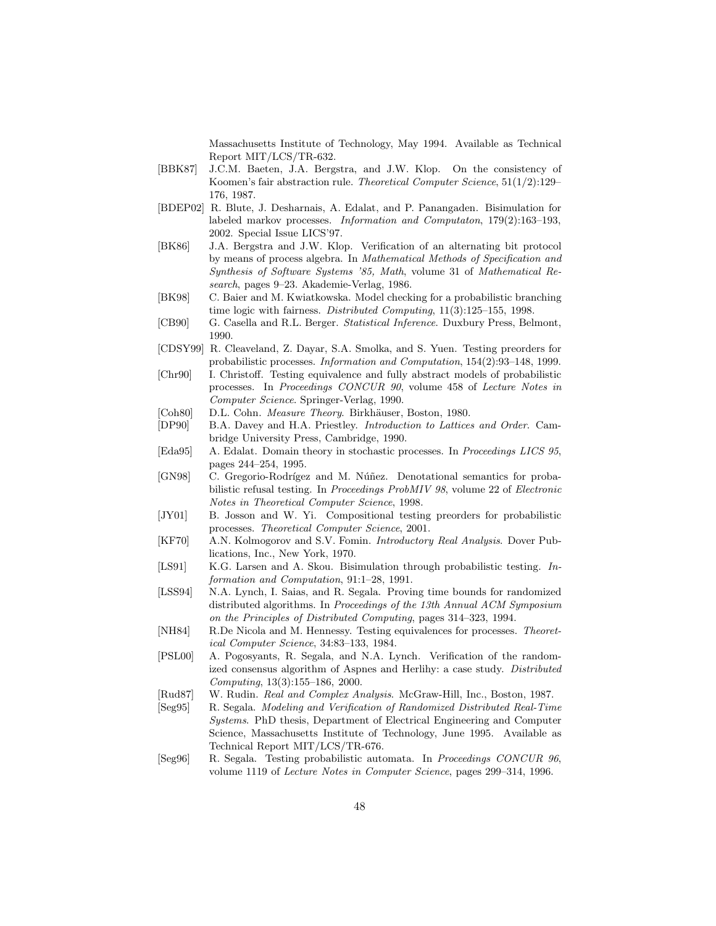Massachusetts Institute of Technology, May 1994. Available as Technical Report MIT/LCS/TR-632.

- [BBK87] J.C.M. Baeten, J.A. Bergstra, and J.W. Klop. On the consistency of Koomen's fair abstraction rule. Theoretical Computer Science,  $51(1/2):129-$ 176, 1987.
- [BDEP02] R. Blute, J. Desharnais, A. Edalat, and P. Panangaden. Bisimulation for labeled markov processes. Information and Computaton, 179(2):163–193, 2002. Special Issue LICS'97.
- [BK86] J.A. Bergstra and J.W. Klop. Verification of an alternating bit protocol by means of process algebra. In Mathematical Methods of Specification and Synthesis of Software Systems '85, Math, volume 31 of Mathematical Research, pages 9–23. Akademie-Verlag, 1986.
- [BK98] C. Baier and M. Kwiatkowska. Model checking for a probabilistic branching time logic with fairness. Distributed Computing,  $11(3):125-155$ , 1998.
- [CB90] G. Casella and R.L. Berger. Statistical Inference. Duxbury Press, Belmont, 1990.
- [CDSY99] R. Cleaveland, Z. Dayar, S.A. Smolka, and S. Yuen. Testing preorders for probabilistic processes. *Information and Computation*, 154(2):93-148, 1999.
- [Chr90] I. Christoff. Testing equivalence and fully abstract models of probabilistic processes. In Proceedings CONCUR 90, volume 458 of Lecture Notes in Computer Science. Springer-Verlag, 1990.
- [Coh80] D.L. Cohn. Measure Theory. Birkhäuser, Boston, 1980.
- [DP90] B.A. Davey and H.A. Priestley. Introduction to Lattices and Order. Cambridge University Press, Cambridge, 1990.
- [Eda95] A. Edalat. Domain theory in stochastic processes. In Proceedings LICS 95, pages 244–254, 1995.
- [GN98] C. Gregorio-Rodrígez and M. Núñez. Denotational semantics for probabilistic refusal testing. In *Proceedings ProbMIV 98*, volume 22 of *Electronic* Notes in Theoretical Computer Science, 1998.
- [JY01] B. Josson and W. Yi. Compositional testing preorders for probabilistic processes. Theoretical Computer Science, 2001.
- [KF70] A.N. Kolmogorov and S.V. Fomin. Introductory Real Analysis. Dover Publications, Inc., New York, 1970.
- [LS91] K.G. Larsen and A. Skou. Bisimulation through probabilistic testing. Information and Computation, 91:1–28, 1991.
- [LSS94] N.A. Lynch, I. Saias, and R. Segala. Proving time bounds for randomized distributed algorithms. In Proceedings of the 13th Annual ACM Symposium on the Principles of Distributed Computing, pages 314–323, 1994.
- [NH84] R.De Nicola and M. Hennessy. Testing equivalences for processes. Theoretical Computer Science, 34:83–133, 1984.
- [PSL00] A. Pogosyants, R. Segala, and N.A. Lynch. Verification of the randomized consensus algorithm of Aspnes and Herlihy: a case study. Distributed Computing, 13(3):155–186, 2000.
- [Rud87] W. Rudin. Real and Complex Analysis. McGraw-Hill, Inc., Boston, 1987.
- [Seg95] R. Segala. Modeling and Verification of Randomized Distributed Real-Time Systems. PhD thesis, Department of Electrical Engineering and Computer Science, Massachusetts Institute of Technology, June 1995. Available as Technical Report MIT/LCS/TR-676.
- [Seg96] R. Segala. Testing probabilistic automata. In Proceedings CONCUR 96, volume 1119 of Lecture Notes in Computer Science, pages 299–314, 1996.